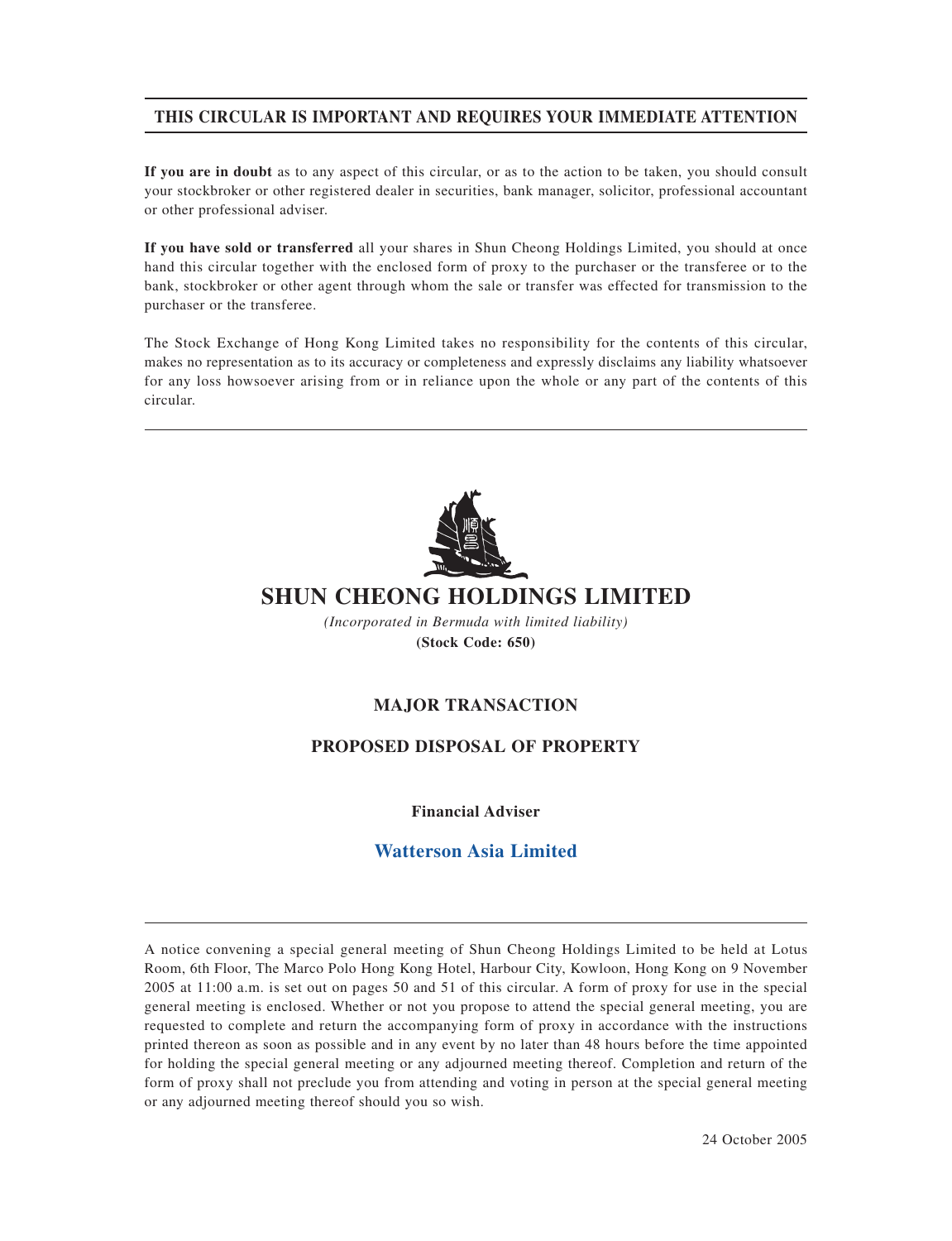# **THIS CIRCULAR IS IMPORTANT AND REQUIRES YOUR IMMEDIATE ATTENTION**

**If you are in doubt** as to any aspect of this circular, or as to the action to be taken, you should consult your stockbroker or other registered dealer in securities, bank manager, solicitor, professional accountant or other professional adviser.

**If you have sold or transferred** all your shares in Shun Cheong Holdings Limited, you should at once hand this circular together with the enclosed form of proxy to the purchaser or the transferee or to the bank, stockbroker or other agent through whom the sale or transfer was effected for transmission to the purchaser or the transferee.

The Stock Exchange of Hong Kong Limited takes no responsibility for the contents of this circular, makes no representation as to its accuracy or completeness and expressly disclaims any liability whatsoever for any loss howsoever arising from or in reliance upon the whole or any part of the contents of this circular.



# **SHUN CHEONG HOLDINGS LIMITED**

*(Incorporated in Bermuda with limited liability)* **(Stock Code: 650)**

# **MAJOR TRANSACTION**

# **PROPOSED DISPOSAL OF PROPERTY**

**Financial Adviser**

# **Watterson Asia Limited**

A notice convening a special general meeting of Shun Cheong Holdings Limited to be held at Lotus Room, 6th Floor, The Marco Polo Hong Kong Hotel, Harbour City, Kowloon, Hong Kong on 9 November 2005 at 11:00 a.m. is set out on pages 50 and 51 of this circular. A form of proxy for use in the special general meeting is enclosed. Whether or not you propose to attend the special general meeting, you are requested to complete and return the accompanying form of proxy in accordance with the instructions printed thereon as soon as possible and in any event by no later than 48 hours before the time appointed for holding the special general meeting or any adjourned meeting thereof. Completion and return of the form of proxy shall not preclude you from attending and voting in person at the special general meeting or any adjourned meeting thereof should you so wish.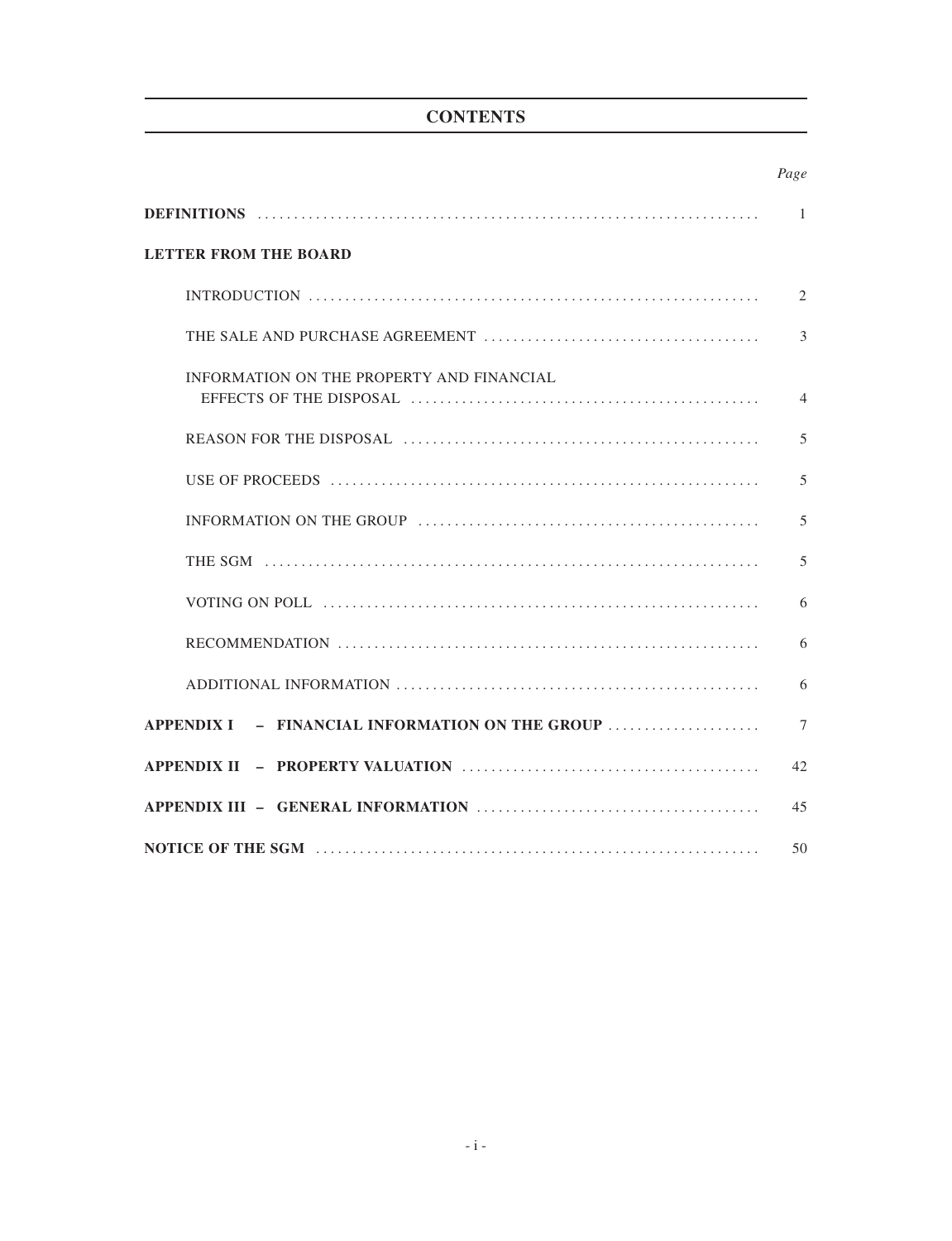# **CONTENTS**

|                                                 | Page           |
|-------------------------------------------------|----------------|
|                                                 | $\overline{1}$ |
| <b>LETTER FROM THE BOARD</b>                    |                |
|                                                 | $\overline{2}$ |
|                                                 | $\overline{3}$ |
| INFORMATION ON THE PROPERTY AND FINANCIAL       | $\overline{4}$ |
|                                                 | 5              |
|                                                 | 5              |
|                                                 | 5              |
|                                                 | 5              |
|                                                 | 6              |
|                                                 | 6              |
|                                                 | 6              |
| APPENDIX I - FINANCIAL INFORMATION ON THE GROUP | $\tau$         |
|                                                 | 42             |
|                                                 | 45             |
|                                                 | 50             |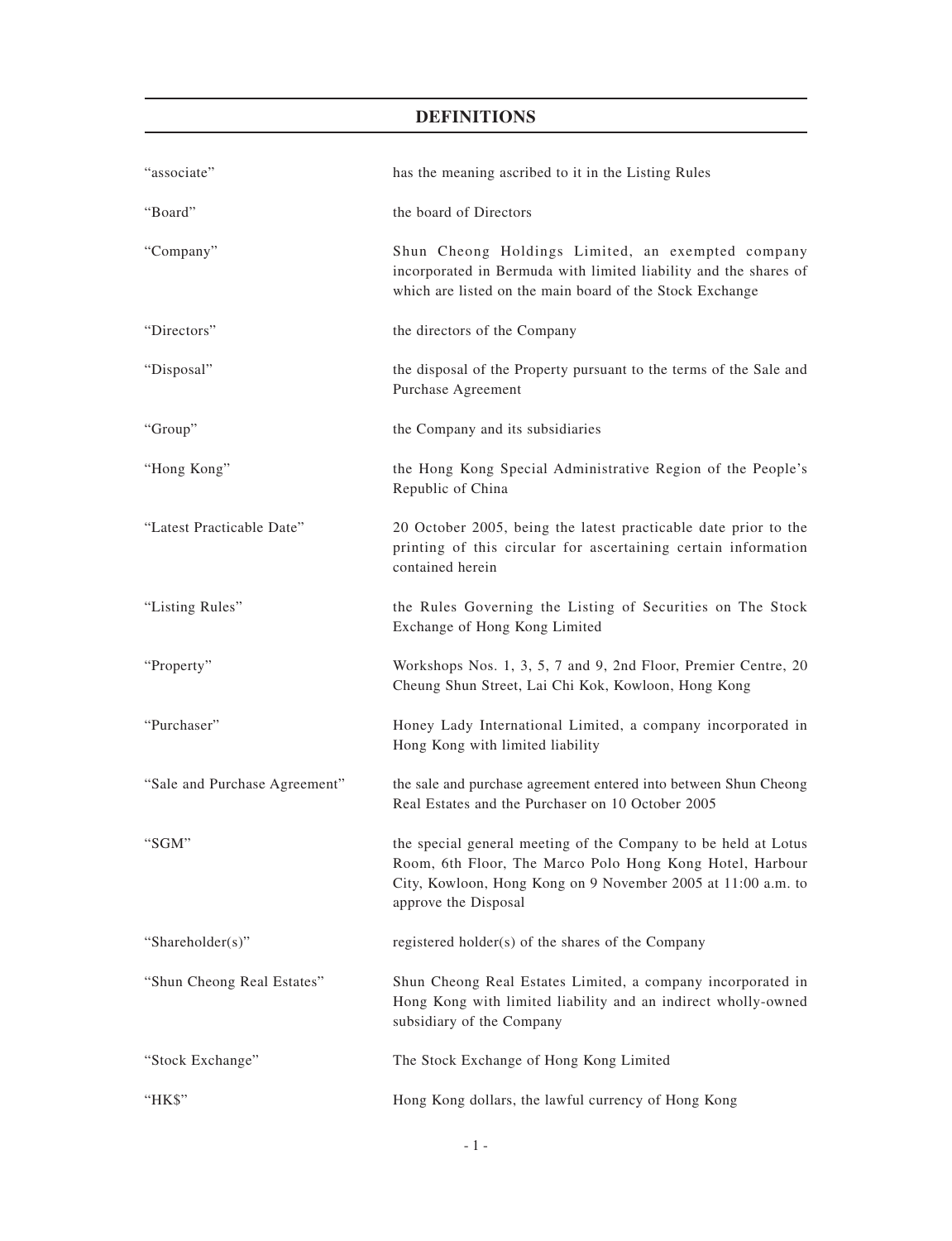# **DEFINITIONS**

| "associate"                   | has the meaning ascribed to it in the Listing Rules                                                                                                                                                                |
|-------------------------------|--------------------------------------------------------------------------------------------------------------------------------------------------------------------------------------------------------------------|
| "Board"                       | the board of Directors                                                                                                                                                                                             |
| "Company"                     | Shun Cheong Holdings Limited, an exempted company<br>incorporated in Bermuda with limited liability and the shares of<br>which are listed on the main board of the Stock Exchange                                  |
| "Directors"                   | the directors of the Company                                                                                                                                                                                       |
| "Disposal"                    | the disposal of the Property pursuant to the terms of the Sale and<br>Purchase Agreement                                                                                                                           |
| "Group"                       | the Company and its subsidiaries                                                                                                                                                                                   |
| "Hong Kong"                   | the Hong Kong Special Administrative Region of the People's<br>Republic of China                                                                                                                                   |
| "Latest Practicable Date"     | 20 October 2005, being the latest practicable date prior to the<br>printing of this circular for ascertaining certain information<br>contained herein                                                              |
| "Listing Rules"               | the Rules Governing the Listing of Securities on The Stock<br>Exchange of Hong Kong Limited                                                                                                                        |
| "Property"                    | Workshops Nos. 1, 3, 5, 7 and 9, 2nd Floor, Premier Centre, 20<br>Cheung Shun Street, Lai Chi Kok, Kowloon, Hong Kong                                                                                              |
| "Purchaser"                   | Honey Lady International Limited, a company incorporated in<br>Hong Kong with limited liability                                                                                                                    |
| "Sale and Purchase Agreement" | the sale and purchase agreement entered into between Shun Cheong<br>Real Estates and the Purchaser on 10 October 2005                                                                                              |
| "SGM"                         | the special general meeting of the Company to be held at Lotus<br>Room, 6th Floor, The Marco Polo Hong Kong Hotel, Harbour<br>City, Kowloon, Hong Kong on 9 November 2005 at 11:00 a.m. to<br>approve the Disposal |
| "Shareholder(s)"              | registered holder(s) of the shares of the Company                                                                                                                                                                  |
| "Shun Cheong Real Estates"    | Shun Cheong Real Estates Limited, a company incorporated in<br>Hong Kong with limited liability and an indirect wholly-owned<br>subsidiary of the Company                                                          |
| "Stock Exchange"              | The Stock Exchange of Hong Kong Limited                                                                                                                                                                            |
| "HK\$"                        | Hong Kong dollars, the lawful currency of Hong Kong                                                                                                                                                                |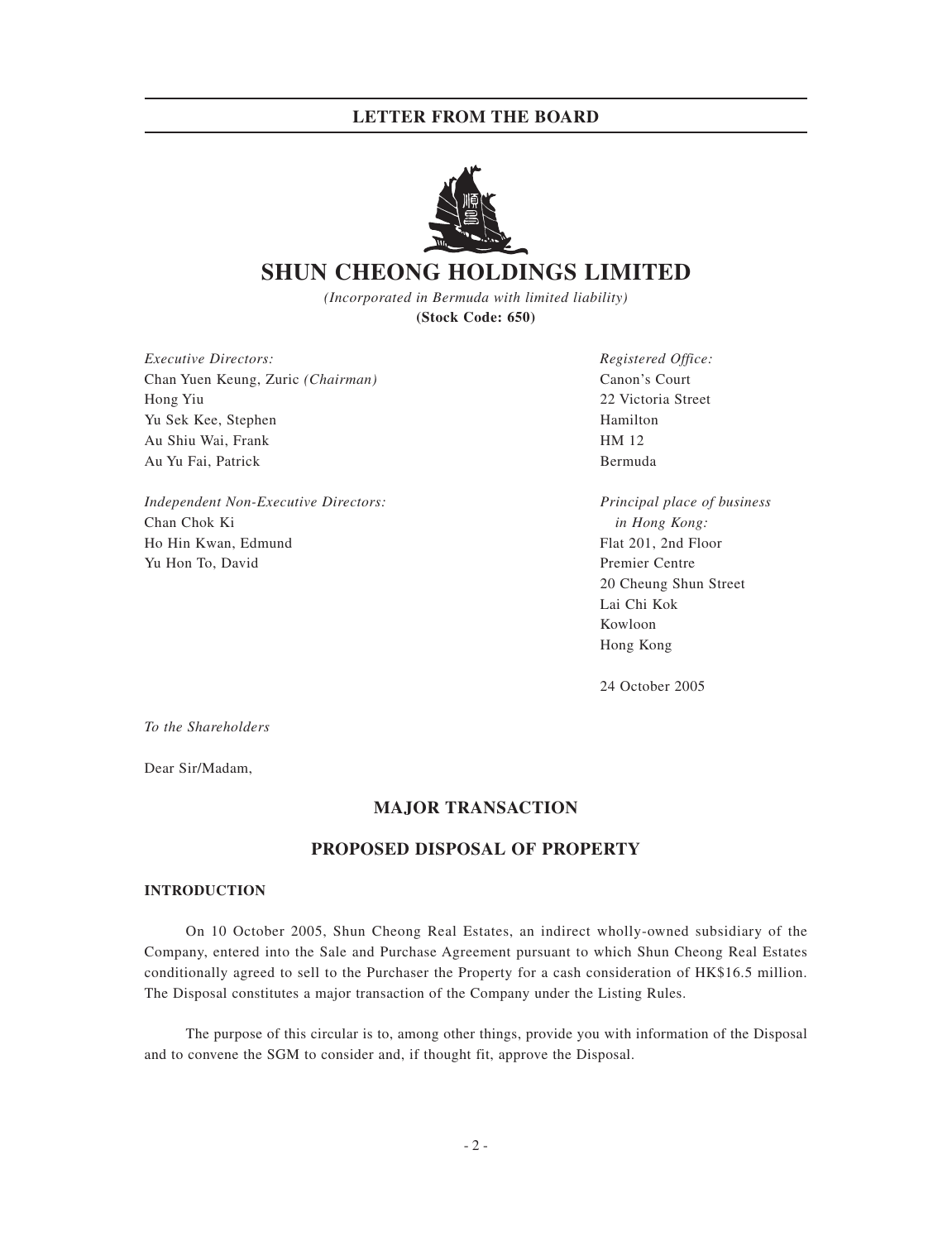

# **SHUN CHEONG HOLDINGS LIMITED**

*(Incorporated in Bermuda with limited liability)* **(Stock Code: 650)**

*Executive Directors: Registered Office:* Chan Yuen Keung, Zuric *(Chairman)* Canon's Court Hong Yiu 22 Victoria Street Yu Sek Kee, Stephen Hamilton Hamilton Hamilton Hamilton Hamilton Hamilton Hamilton Hamilton Hamilton Hamilton Au Shiu Wai, Frank **HM 12** Au Yu Fai, Patrick Bermuda

*Independent Non-Executive Directors: Principal place of business* Chan Chok Ki *in Hong Kong:* Ho Hin Kwan, Edmund Flat 201, 2nd Floor Yu Hon To, David Premier Centre

20 Cheung Shun Street Lai Chi Kok Kowloon Hong Kong

24 October 2005

*To the Shareholders*

Dear Sir/Madam,

# **MAJOR TRANSACTION**

# **PROPOSED DISPOSAL OF PROPERTY**

## **INTRODUCTION**

On 10 October 2005, Shun Cheong Real Estates, an indirect wholly-owned subsidiary of the Company, entered into the Sale and Purchase Agreement pursuant to which Shun Cheong Real Estates conditionally agreed to sell to the Purchaser the Property for a cash consideration of HK\$16.5 million. The Disposal constitutes a major transaction of the Company under the Listing Rules.

The purpose of this circular is to, among other things, provide you with information of the Disposal and to convene the SGM to consider and, if thought fit, approve the Disposal.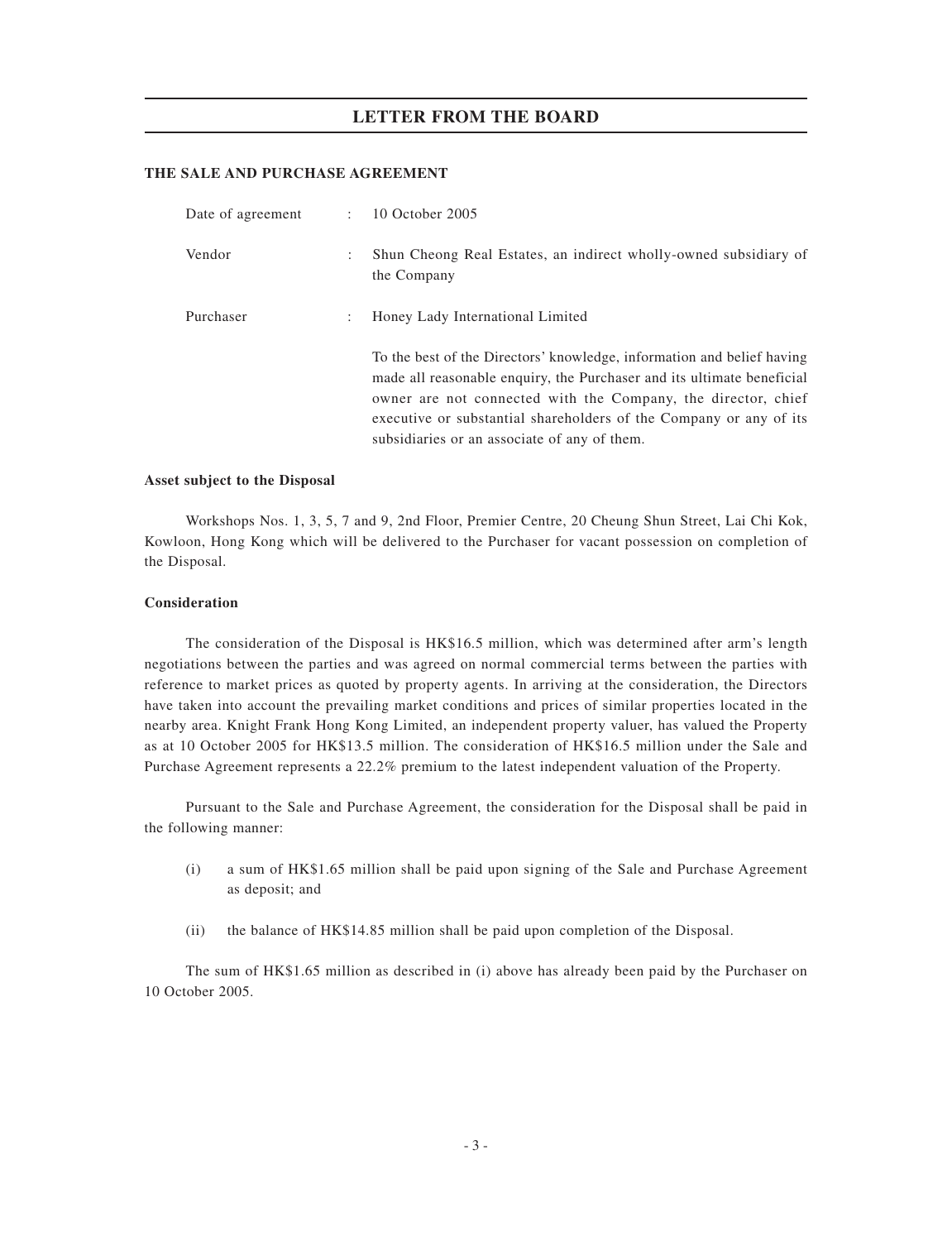## **THE SALE AND PURCHASE AGREEMENT**

| Date of agreement | $\mathbb{R}^{\mathbb{Z}}$ | 10 October 2005                                                                                                                                                                                                                                                                                                                         |
|-------------------|---------------------------|-----------------------------------------------------------------------------------------------------------------------------------------------------------------------------------------------------------------------------------------------------------------------------------------------------------------------------------------|
| Vendor            | ٠                         | Shun Cheong Real Estates, an indirect wholly-owned subsidiary of<br>the Company                                                                                                                                                                                                                                                         |
| Purchaser         |                           | Honey Lady International Limited                                                                                                                                                                                                                                                                                                        |
|                   |                           | To the best of the Directors' knowledge, information and belief having<br>made all reasonable enquiry, the Purchaser and its ultimate beneficial<br>owner are not connected with the Company, the director, chief<br>executive or substantial shareholders of the Company or any of its<br>subsidiaries or an associate of any of them. |

### **Asset subject to the Disposal**

Workshops Nos. 1, 3, 5, 7 and 9, 2nd Floor, Premier Centre, 20 Cheung Shun Street, Lai Chi Kok, Kowloon, Hong Kong which will be delivered to the Purchaser for vacant possession on completion of the Disposal.

## **Consideration**

The consideration of the Disposal is HK\$16.5 million, which was determined after arm's length negotiations between the parties and was agreed on normal commercial terms between the parties with reference to market prices as quoted by property agents. In arriving at the consideration, the Directors have taken into account the prevailing market conditions and prices of similar properties located in the nearby area. Knight Frank Hong Kong Limited, an independent property valuer, has valued the Property as at 10 October 2005 for HK\$13.5 million. The consideration of HK\$16.5 million under the Sale and Purchase Agreement represents a 22.2% premium to the latest independent valuation of the Property.

Pursuant to the Sale and Purchase Agreement, the consideration for the Disposal shall be paid in the following manner:

- (i) a sum of HK\$1.65 million shall be paid upon signing of the Sale and Purchase Agreement as deposit; and
- (ii) the balance of HK\$14.85 million shall be paid upon completion of the Disposal.

The sum of HK\$1.65 million as described in (i) above has already been paid by the Purchaser on 10 October 2005.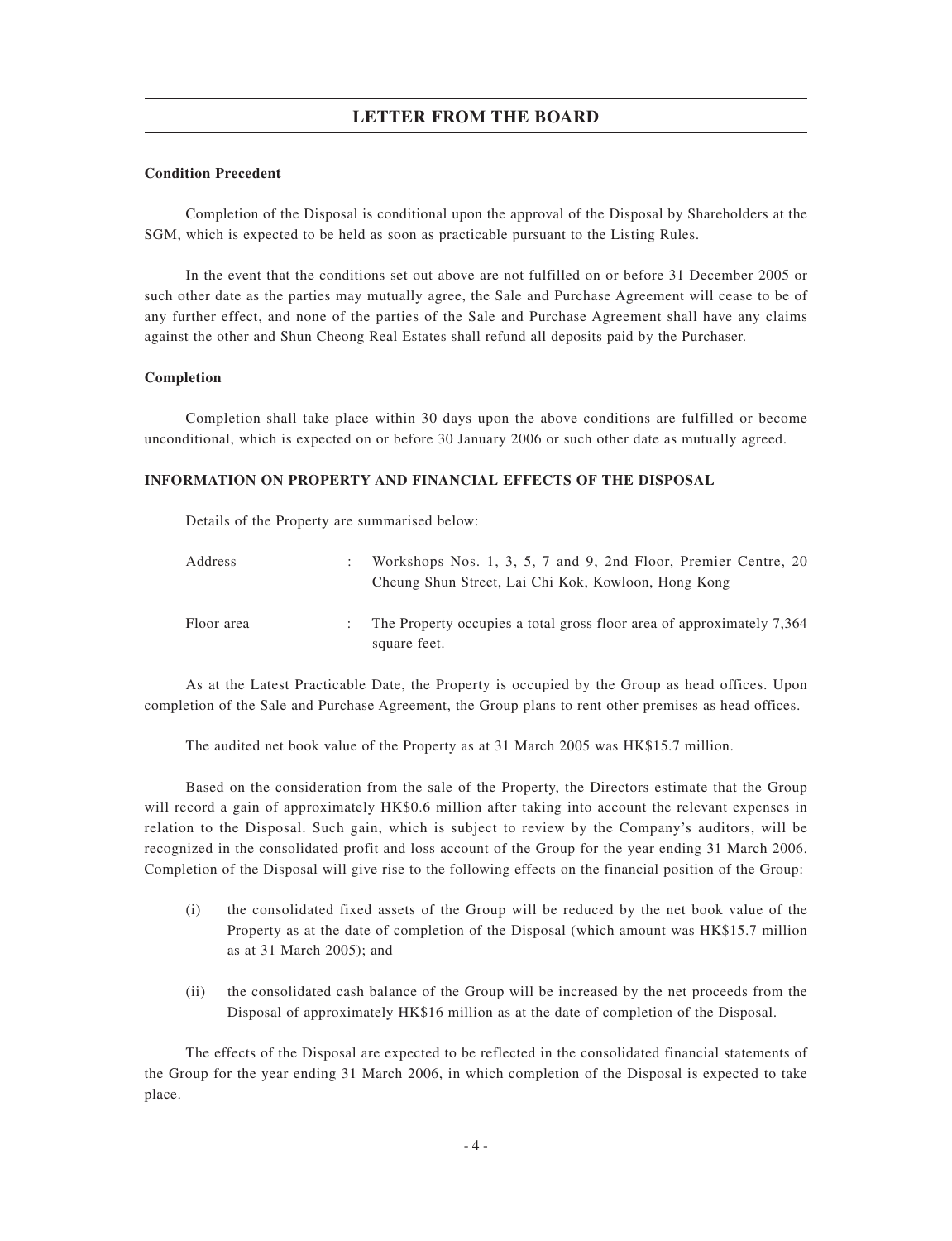## **Condition Precedent**

Completion of the Disposal is conditional upon the approval of the Disposal by Shareholders at the SGM, which is expected to be held as soon as practicable pursuant to the Listing Rules.

In the event that the conditions set out above are not fulfilled on or before 31 December 2005 or such other date as the parties may mutually agree, the Sale and Purchase Agreement will cease to be of any further effect, and none of the parties of the Sale and Purchase Agreement shall have any claims against the other and Shun Cheong Real Estates shall refund all deposits paid by the Purchaser.

## **Completion**

Completion shall take place within 30 days upon the above conditions are fulfilled or become unconditional, which is expected on or before 30 January 2006 or such other date as mutually agreed.

## **INFORMATION ON PROPERTY AND FINANCIAL EFFECTS OF THE DISPOSAL**

Details of the Property are summarised below:

| Address    | Workshops Nos. 1, 3, 5, 7 and 9, 2nd Floor, Premier Centre, 20<br>Cheung Shun Street, Lai Chi Kok, Kowloon, Hong Kong |
|------------|-----------------------------------------------------------------------------------------------------------------------|
| Floor area | . The Property occupies a total gross floor area of approximately 7,364<br>square feet.                               |

As at the Latest Practicable Date, the Property is occupied by the Group as head offices. Upon completion of the Sale and Purchase Agreement, the Group plans to rent other premises as head offices.

The audited net book value of the Property as at 31 March 2005 was HK\$15.7 million.

Based on the consideration from the sale of the Property, the Directors estimate that the Group will record a gain of approximately HK\$0.6 million after taking into account the relevant expenses in relation to the Disposal. Such gain, which is subject to review by the Company's auditors, will be recognized in the consolidated profit and loss account of the Group for the year ending 31 March 2006. Completion of the Disposal will give rise to the following effects on the financial position of the Group:

- (i) the consolidated fixed assets of the Group will be reduced by the net book value of the Property as at the date of completion of the Disposal (which amount was HK\$15.7 million as at 31 March 2005); and
- (ii) the consolidated cash balance of the Group will be increased by the net proceeds from the Disposal of approximately HK\$16 million as at the date of completion of the Disposal.

The effects of the Disposal are expected to be reflected in the consolidated financial statements of the Group for the year ending 31 March 2006, in which completion of the Disposal is expected to take place.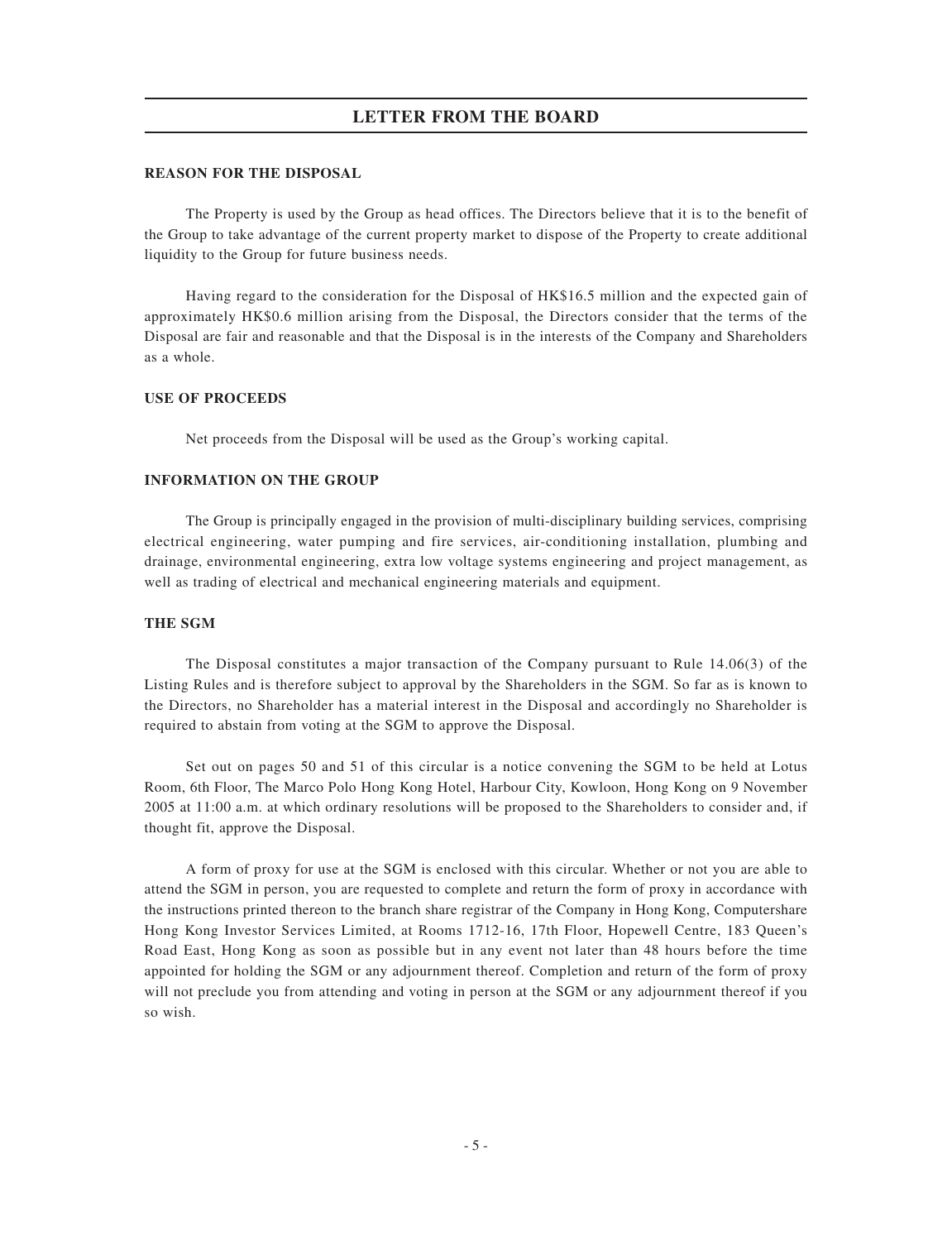## **REASON FOR THE DISPOSAL**

The Property is used by the Group as head offices. The Directors believe that it is to the benefit of the Group to take advantage of the current property market to dispose of the Property to create additional liquidity to the Group for future business needs.

Having regard to the consideration for the Disposal of HK\$16.5 million and the expected gain of approximately HK\$0.6 million arising from the Disposal, the Directors consider that the terms of the Disposal are fair and reasonable and that the Disposal is in the interests of the Company and Shareholders as a whole.

### **USE OF PROCEEDS**

Net proceeds from the Disposal will be used as the Group's working capital.

### **INFORMATION ON THE GROUP**

The Group is principally engaged in the provision of multi-disciplinary building services, comprising electrical engineering, water pumping and fire services, air-conditioning installation, plumbing and drainage, environmental engineering, extra low voltage systems engineering and project management, as well as trading of electrical and mechanical engineering materials and equipment.

### **THE SGM**

The Disposal constitutes a major transaction of the Company pursuant to Rule 14.06(3) of the Listing Rules and is therefore subject to approval by the Shareholders in the SGM. So far as is known to the Directors, no Shareholder has a material interest in the Disposal and accordingly no Shareholder is required to abstain from voting at the SGM to approve the Disposal.

Set out on pages 50 and 51 of this circular is a notice convening the SGM to be held at Lotus Room, 6th Floor, The Marco Polo Hong Kong Hotel, Harbour City, Kowloon, Hong Kong on 9 November 2005 at 11:00 a.m. at which ordinary resolutions will be proposed to the Shareholders to consider and, if thought fit, approve the Disposal.

A form of proxy for use at the SGM is enclosed with this circular. Whether or not you are able to attend the SGM in person, you are requested to complete and return the form of proxy in accordance with the instructions printed thereon to the branch share registrar of the Company in Hong Kong, Computershare Hong Kong Investor Services Limited, at Rooms 1712-16, 17th Floor, Hopewell Centre, 183 Queen's Road East, Hong Kong as soon as possible but in any event not later than 48 hours before the time appointed for holding the SGM or any adjournment thereof. Completion and return of the form of proxy will not preclude you from attending and voting in person at the SGM or any adjournment thereof if you so wish.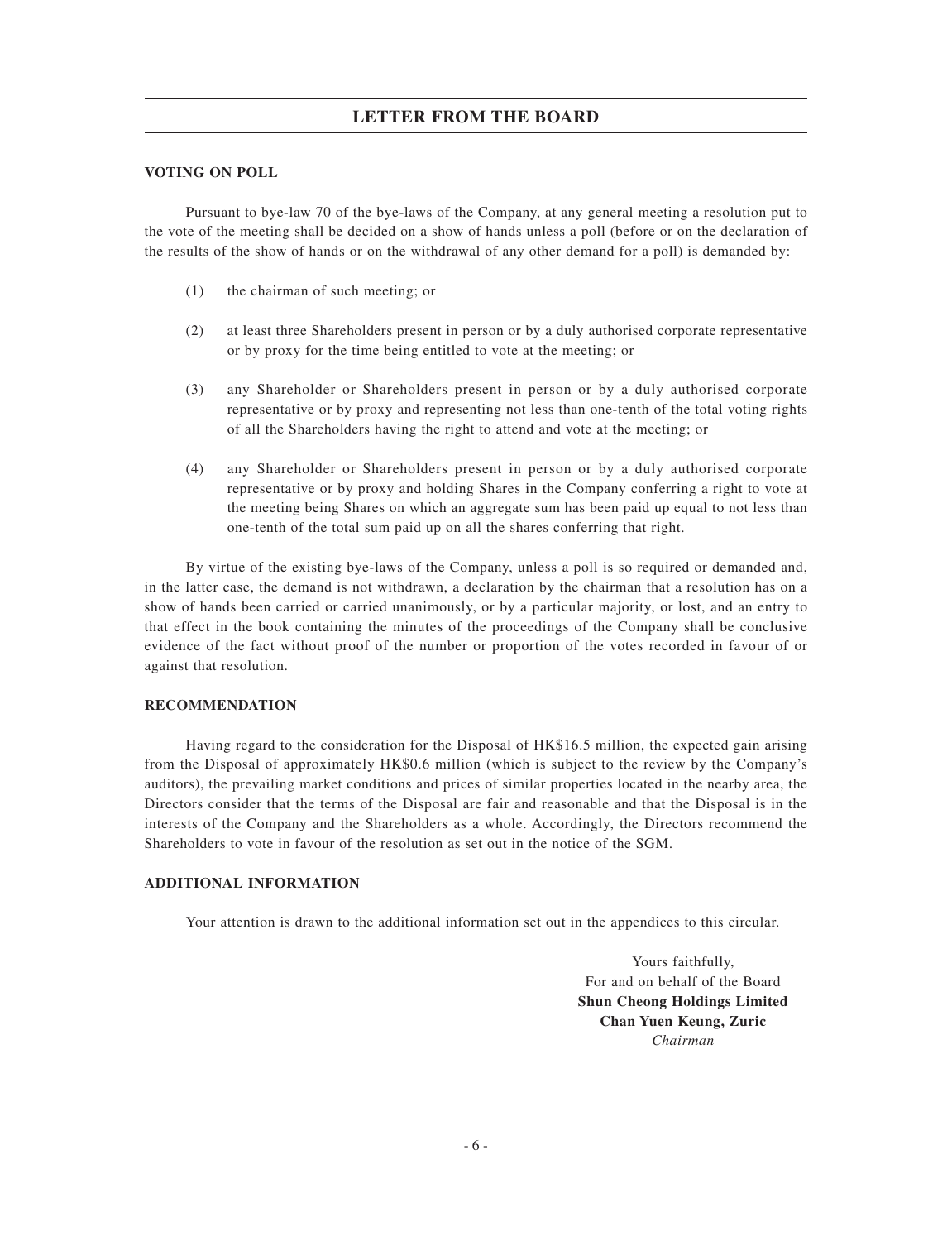## **VOTING ON POLL**

Pursuant to bye-law 70 of the bye-laws of the Company, at any general meeting a resolution put to the vote of the meeting shall be decided on a show of hands unless a poll (before or on the declaration of the results of the show of hands or on the withdrawal of any other demand for a poll) is demanded by:

- (1) the chairman of such meeting; or
- (2) at least three Shareholders present in person or by a duly authorised corporate representative or by proxy for the time being entitled to vote at the meeting; or
- (3) any Shareholder or Shareholders present in person or by a duly authorised corporate representative or by proxy and representing not less than one-tenth of the total voting rights of all the Shareholders having the right to attend and vote at the meeting; or
- (4) any Shareholder or Shareholders present in person or by a duly authorised corporate representative or by proxy and holding Shares in the Company conferring a right to vote at the meeting being Shares on which an aggregate sum has been paid up equal to not less than one-tenth of the total sum paid up on all the shares conferring that right.

By virtue of the existing bye-laws of the Company, unless a poll is so required or demanded and, in the latter case, the demand is not withdrawn, a declaration by the chairman that a resolution has on a show of hands been carried or carried unanimously, or by a particular majority, or lost, and an entry to that effect in the book containing the minutes of the proceedings of the Company shall be conclusive evidence of the fact without proof of the number or proportion of the votes recorded in favour of or against that resolution.

## **RECOMMENDATION**

Having regard to the consideration for the Disposal of HK\$16.5 million, the expected gain arising from the Disposal of approximately HK\$0.6 million (which is subject to the review by the Company's auditors), the prevailing market conditions and prices of similar properties located in the nearby area, the Directors consider that the terms of the Disposal are fair and reasonable and that the Disposal is in the interests of the Company and the Shareholders as a whole. Accordingly, the Directors recommend the Shareholders to vote in favour of the resolution as set out in the notice of the SGM.

### **ADDITIONAL INFORMATION**

Your attention is drawn to the additional information set out in the appendices to this circular.

Yours faithfully, For and on behalf of the Board **Shun Cheong Holdings Limited Chan Yuen Keung, Zuric** *Chairman*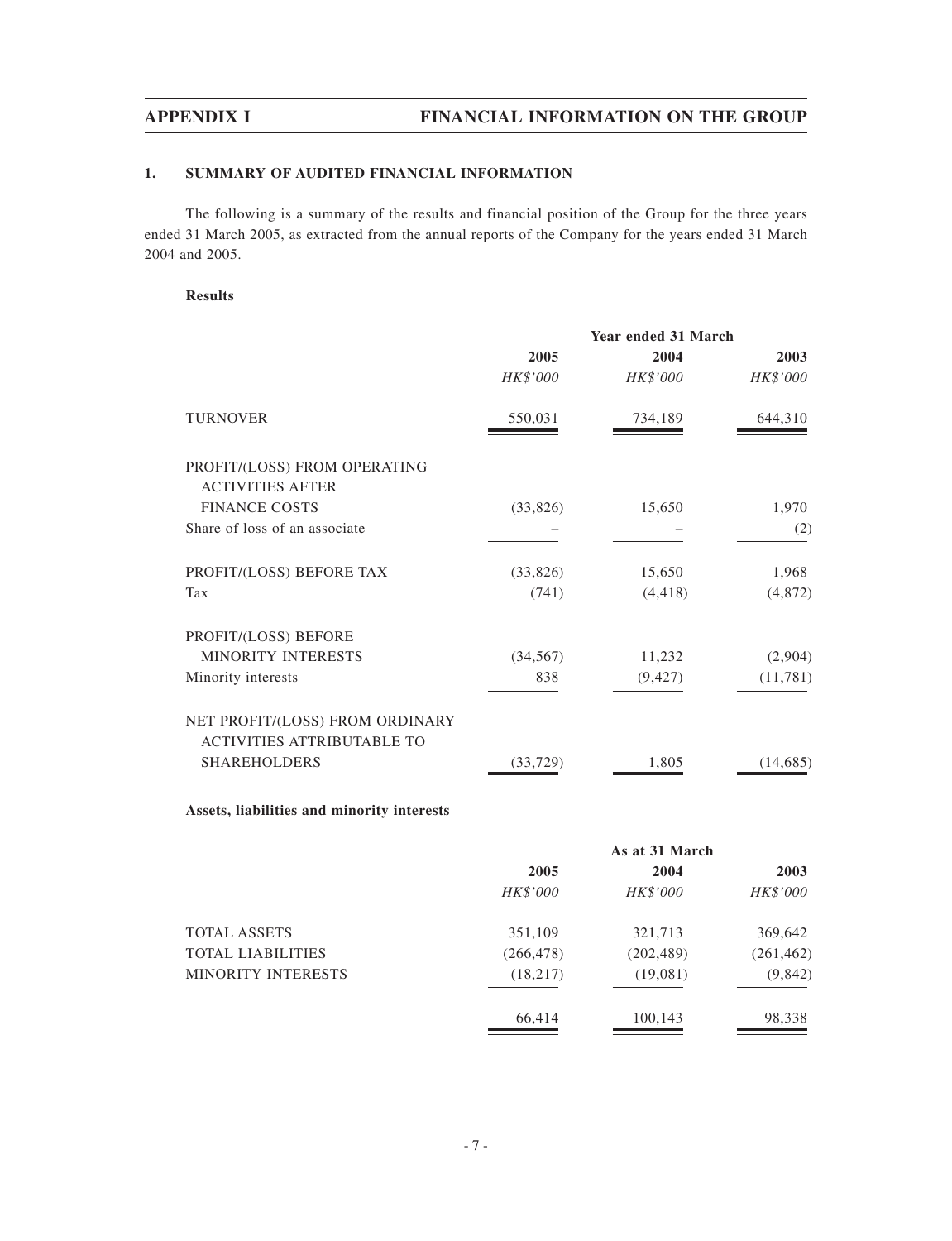# **1. SUMMARY OF AUDITED FINANCIAL INFORMATION**

The following is a summary of the results and financial position of the Group for the three years ended 31 March 2005, as extracted from the annual reports of the Company for the years ended 31 March 2004 and 2005.

## **Results**

|                                            |            | Year ended 31 March |            |
|--------------------------------------------|------------|---------------------|------------|
|                                            | 2005       | 2004                | 2003       |
|                                            | HK\$'000   | HK\$'000            | HK\$'000   |
| <b>TURNOVER</b>                            | 550,031    | 734,189             | 644,310    |
| PROFIT/(LOSS) FROM OPERATING               |            |                     |            |
| <b>ACTIVITIES AFTER</b>                    |            |                     |            |
| <b>FINANCE COSTS</b>                       | (33,826)   | 15,650              | 1,970      |
| Share of loss of an associate              |            |                     | (2)        |
| PROFIT/(LOSS) BEFORE TAX                   | (33,826)   | 15,650              | 1,968      |
| Tax                                        | (741)      | (4, 418)            | (4, 872)   |
| PROFIT/(LOSS) BEFORE                       |            |                     |            |
| MINORITY INTERESTS                         | (34, 567)  | 11,232              | (2,904)    |
| Minority interests                         | 838        | (9, 427)            | (11, 781)  |
| NET PROFIT/(LOSS) FROM ORDINARY            |            |                     |            |
| <b>ACTIVITIES ATTRIBUTABLE TO</b>          |            |                     |            |
| <b>SHAREHOLDERS</b>                        | (33, 729)  | 1,805               | (14, 685)  |
| Assets, liabilities and minority interests |            |                     |            |
|                                            |            | As at 31 March      |            |
|                                            | 2005       | 2004                | 2003       |
|                                            | HK\$'000   | HK\$'000            | HK\$'000   |
| <b>TOTAL ASSETS</b>                        | 351,109    | 321,713             | 369,642    |
| <b>TOTAL LIABILITIES</b>                   | (266, 478) | (202, 489)          | (261, 462) |
| MINORITY INTERESTS                         | (18, 217)  | (19,081)            | (9, 842)   |
|                                            | 66,414     | 100,143             | 98,338     |
|                                            |            |                     |            |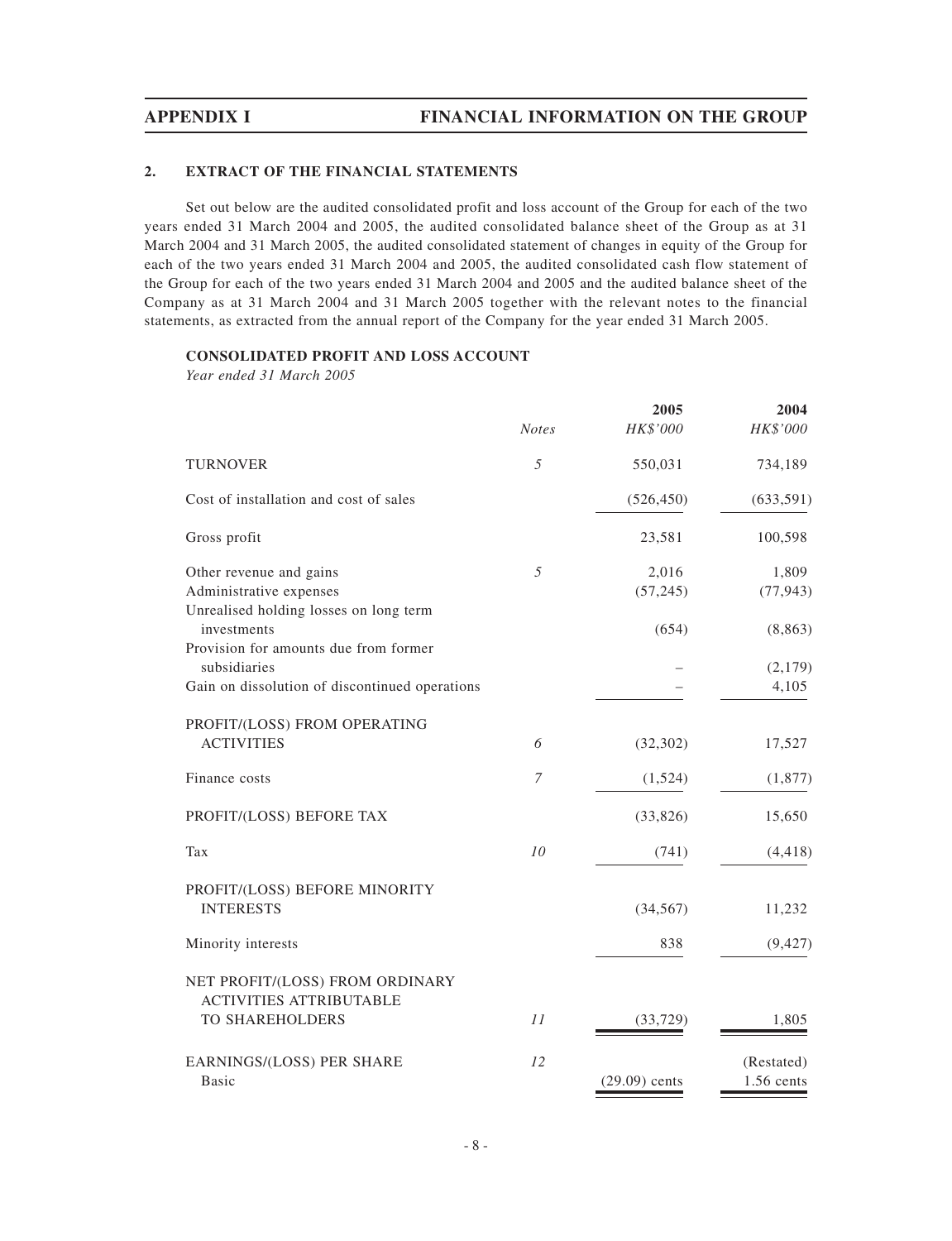# **2. EXTRACT OF THE FINANCIAL STATEMENTS**

Set out below are the audited consolidated profit and loss account of the Group for each of the two years ended 31 March 2004 and 2005, the audited consolidated balance sheet of the Group as at 31 March 2004 and 31 March 2005, the audited consolidated statement of changes in equity of the Group for each of the two years ended 31 March 2004 and 2005, the audited consolidated cash flow statement of the Group for each of the two years ended 31 March 2004 and 2005 and the audited balance sheet of the Company as at 31 March 2004 and 31 March 2005 together with the relevant notes to the financial statements, as extracted from the annual report of the Company for the year ended 31 March 2005.

## **CONSOLIDATED PROFIT AND LOSS ACCOUNT**

*Year ended 31 March 2005*

|                                                                   | <b>Notes</b>   | 2005<br>HK\$'000 | 2004<br>HK\$'000 |
|-------------------------------------------------------------------|----------------|------------------|------------------|
| <b>TURNOVER</b>                                                   | 5              | 550,031          | 734,189          |
| Cost of installation and cost of sales                            |                | (526, 450)       | (633, 591)       |
| Gross profit                                                      |                | 23,581           | 100,598          |
| Other revenue and gains                                           | 5              | 2,016            | 1,809            |
| Administrative expenses<br>Unrealised holding losses on long term |                | (57, 245)        | (77, 943)        |
| investments                                                       |                | (654)            | (8, 863)         |
| Provision for amounts due from former<br>subsidiaries             |                |                  |                  |
| Gain on dissolution of discontinued operations                    |                |                  | (2,179)<br>4,105 |
| PROFIT/(LOSS) FROM OPERATING                                      |                |                  |                  |
| <b>ACTIVITIES</b>                                                 | 6              | (32, 302)        | 17,527           |
| Finance costs                                                     | $\overline{7}$ | (1,524)          | (1, 877)         |
| PROFIT/(LOSS) BEFORE TAX                                          |                | (33,826)         | 15,650           |
| Tax                                                               | 10             | (741)            | (4, 418)         |
| PROFIT/(LOSS) BEFORE MINORITY                                     |                |                  |                  |
| <b>INTERESTS</b>                                                  |                | (34, 567)        | 11,232           |
| Minority interests                                                |                | 838              | (9, 427)         |
| NET PROFIT/(LOSS) FROM ORDINARY<br><b>ACTIVITIES ATTRIBUTABLE</b> |                |                  |                  |
| <b>TO SHAREHOLDERS</b>                                            | 11             | (33, 729)        | 1,805            |
| EARNINGS/(LOSS) PER SHARE                                         | 12             |                  | (Restated)       |
| <b>Basic</b>                                                      |                | $(29.09)$ cents  | 1.56 cents       |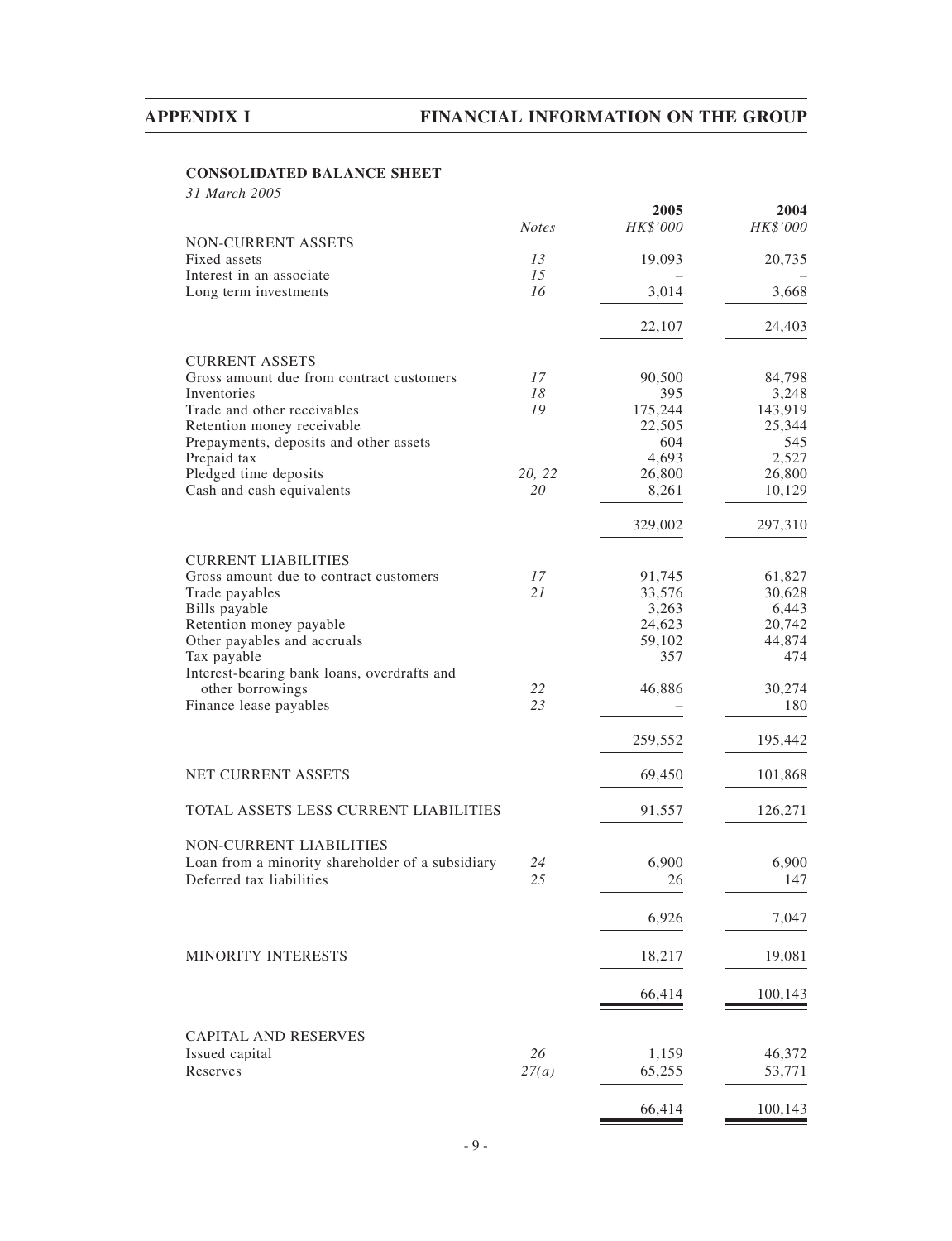# **CONSOLIDATED BALANCE SHEET**

*31 March 2005*

|                                                  |              | 2005     | 2004     |
|--------------------------------------------------|--------------|----------|----------|
|                                                  | <b>Notes</b> | HK\$'000 | HK\$'000 |
| NON-CURRENT ASSETS                               |              |          |          |
| Fixed assets                                     | 13           | 19,093   | 20,735   |
| Interest in an associate                         | 15           |          |          |
| Long term investments                            | 16           | 3,014    | 3,668    |
|                                                  |              | 22,107   | 24,403   |
| <b>CURRENT ASSETS</b>                            |              |          |          |
| Gross amount due from contract customers         | 17           | 90,500   | 84,798   |
| Inventories                                      | 18           | 395      | 3,248    |
| Trade and other receivables                      | 19           | 175,244  | 143,919  |
| Retention money receivable                       |              | 22,505   | 25,344   |
| Prepayments, deposits and other assets           |              | 604      | 545      |
| Prepaid tax                                      |              | 4,693    | 2,527    |
| Pledged time deposits                            | 20, 22       | 26,800   | 26,800   |
| Cash and cash equivalents                        | 20           | 8,261    | 10,129   |
|                                                  |              | 329,002  | 297,310  |
| <b>CURRENT LIABILITIES</b>                       |              |          |          |
| Gross amount due to contract customers           | 17           | 91,745   | 61,827   |
| Trade payables                                   | 21           | 33,576   | 30,628   |
| Bills payable                                    |              | 3,263    | 6,443    |
| Retention money payable                          |              | 24,623   | 20,742   |
| Other payables and accruals                      |              | 59,102   | 44,874   |
| Tax payable                                      |              | 357      | 474      |
| Interest-bearing bank loans, overdrafts and      |              |          |          |
| other borrowings                                 | 22           | 46,886   | 30,274   |
| Finance lease payables                           | 23           |          | 180      |
|                                                  |              |          |          |
|                                                  |              | 259,552  | 195,442  |
| NET CURRENT ASSETS                               |              | 69,450   | 101,868  |
| TOTAL ASSETS LESS CURRENT LIABILITIES            |              | 91,557   | 126,271  |
|                                                  |              |          |          |
| NON-CURRENT LIABILITIES                          |              |          |          |
| Loan from a minority shareholder of a subsidiary | 24           | 6,900    | 6,900    |
| Deferred tax liabilities                         | 25           | 26       | 147      |
|                                                  |              | 6,926    | 7,047    |
| MINORITY INTERESTS                               |              | 18,217   | 19,081   |
|                                                  |              |          |          |
|                                                  |              | 66,414   | 100,143  |
| <b>CAPITAL AND RESERVES</b>                      |              |          |          |
| Issued capital                                   | 26           | 1,159    | 46,372   |
| Reserves                                         | 27(a)        | 65,255   | 53,771   |
|                                                  |              |          |          |
|                                                  |              | 66,414   | 100,143  |
|                                                  |              |          |          |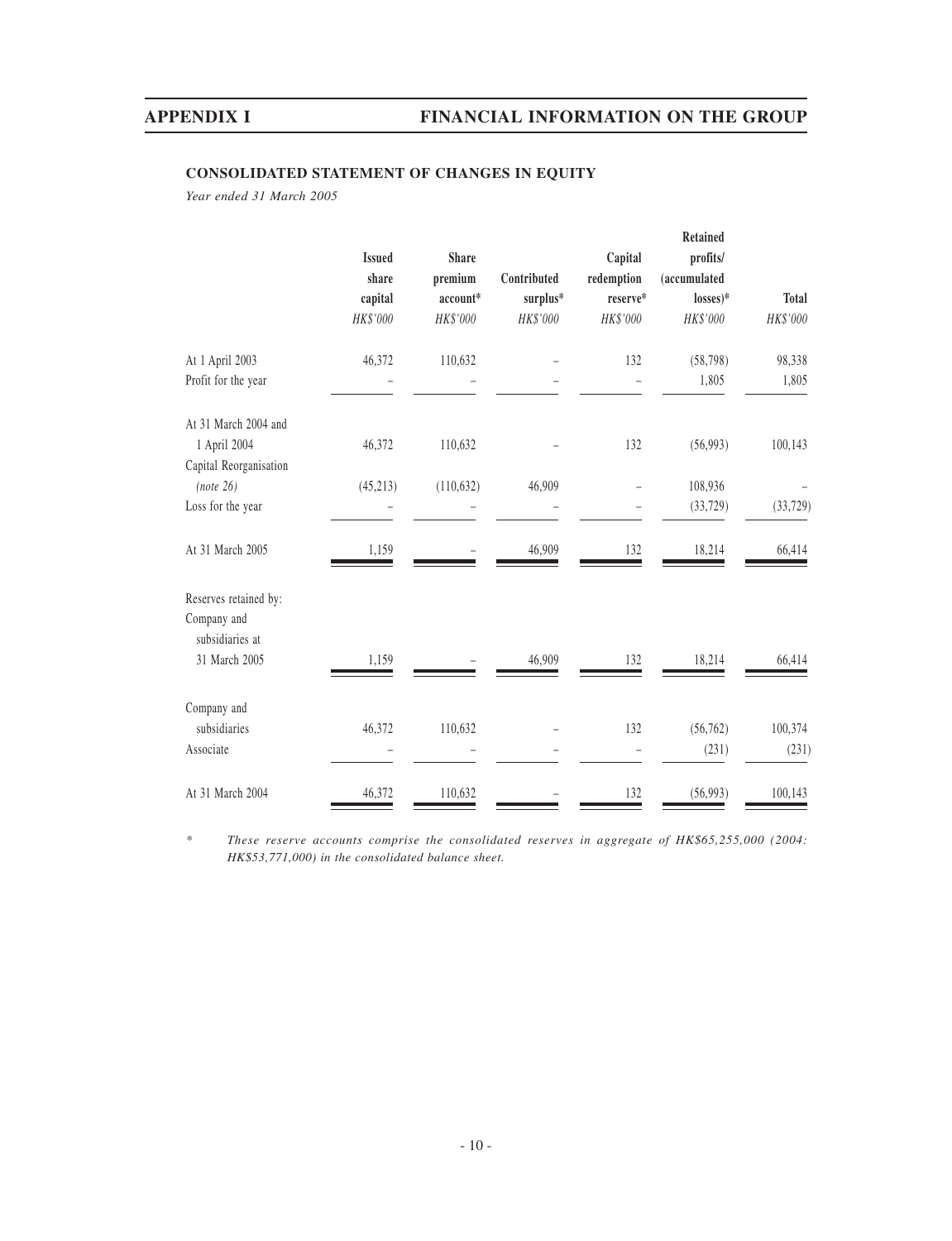# **CONSOLIDATED STATEMENT OF CHANGES IN EQUITY**

*Year ended 31 March 2005*

|                                | <b>Issued</b><br>share | <b>Share</b><br>premium | Contributed | Capital<br>$\rm redemption$ | Retained<br>profits/<br>(accumulated |              |
|--------------------------------|------------------------|-------------------------|-------------|-----------------------------|--------------------------------------|--------------|
|                                | capital                | account*                | surplus*    | reserve*                    | $losses)*$                           | <b>Total</b> |
|                                | HK\$'000               | HK\$'000                | HK\$'000    | HK\$'000                    | HK\$'000                             | HK\$'000     |
| At 1 April 2003                | 46,372                 | 110,632                 |             | 132                         | (58, 798)                            | 98,338       |
| Profit for the year            |                        |                         |             |                             | 1,805                                | 1,805        |
| At 31 March 2004 and           |                        |                         |             |                             |                                      |              |
| 1 April 2004                   | 46,372                 | 110,632                 |             | 132                         | (56,993)                             | 100,143      |
| Capital Reorganisation         |                        |                         |             |                             |                                      |              |
| (note 26)                      | (45, 213)              | (110, 632)              | 46,909      |                             | 108,936                              |              |
| Loss for the year              |                        |                         |             |                             | (33, 729)                            | (33, 729)    |
| At 31 March 2005               | 1,159                  |                         | 46,909      | 132                         | 18,214                               | 66,414       |
| Reserves retained by:          |                        |                         |             |                             |                                      |              |
| Company and<br>subsidiaries at |                        |                         |             |                             |                                      |              |
| 31 March 2005                  | 1,159                  |                         | 46,909      | 132                         | 18,214                               | 66,414       |
| Company and                    |                        |                         |             |                             |                                      |              |
| subsidiaries                   | 46,372                 | 110,632                 |             | 132                         | (56, 762)                            | 100,374      |
| Associate                      |                        |                         |             |                             | (231)                                | (231)        |
| At 31 March 2004               | 46,372                 | 110,632                 |             | 132                         | (56,993)                             | 100,143      |

*\* These reserve accounts comprise the consolidated reserves in aggregate of HK\$65,255,000 (2004: HK\$53,771,000) in the consolidated balance sheet.*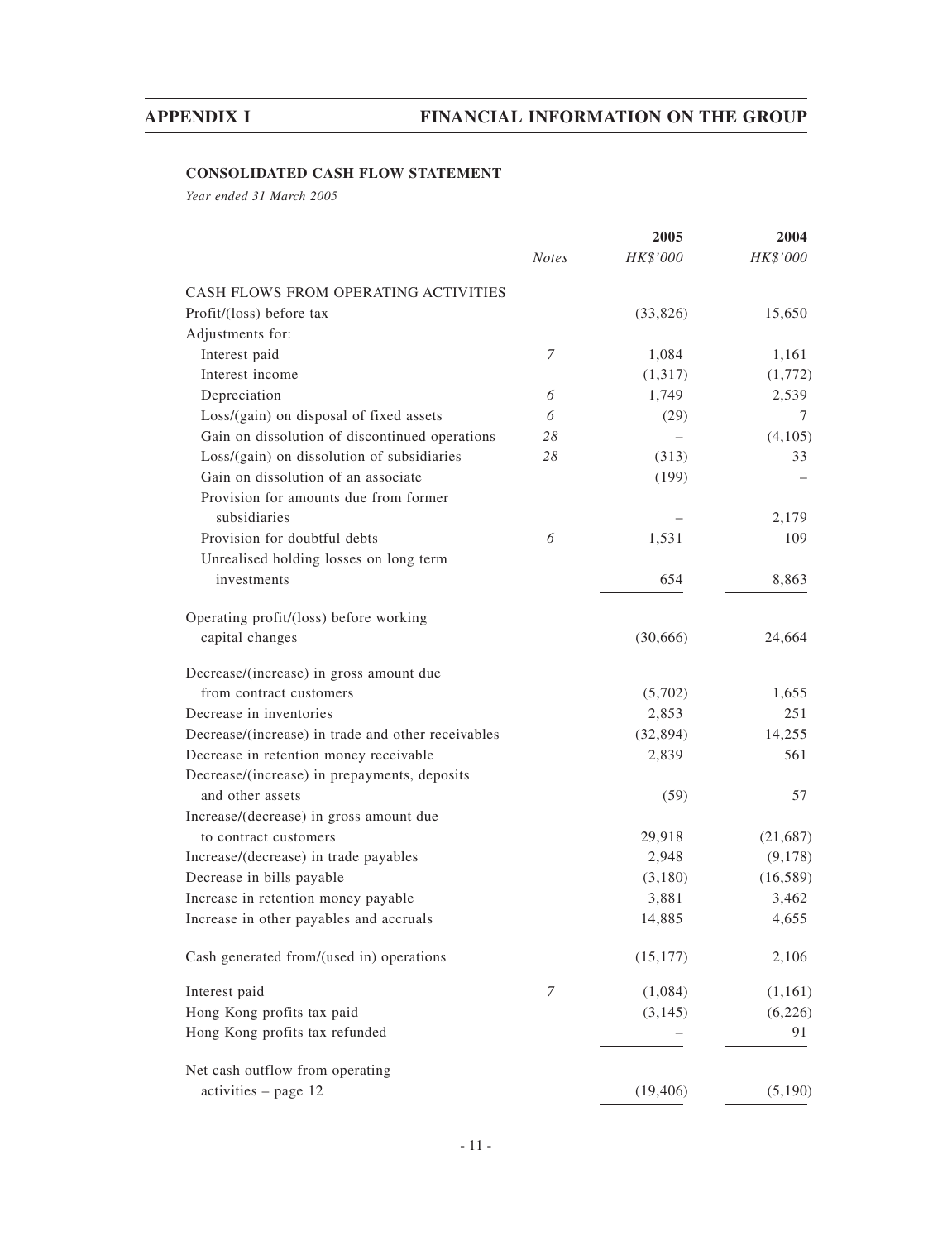# **CONSOLIDATED CASH FLOW STATEMENT**

*Year ended 31 March 2005*

|                                                    |              | 2005      | 2004      |
|----------------------------------------------------|--------------|-----------|-----------|
|                                                    | <b>Notes</b> | HK\$'000  | HK\$'000  |
| CASH FLOWS FROM OPERATING ACTIVITIES               |              |           |           |
| Profit/(loss) before tax                           |              | (33,826)  | 15,650    |
| Adjustments for:                                   |              |           |           |
| Interest paid                                      | 7            | 1,084     | 1,161     |
| Interest income                                    |              | (1,317)   | (1,772)   |
| Depreciation                                       | 6            | 1,749     | 2,539     |
| Loss/(gain) on disposal of fixed assets            | 6            | (29)      | 7         |
| Gain on dissolution of discontinued operations     | 28           |           | (4,105)   |
| Loss/(gain) on dissolution of subsidiaries         | 28           | (313)     | 33        |
| Gain on dissolution of an associate                |              | (199)     |           |
| Provision for amounts due from former              |              |           |           |
| subsidiaries                                       |              |           | 2,179     |
| Provision for doubtful debts                       | 6            | 1,531     | 109       |
| Unrealised holding losses on long term             |              |           |           |
| investments                                        |              | 654       | 8,863     |
| Operating profit/(loss) before working             |              |           |           |
| capital changes                                    |              | (30,666)  | 24,664    |
| Decrease/(increase) in gross amount due            |              |           |           |
| from contract customers                            |              | (5,702)   | 1,655     |
| Decrease in inventories                            |              | 2,853     | 251       |
| Decrease/(increase) in trade and other receivables |              | (32, 894) | 14,255    |
| Decrease in retention money receivable             |              | 2,839     | 561       |
| Decrease/(increase) in prepayments, deposits       |              |           |           |
| and other assets                                   |              | (59)      | 57        |
| Increase/(decrease) in gross amount due            |              |           |           |
| to contract customers                              |              | 29,918    | (21,687)  |
| Increase/(decrease) in trade payables              |              | 2,948     | (9,178)   |
| Decrease in bills payable                          |              | (3,180)   | (16, 589) |
| Increase in retention money payable                |              | 3,881     | 3,462     |
| Increase in other payables and accruals            |              | 14,885    | 4,655     |
| Cash generated from/(used in) operations           |              | (15, 177) | 2,106     |
| Interest paid                                      | 7            | (1,084)   | (1,161)   |
| Hong Kong profits tax paid                         |              | (3, 145)  | (6,226)   |
| Hong Kong profits tax refunded                     |              |           | 91        |
| Net cash outflow from operating                    |              |           |           |
| activities - page 12                               |              | (19, 406) | (5,190)   |
|                                                    |              |           |           |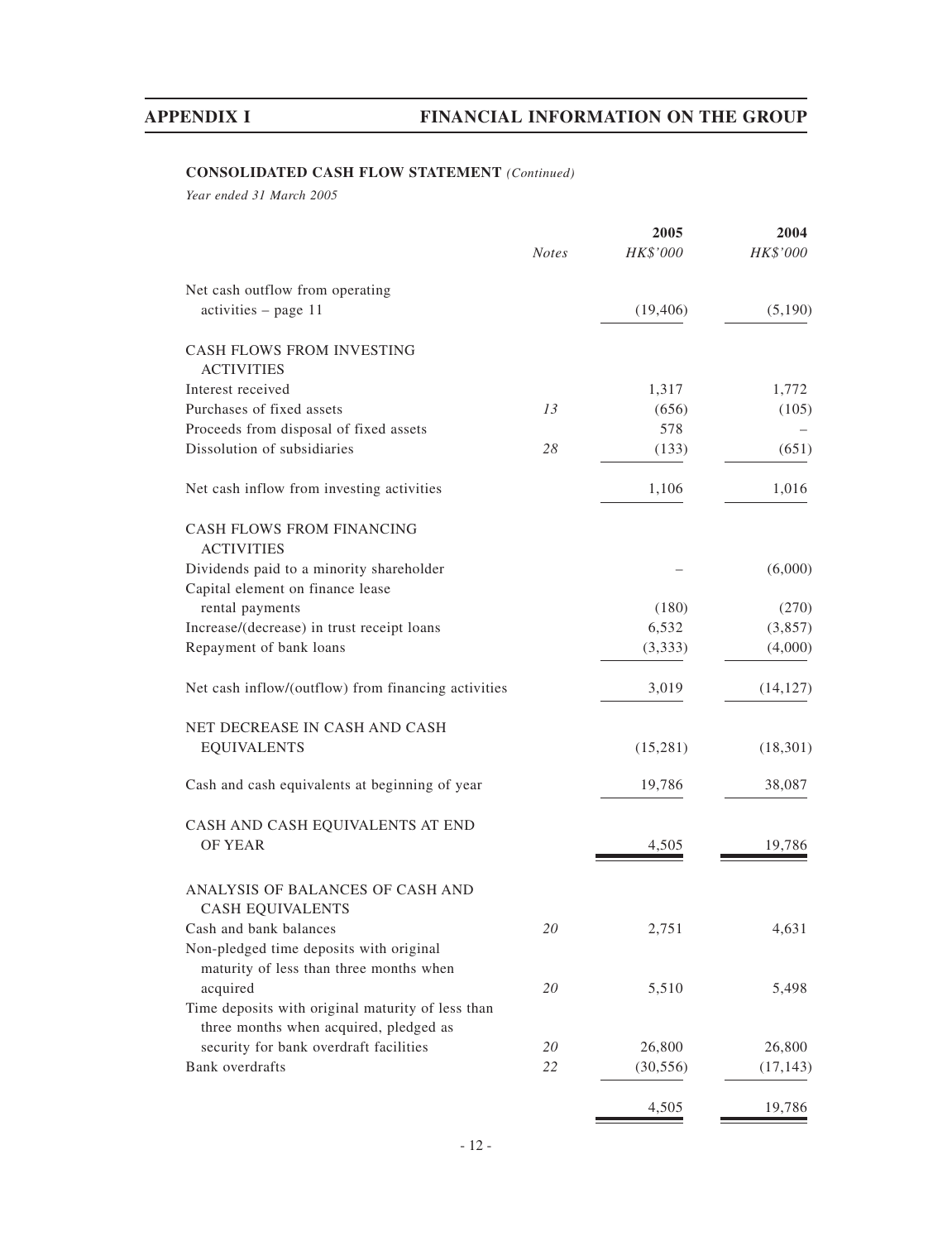# **CONSOLIDATED CASH FLOW STATEMENT** *(Continued)*

*Year ended 31 March 2005*

|                                                                                             | <b>Notes</b> | 2005<br>HK\$'000 | 2004<br>HK\$'000 |
|---------------------------------------------------------------------------------------------|--------------|------------------|------------------|
| Net cash outflow from operating                                                             |              |                  |                  |
| $activities - page 11$                                                                      |              | (19, 406)        | (5,190)          |
| CASH FLOWS FROM INVESTING<br><b>ACTIVITIES</b>                                              |              |                  |                  |
| Interest received                                                                           |              | 1,317            | 1,772            |
| Purchases of fixed assets                                                                   | 13           | (656)            | (105)            |
| Proceeds from disposal of fixed assets                                                      |              | 578              |                  |
| Dissolution of subsidiaries                                                                 | 28           | (133)            | (651)            |
| Net cash inflow from investing activities                                                   |              | 1,106            | 1,016            |
| CASH FLOWS FROM FINANCING<br><b>ACTIVITIES</b>                                              |              |                  |                  |
| Dividends paid to a minority shareholder                                                    |              |                  | (6,000)          |
| Capital element on finance lease                                                            |              |                  |                  |
| rental payments                                                                             |              | (180)            | (270)            |
| Increase/(decrease) in trust receipt loans                                                  |              | 6,532            | (3,857)          |
| Repayment of bank loans                                                                     |              | (3,333)          | (4,000)          |
| Net cash inflow/(outflow) from financing activities                                         |              | 3,019            | (14, 127)        |
| NET DECREASE IN CASH AND CASH                                                               |              |                  |                  |
| <b>EQUIVALENTS</b>                                                                          |              | (15,281)         | (18, 301)        |
| Cash and cash equivalents at beginning of year                                              |              | 19,786           | 38,087           |
| CASH AND CASH EQUIVALENTS AT END                                                            |              |                  |                  |
| <b>OF YEAR</b>                                                                              |              | 4,505            | 19,786           |
| ANALYSIS OF BALANCES OF CASH AND<br><b>CASH EQUIVALENTS</b>                                 |              |                  |                  |
| Cash and bank balances                                                                      | 20           | 2,751            | 4,631            |
| Non-pledged time deposits with original                                                     |              |                  |                  |
| maturity of less than three months when                                                     |              |                  |                  |
| acquired                                                                                    | 20           | 5,510            | 5,498            |
| Time deposits with original maturity of less than<br>three months when acquired, pledged as |              |                  |                  |
| security for bank overdraft facilities                                                      | 20           | 26,800           | 26,800           |
| <b>Bank</b> overdrafts                                                                      | 22           | (30, 556)        | (17, 143)        |
|                                                                                             |              | 4,505            | 19,786           |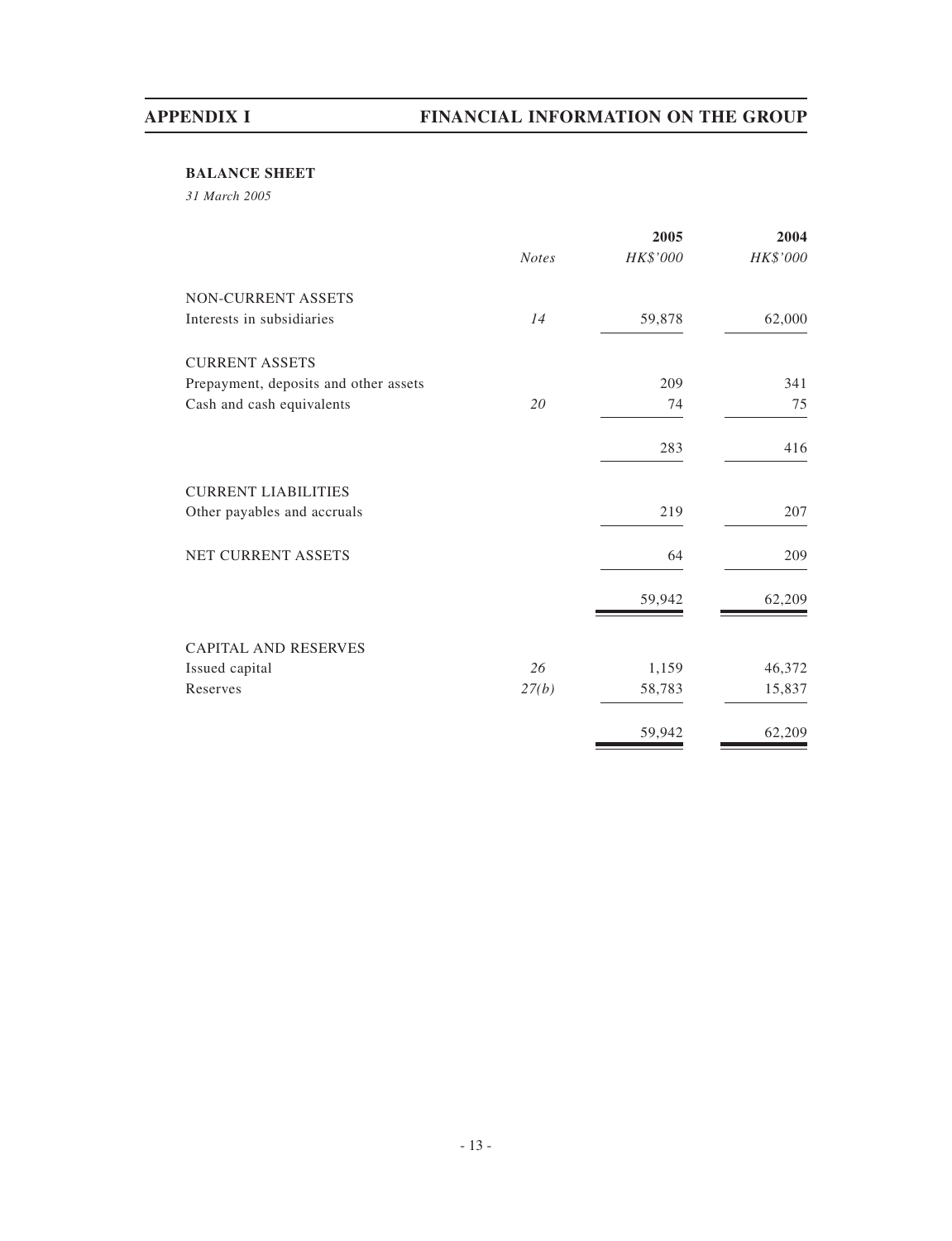# **BALANCE SHEET**

*31 March 2005*

|                                       |              | 2005     | 2004     |
|---------------------------------------|--------------|----------|----------|
|                                       | <b>Notes</b> | HK\$'000 | HK\$'000 |
| NON-CURRENT ASSETS                    |              |          |          |
| Interests in subsidiaries             | 14           | 59,878   | 62,000   |
| <b>CURRENT ASSETS</b>                 |              |          |          |
| Prepayment, deposits and other assets |              | 209      | 341      |
| Cash and cash equivalents             | 20           | 74       | 75       |
|                                       |              | 283      | 416      |
| <b>CURRENT LIABILITIES</b>            |              |          |          |
| Other payables and accruals           |              | 219      | 207      |
| NET CURRENT ASSETS                    |              | 64       | 209      |
|                                       |              | 59,942   | 62,209   |
| <b>CAPITAL AND RESERVES</b>           |              |          |          |
| Issued capital                        | 26           | 1,159    | 46,372   |
| Reserves                              | 27(b)        | 58,783   | 15,837   |
|                                       |              | 59,942   | 62,209   |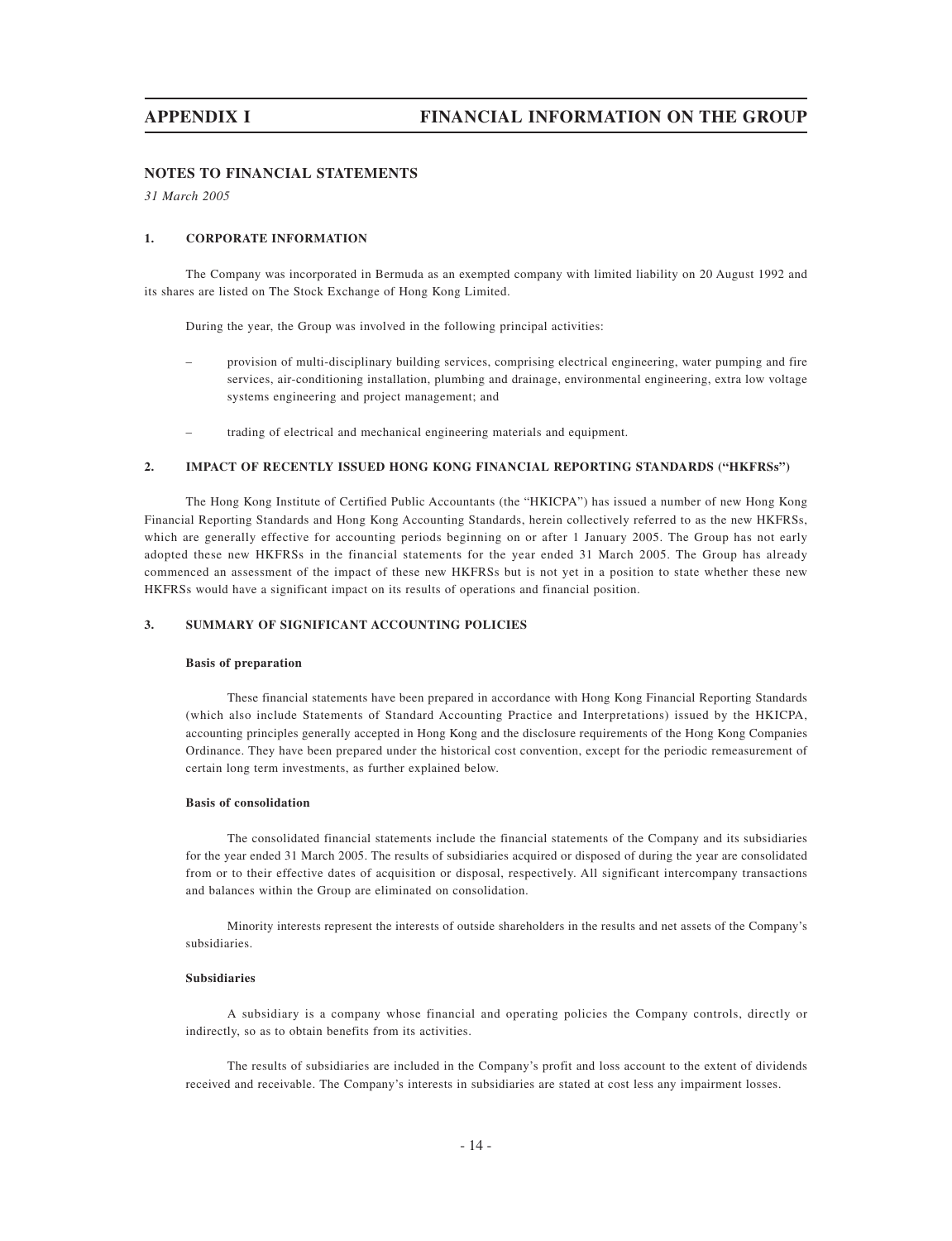# **NOTES TO FINANCIAL STATEMENTS**

*31 March 2005*

### **1. CORPORATE INFORMATION**

The Company was incorporated in Bermuda as an exempted company with limited liability on 20 August 1992 and its shares are listed on The Stock Exchange of Hong Kong Limited.

During the year, the Group was involved in the following principal activities:

- provision of multi-disciplinary building services, comprising electrical engineering, water pumping and fire services, air-conditioning installation, plumbing and drainage, environmental engineering, extra low voltage systems engineering and project management; and
- trading of electrical and mechanical engineering materials and equipment.

### **2. IMPACT OF RECENTLY ISSUED HONG KONG FINANCIAL REPORTING STANDARDS ("HKFRSs")**

The Hong Kong Institute of Certified Public Accountants (the "HKICPA") has issued a number of new Hong Kong Financial Reporting Standards and Hong Kong Accounting Standards, herein collectively referred to as the new HKFRSs, which are generally effective for accounting periods beginning on or after 1 January 2005. The Group has not early adopted these new HKFRSs in the financial statements for the year ended 31 March 2005. The Group has already commenced an assessment of the impact of these new HKFRSs but is not yet in a position to state whether these new HKFRSs would have a significant impact on its results of operations and financial position.

### **3. SUMMARY OF SIGNIFICANT ACCOUNTING POLICIES**

### **Basis of preparation**

These financial statements have been prepared in accordance with Hong Kong Financial Reporting Standards (which also include Statements of Standard Accounting Practice and Interpretations) issued by the HKICPA, accounting principles generally accepted in Hong Kong and the disclosure requirements of the Hong Kong Companies Ordinance. They have been prepared under the historical cost convention, except for the periodic remeasurement of certain long term investments, as further explained below.

### **Basis of consolidation**

The consolidated financial statements include the financial statements of the Company and its subsidiaries for the year ended 31 March 2005. The results of subsidiaries acquired or disposed of during the year are consolidated from or to their effective dates of acquisition or disposal, respectively. All significant intercompany transactions and balances within the Group are eliminated on consolidation.

Minority interests represent the interests of outside shareholders in the results and net assets of the Company's subsidiaries.

### **Subsidiaries**

A subsidiary is a company whose financial and operating policies the Company controls, directly or indirectly, so as to obtain benefits from its activities.

The results of subsidiaries are included in the Company's profit and loss account to the extent of dividends received and receivable. The Company's interests in subsidiaries are stated at cost less any impairment losses.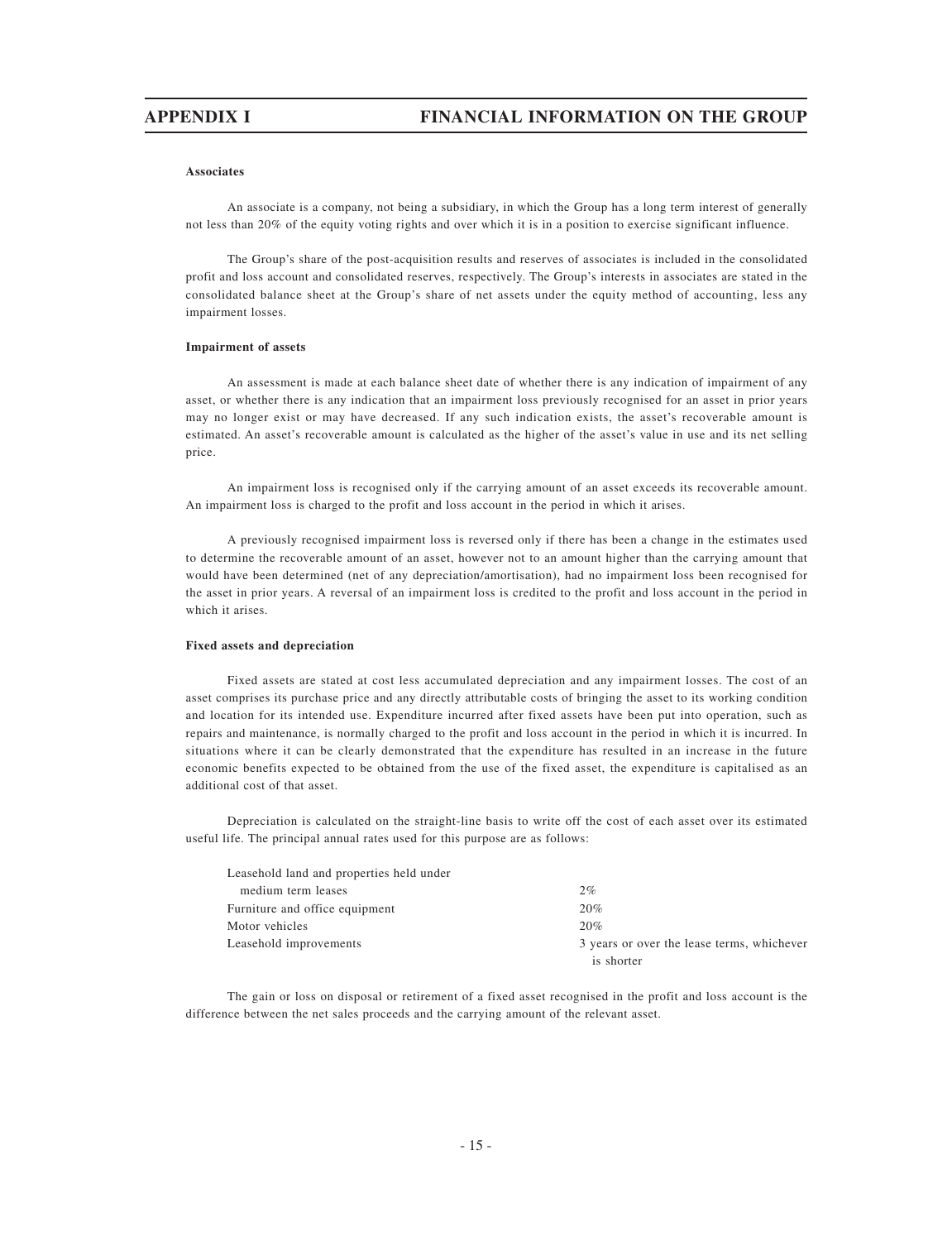### **Associates**

An associate is a company, not being a subsidiary, in which the Group has a long term interest of generally not less than 20% of the equity voting rights and over which it is in a position to exercise significant influence.

The Group's share of the post-acquisition results and reserves of associates is included in the consolidated profit and loss account and consolidated reserves, respectively. The Group's interests in associates are stated in the consolidated balance sheet at the Group's share of net assets under the equity method of accounting, less any impairment losses.

### **Impairment of assets**

An assessment is made at each balance sheet date of whether there is any indication of impairment of any asset, or whether there is any indication that an impairment loss previously recognised for an asset in prior years may no longer exist or may have decreased. If any such indication exists, the asset's recoverable amount is estimated. An asset's recoverable amount is calculated as the higher of the asset's value in use and its net selling price.

An impairment loss is recognised only if the carrying amount of an asset exceeds its recoverable amount. An impairment loss is charged to the profit and loss account in the period in which it arises.

A previously recognised impairment loss is reversed only if there has been a change in the estimates used to determine the recoverable amount of an asset, however not to an amount higher than the carrying amount that would have been determined (net of any depreciation/amortisation), had no impairment loss been recognised for the asset in prior years. A reversal of an impairment loss is credited to the profit and loss account in the period in which it arises.

### **Fixed assets and depreciation**

Fixed assets are stated at cost less accumulated depreciation and any impairment losses. The cost of an asset comprises its purchase price and any directly attributable costs of bringing the asset to its working condition and location for its intended use. Expenditure incurred after fixed assets have been put into operation, such as repairs and maintenance, is normally charged to the profit and loss account in the period in which it is incurred. In situations where it can be clearly demonstrated that the expenditure has resulted in an increase in the future economic benefits expected to be obtained from the use of the fixed asset, the expenditure is capitalised as an additional cost of that asset.

Depreciation is calculated on the straight-line basis to write off the cost of each asset over its estimated useful life. The principal annual rates used for this purpose are as follows:

|                                          | is shorter                                 |
|------------------------------------------|--------------------------------------------|
| Leasehold improvements                   | 3 years or over the lease terms, whichever |
| Motor vehicles                           | 20%                                        |
| Furniture and office equipment           | 20%                                        |
| medium term leases                       | 2%                                         |
| Leasehold land and properties held under |                                            |

The gain or loss on disposal or retirement of a fixed asset recognised in the profit and loss account is the difference between the net sales proceeds and the carrying amount of the relevant asset.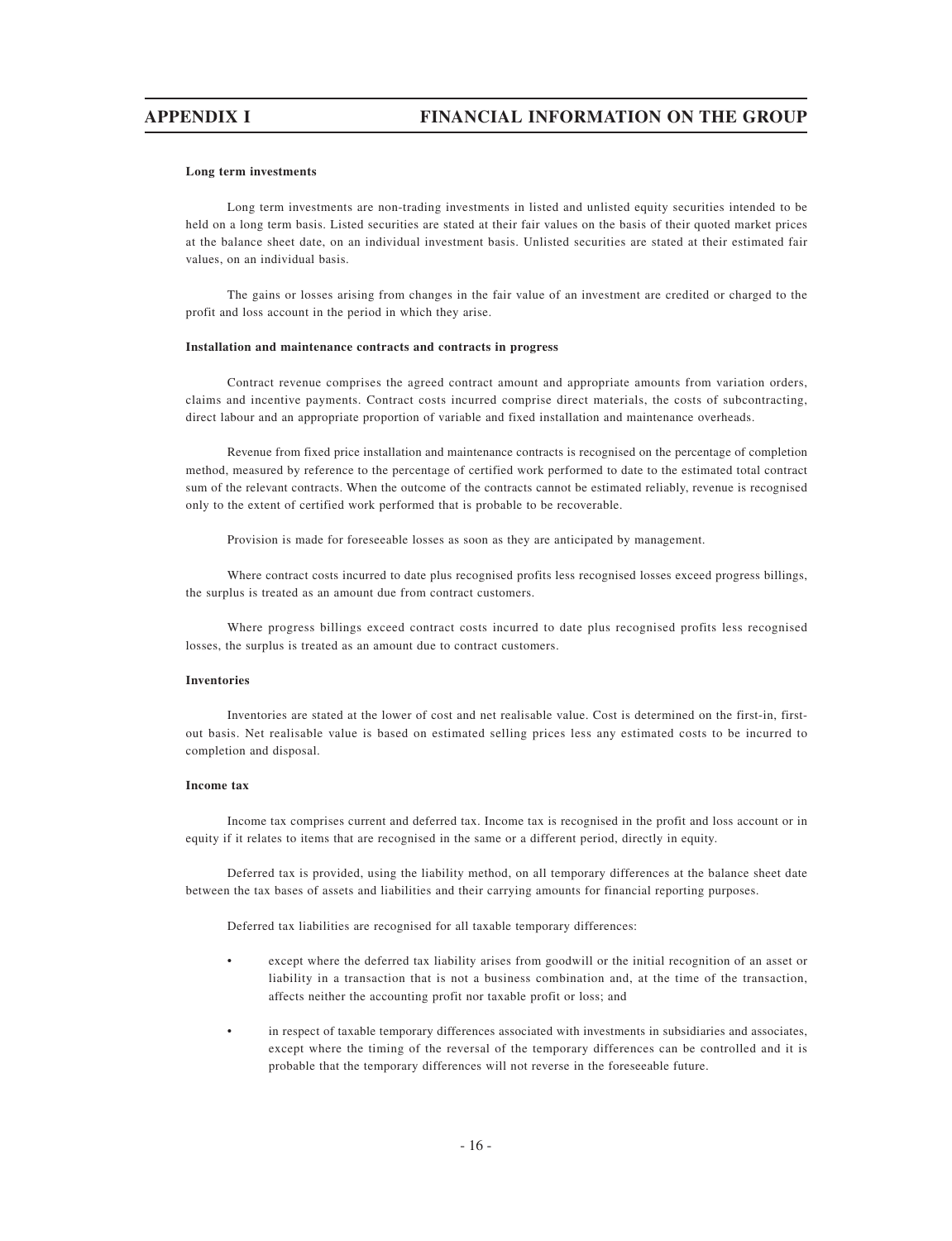### **Long term investments**

Long term investments are non-trading investments in listed and unlisted equity securities intended to be held on a long term basis. Listed securities are stated at their fair values on the basis of their quoted market prices at the balance sheet date, on an individual investment basis. Unlisted securities are stated at their estimated fair values, on an individual basis.

The gains or losses arising from changes in the fair value of an investment are credited or charged to the profit and loss account in the period in which they arise.

### **Installation and maintenance contracts and contracts in progress**

Contract revenue comprises the agreed contract amount and appropriate amounts from variation orders, claims and incentive payments. Contract costs incurred comprise direct materials, the costs of subcontracting, direct labour and an appropriate proportion of variable and fixed installation and maintenance overheads.

Revenue from fixed price installation and maintenance contracts is recognised on the percentage of completion method, measured by reference to the percentage of certified work performed to date to the estimated total contract sum of the relevant contracts. When the outcome of the contracts cannot be estimated reliably, revenue is recognised only to the extent of certified work performed that is probable to be recoverable.

Provision is made for foreseeable losses as soon as they are anticipated by management.

Where contract costs incurred to date plus recognised profits less recognised losses exceed progress billings, the surplus is treated as an amount due from contract customers.

Where progress billings exceed contract costs incurred to date plus recognised profits less recognised losses, the surplus is treated as an amount due to contract customers.

### **Inventories**

Inventories are stated at the lower of cost and net realisable value. Cost is determined on the first-in, firstout basis. Net realisable value is based on estimated selling prices less any estimated costs to be incurred to completion and disposal.

### **Income tax**

Income tax comprises current and deferred tax. Income tax is recognised in the profit and loss account or in equity if it relates to items that are recognised in the same or a different period, directly in equity.

Deferred tax is provided, using the liability method, on all temporary differences at the balance sheet date between the tax bases of assets and liabilities and their carrying amounts for financial reporting purposes.

Deferred tax liabilities are recognised for all taxable temporary differences:

- except where the deferred tax liability arises from goodwill or the initial recognition of an asset or liability in a transaction that is not a business combination and, at the time of the transaction, affects neither the accounting profit nor taxable profit or loss; and
- in respect of taxable temporary differences associated with investments in subsidiaries and associates, except where the timing of the reversal of the temporary differences can be controlled and it is probable that the temporary differences will not reverse in the foreseeable future.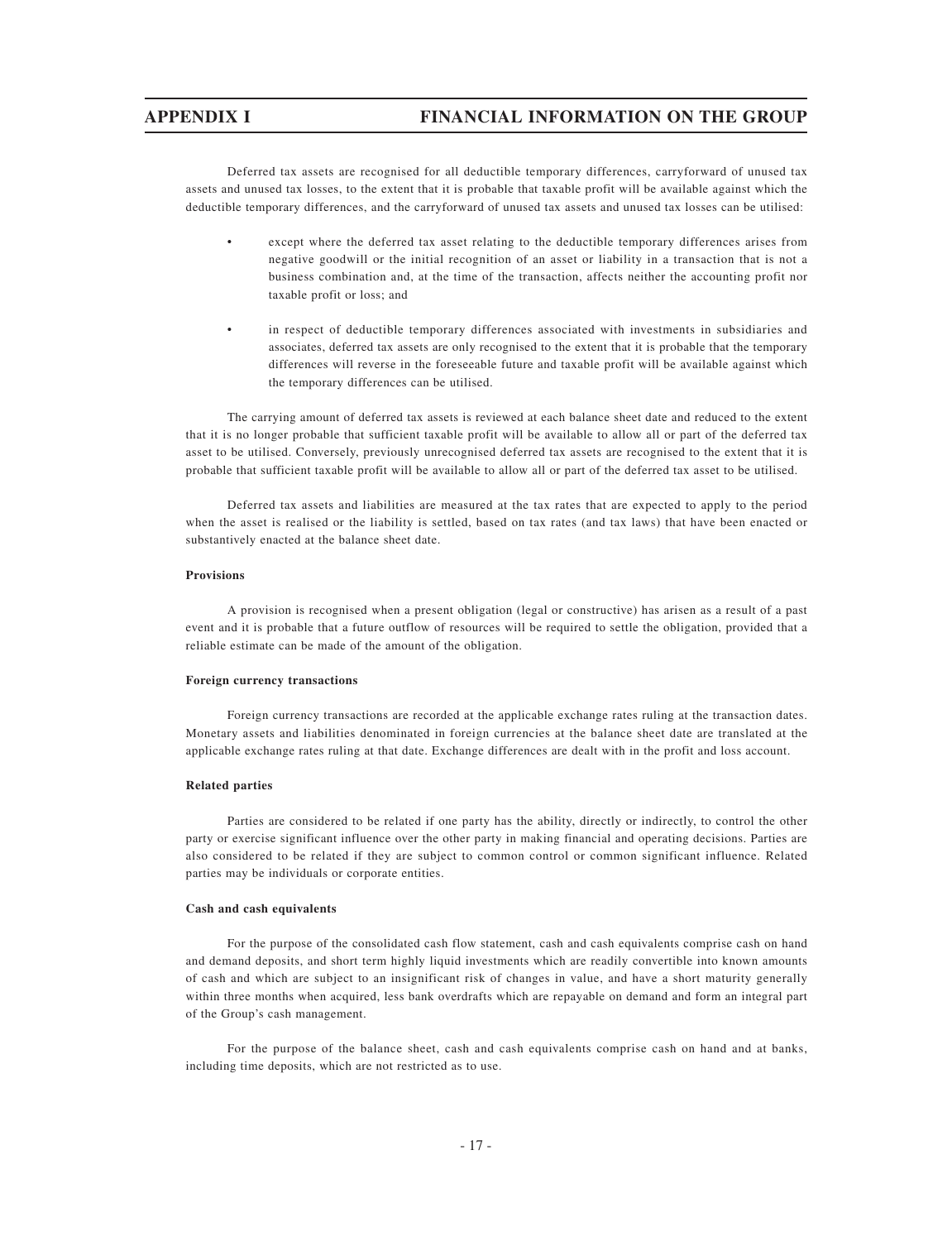Deferred tax assets are recognised for all deductible temporary differences, carryforward of unused tax assets and unused tax losses, to the extent that it is probable that taxable profit will be available against which the deductible temporary differences, and the carryforward of unused tax assets and unused tax losses can be utilised:

- except where the deferred tax asset relating to the deductible temporary differences arises from negative goodwill or the initial recognition of an asset or liability in a transaction that is not a business combination and, at the time of the transaction, affects neither the accounting profit nor taxable profit or loss; and
- in respect of deductible temporary differences associated with investments in subsidiaries and associates, deferred tax assets are only recognised to the extent that it is probable that the temporary differences will reverse in the foreseeable future and taxable profit will be available against which the temporary differences can be utilised.

The carrying amount of deferred tax assets is reviewed at each balance sheet date and reduced to the extent that it is no longer probable that sufficient taxable profit will be available to allow all or part of the deferred tax asset to be utilised. Conversely, previously unrecognised deferred tax assets are recognised to the extent that it is probable that sufficient taxable profit will be available to allow all or part of the deferred tax asset to be utilised.

Deferred tax assets and liabilities are measured at the tax rates that are expected to apply to the period when the asset is realised or the liability is settled, based on tax rates (and tax laws) that have been enacted or substantively enacted at the balance sheet date.

### **Provisions**

A provision is recognised when a present obligation (legal or constructive) has arisen as a result of a past event and it is probable that a future outflow of resources will be required to settle the obligation, provided that a reliable estimate can be made of the amount of the obligation.

### **Foreign currency transactions**

Foreign currency transactions are recorded at the applicable exchange rates ruling at the transaction dates. Monetary assets and liabilities denominated in foreign currencies at the balance sheet date are translated at the applicable exchange rates ruling at that date. Exchange differences are dealt with in the profit and loss account.

### **Related parties**

Parties are considered to be related if one party has the ability, directly or indirectly, to control the other party or exercise significant influence over the other party in making financial and operating decisions. Parties are also considered to be related if they are subject to common control or common significant influence. Related parties may be individuals or corporate entities.

### **Cash and cash equivalents**

For the purpose of the consolidated cash flow statement, cash and cash equivalents comprise cash on hand and demand deposits, and short term highly liquid investments which are readily convertible into known amounts of cash and which are subject to an insignificant risk of changes in value, and have a short maturity generally within three months when acquired, less bank overdrafts which are repayable on demand and form an integral part of the Group's cash management.

For the purpose of the balance sheet, cash and cash equivalents comprise cash on hand and at banks, including time deposits, which are not restricted as to use.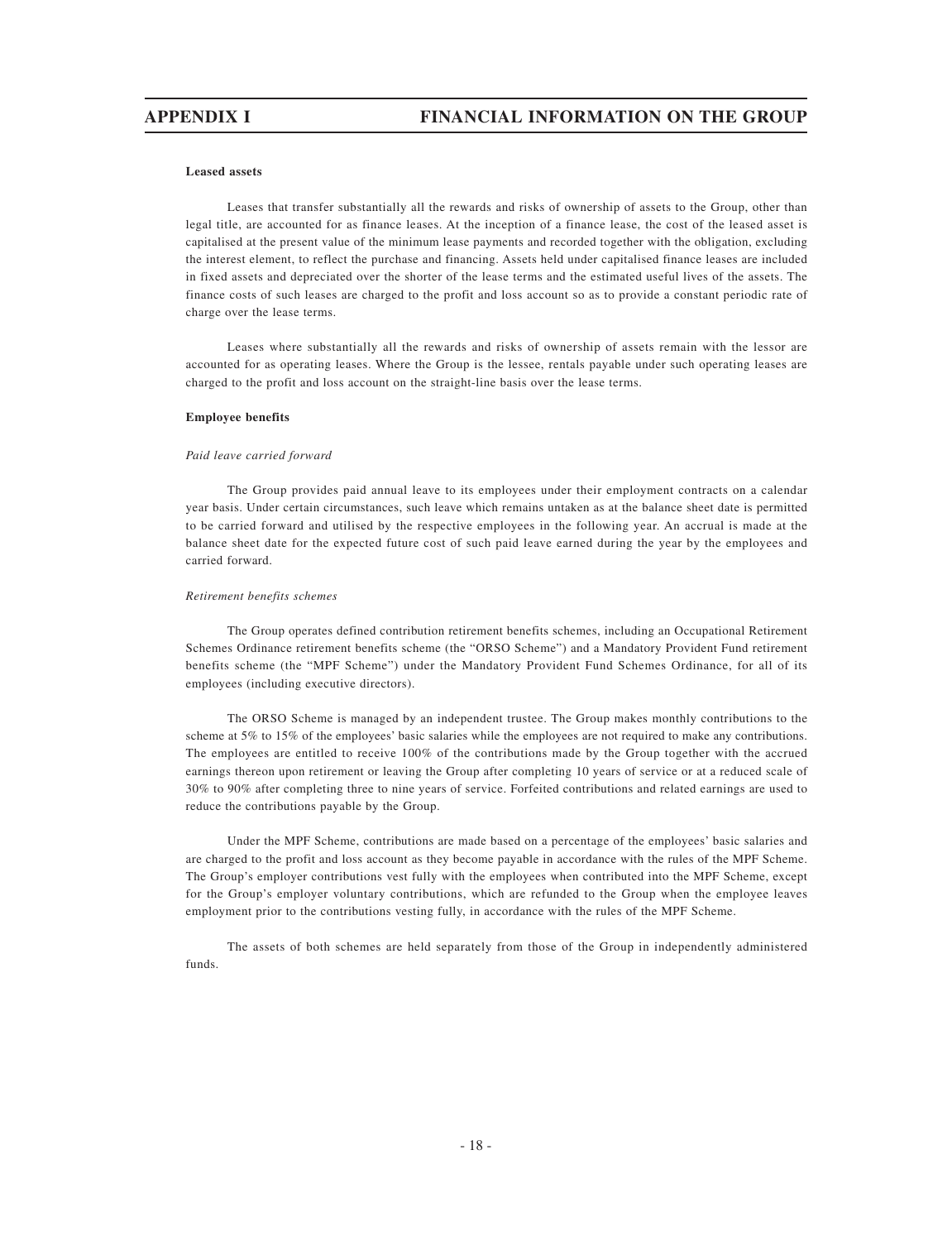### **Leased assets**

Leases that transfer substantially all the rewards and risks of ownership of assets to the Group, other than legal title, are accounted for as finance leases. At the inception of a finance lease, the cost of the leased asset is capitalised at the present value of the minimum lease payments and recorded together with the obligation, excluding the interest element, to reflect the purchase and financing. Assets held under capitalised finance leases are included in fixed assets and depreciated over the shorter of the lease terms and the estimated useful lives of the assets. The finance costs of such leases are charged to the profit and loss account so as to provide a constant periodic rate of charge over the lease terms.

Leases where substantially all the rewards and risks of ownership of assets remain with the lessor are accounted for as operating leases. Where the Group is the lessee, rentals payable under such operating leases are charged to the profit and loss account on the straight-line basis over the lease terms.

### **Employee benefits**

### *Paid leave carried forward*

The Group provides paid annual leave to its employees under their employment contracts on a calendar year basis. Under certain circumstances, such leave which remains untaken as at the balance sheet date is permitted to be carried forward and utilised by the respective employees in the following year. An accrual is made at the balance sheet date for the expected future cost of such paid leave earned during the year by the employees and carried forward.

### *Retirement benefits schemes*

The Group operates defined contribution retirement benefits schemes, including an Occupational Retirement Schemes Ordinance retirement benefits scheme (the "ORSO Scheme") and a Mandatory Provident Fund retirement benefits scheme (the "MPF Scheme") under the Mandatory Provident Fund Schemes Ordinance, for all of its employees (including executive directors).

The ORSO Scheme is managed by an independent trustee. The Group makes monthly contributions to the scheme at 5% to 15% of the employees' basic salaries while the employees are not required to make any contributions. The employees are entitled to receive 100% of the contributions made by the Group together with the accrued earnings thereon upon retirement or leaving the Group after completing 10 years of service or at a reduced scale of 30% to 90% after completing three to nine years of service. Forfeited contributions and related earnings are used to reduce the contributions payable by the Group.

Under the MPF Scheme, contributions are made based on a percentage of the employees' basic salaries and are charged to the profit and loss account as they become payable in accordance with the rules of the MPF Scheme. The Group's employer contributions vest fully with the employees when contributed into the MPF Scheme, except for the Group's employer voluntary contributions, which are refunded to the Group when the employee leaves employment prior to the contributions vesting fully, in accordance with the rules of the MPF Scheme.

The assets of both schemes are held separately from those of the Group in independently administered funds.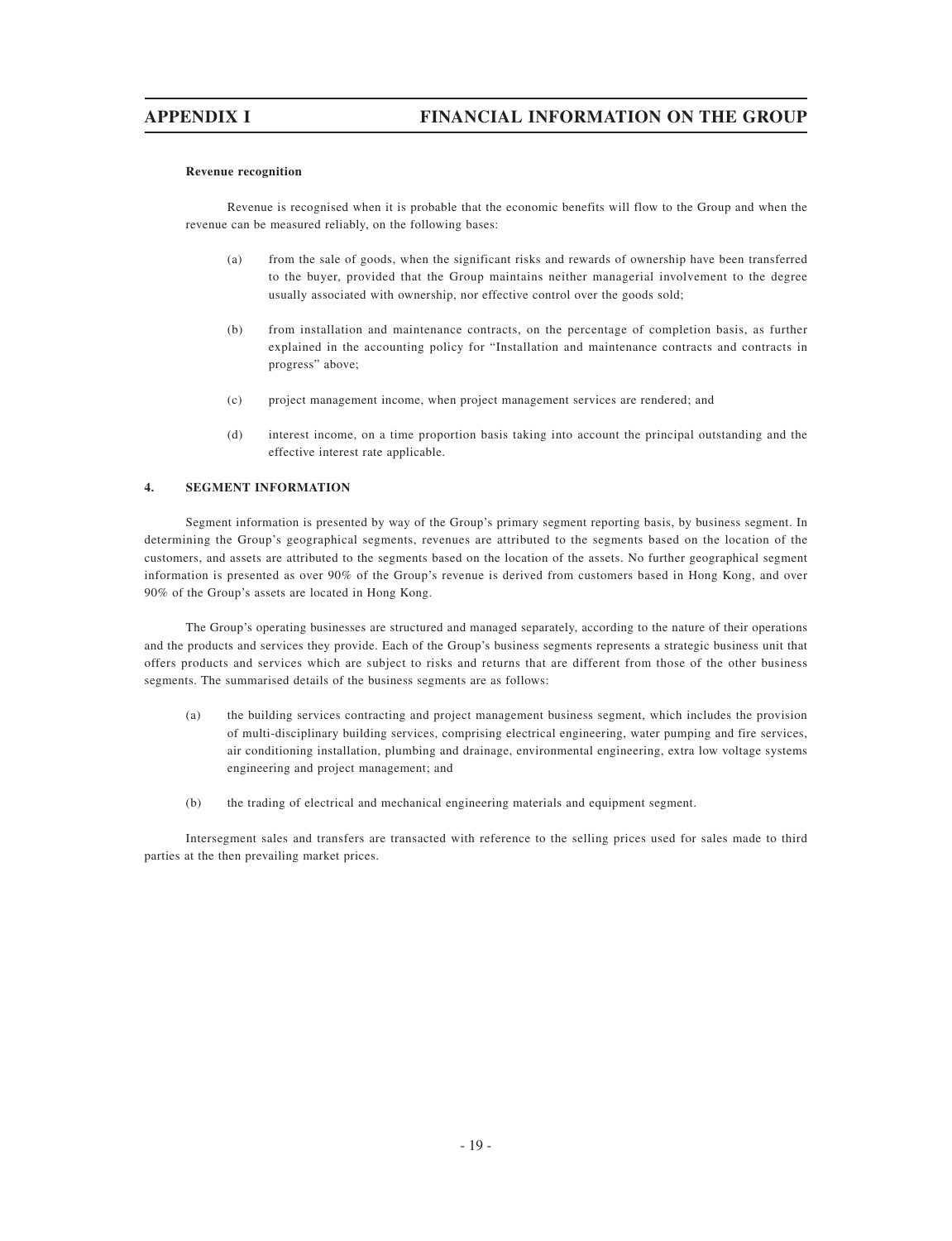### **Revenue recognition**

Revenue is recognised when it is probable that the economic benefits will flow to the Group and when the revenue can be measured reliably, on the following bases:

- (a) from the sale of goods, when the significant risks and rewards of ownership have been transferred to the buyer, provided that the Group maintains neither managerial involvement to the degree usually associated with ownership, nor effective control over the goods sold;
- (b) from installation and maintenance contracts, on the percentage of completion basis, as further explained in the accounting policy for "Installation and maintenance contracts and contracts in progress" above;
- (c) project management income, when project management services are rendered; and
- (d) interest income, on a time proportion basis taking into account the principal outstanding and the effective interest rate applicable.

### **4. SEGMENT INFORMATION**

Segment information is presented by way of the Group's primary segment reporting basis, by business segment. In determining the Group's geographical segments, revenues are attributed to the segments based on the location of the customers, and assets are attributed to the segments based on the location of the assets. No further geographical segment information is presented as over 90% of the Group's revenue is derived from customers based in Hong Kong, and over 90% of the Group's assets are located in Hong Kong.

The Group's operating businesses are structured and managed separately, according to the nature of their operations and the products and services they provide. Each of the Group's business segments represents a strategic business unit that offers products and services which are subject to risks and returns that are different from those of the other business segments. The summarised details of the business segments are as follows:

- (a) the building services contracting and project management business segment, which includes the provision of multi-disciplinary building services, comprising electrical engineering, water pumping and fire services, air conditioning installation, plumbing and drainage, environmental engineering, extra low voltage systems engineering and project management; and
- (b) the trading of electrical and mechanical engineering materials and equipment segment.

Intersegment sales and transfers are transacted with reference to the selling prices used for sales made to third parties at the then prevailing market prices.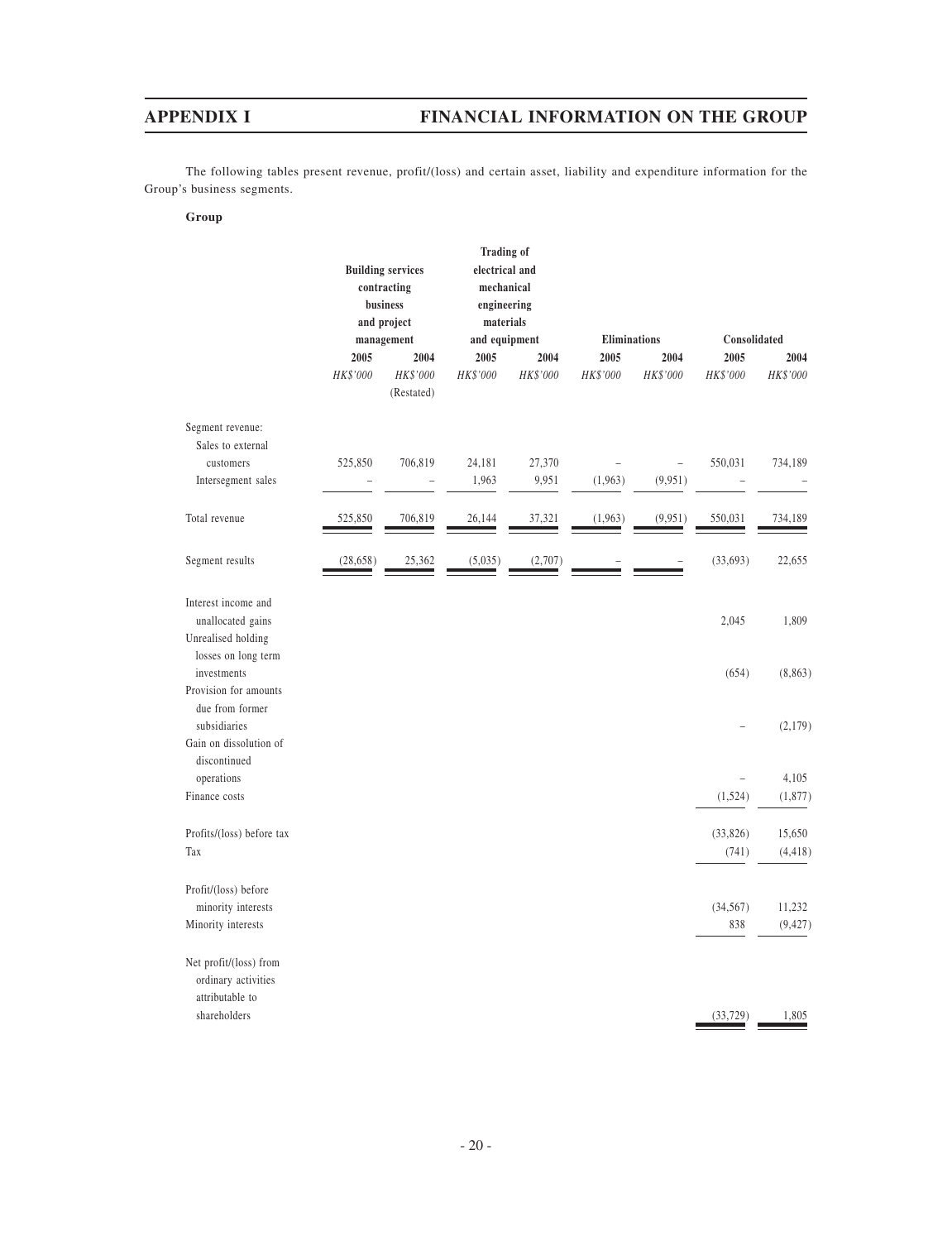The following tables present revenue, profit/(loss) and certain asset, liability and expenditure information for the Group's business segments.

### **Group**

|                                                                |                                        | <b>Building services</b>       | <b>Trading of</b><br>electrical and    |                  |                     |                  |                  |                    |
|----------------------------------------------------------------|----------------------------------------|--------------------------------|----------------------------------------|------------------|---------------------|------------------|------------------|--------------------|
|                                                                | contracting<br>business<br>and project |                                | mechanical<br>engineering<br>materials |                  |                     |                  |                  |                    |
|                                                                |                                        | management                     | and equipment                          |                  | <b>Eliminations</b> |                  | Consolidated     |                    |
|                                                                | 2005<br>HK\$'000                       | 2004<br>HK\$'000<br>(Restated) | 2005<br>HK\$'000                       | 2004<br>HK\$'000 | 2005<br>HK\$'000    | 2004<br>HK\$'000 | 2005<br>HK\$'000 | 2004<br>HK\$'000   |
| Segment revenue:<br>Sales to external                          |                                        |                                |                                        |                  |                     |                  |                  |                    |
| customers<br>Intersegment sales                                | 525,850                                | 706,819                        | 24,181<br>1,963                        | 27,370<br>9,951  | (1,963)             | (9, 951)         | 550,031          | 734,189            |
|                                                                |                                        | -                              |                                        |                  |                     |                  |                  |                    |
| Total revenue                                                  | 525,850                                | 706,819                        | 26,144                                 | 37,321           | (1,963)             | (9, 951)         | 550,031          | 734,189            |
| Segment results                                                | (28, 658)                              | 25,362                         | (5,035)                                | (2,707)          |                     |                  | (33, 693)        | 22,655             |
| Interest income and<br>unallocated gains<br>Unrealised holding |                                        |                                |                                        |                  |                     |                  | 2,045            | 1,809              |
| losses on long term<br>investments<br>Provision for amounts    |                                        |                                |                                        |                  |                     |                  | (654)            | (8, 863)           |
| due from former<br>subsidiaries                                |                                        |                                |                                        |                  |                     |                  |                  | (2,179)            |
| Gain on dissolution of<br>discontinued<br>operations           |                                        |                                |                                        |                  |                     |                  |                  | 4,105              |
| Finance costs                                                  |                                        |                                |                                        |                  |                     |                  | (1,524)          | (1, 877)           |
| Profits/(loss) before tax                                      |                                        |                                |                                        |                  |                     |                  | (33,826)         | 15,650             |
| Tax                                                            |                                        |                                |                                        |                  |                     |                  | (741)            | (4, 418)           |
| Profit/(loss) before                                           |                                        |                                |                                        |                  |                     |                  |                  |                    |
| minority interests<br>Minority interests                       |                                        |                                |                                        |                  |                     |                  | (34, 567)<br>838 | 11,232<br>(9, 427) |
| Net profit/(loss) from<br>ordinary activities                  |                                        |                                |                                        |                  |                     |                  |                  |                    |
| attributable to<br>shareholders                                |                                        |                                |                                        |                  |                     |                  | (33, 729)        | 1,805              |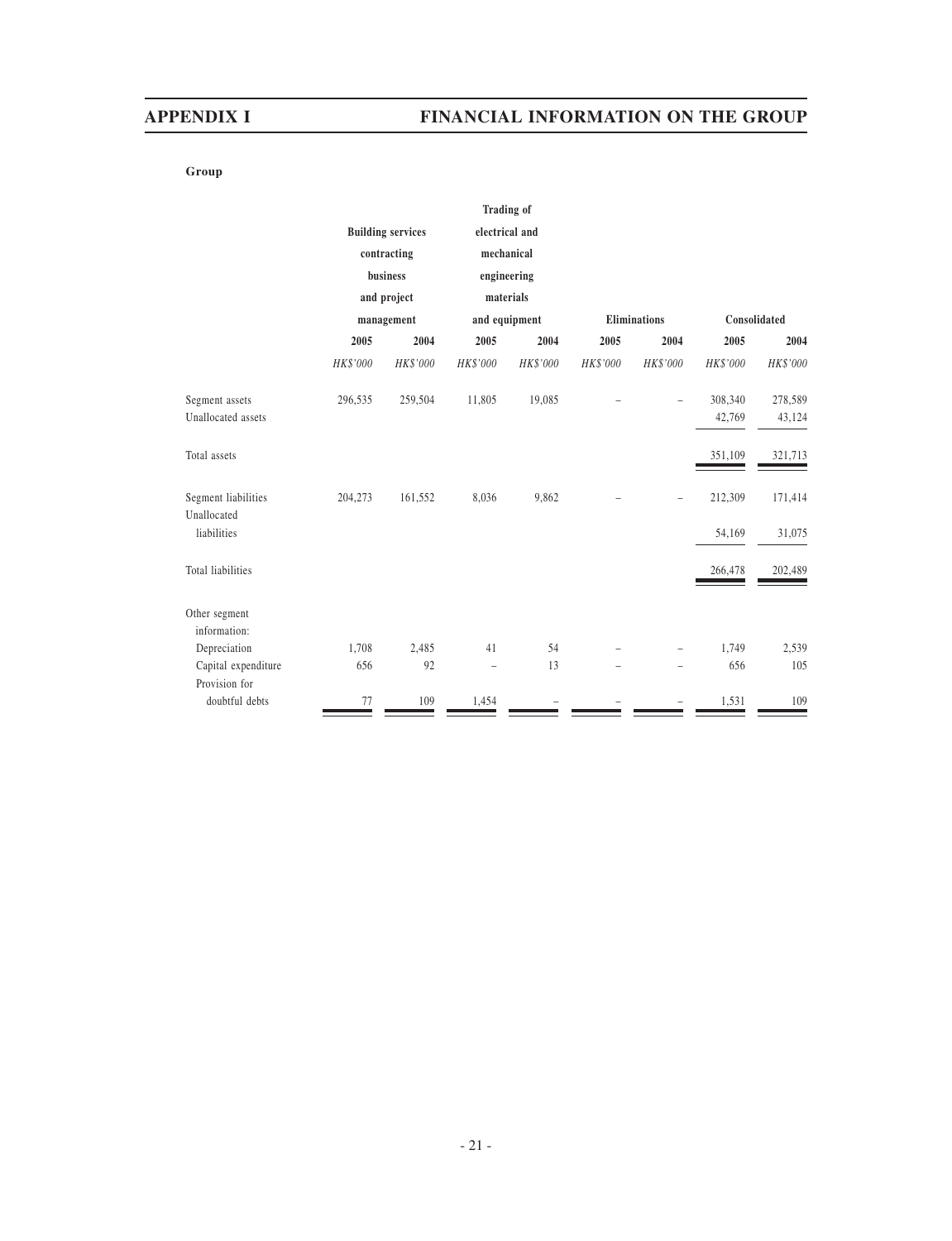# **Group**

|                                    |          |                          | <b>Trading of</b>        |          |                     |          |              |          |
|------------------------------------|----------|--------------------------|--------------------------|----------|---------------------|----------|--------------|----------|
|                                    |          | <b>Building services</b> | electrical and           |          |                     |          |              |          |
|                                    |          | contracting              | mechanical               |          |                     |          |              |          |
|                                    |          | business                 | engineering              |          |                     |          |              |          |
|                                    |          | and project              | materials                |          |                     |          |              |          |
|                                    |          | management               | and equipment            |          | <b>Eliminations</b> |          | Consolidated |          |
|                                    | 2005     | 2004                     | 2005                     | 2004     | 2005                | 2004     | 2005         | 2004     |
|                                    | HK\$'000 | HK\$'000                 | HK\$'000                 | HK\$'000 | HK\$'000            | HK\$'000 | HK\$'000     | HK\$'000 |
| Segment assets                     | 296,535  | 259,504                  | 11,805                   | 19,085   |                     |          | 308,340      | 278,589  |
| Unallocated assets                 |          |                          |                          |          |                     |          | 42,769       | 43,124   |
| Total assets                       |          |                          |                          |          |                     |          | 351,109      | 321,713  |
| Segment liabilities<br>Unallocated | 204,273  | 161,552                  | 8,036                    | 9,862    |                     |          | 212,309      | 171,414  |
| liabilities                        |          |                          |                          |          |                     |          | 54,169       | 31,075   |
| Total liabilities                  |          |                          |                          |          |                     |          | 266,478      | 202,489  |
| Other segment<br>information:      |          |                          |                          |          |                     |          |              |          |
| Depreciation                       | 1,708    | 2,485                    | 41                       | 54       |                     |          | 1,749        | 2,539    |
| Capital expenditure                | 656      | 92                       | $\overline{\phantom{0}}$ | 13       |                     |          | 656          | 105      |
| Provision for                      |          |                          |                          |          |                     |          |              |          |
| doubtful debts                     | 77       | 109                      | 1,454                    |          |                     |          | 1,531        | 109      |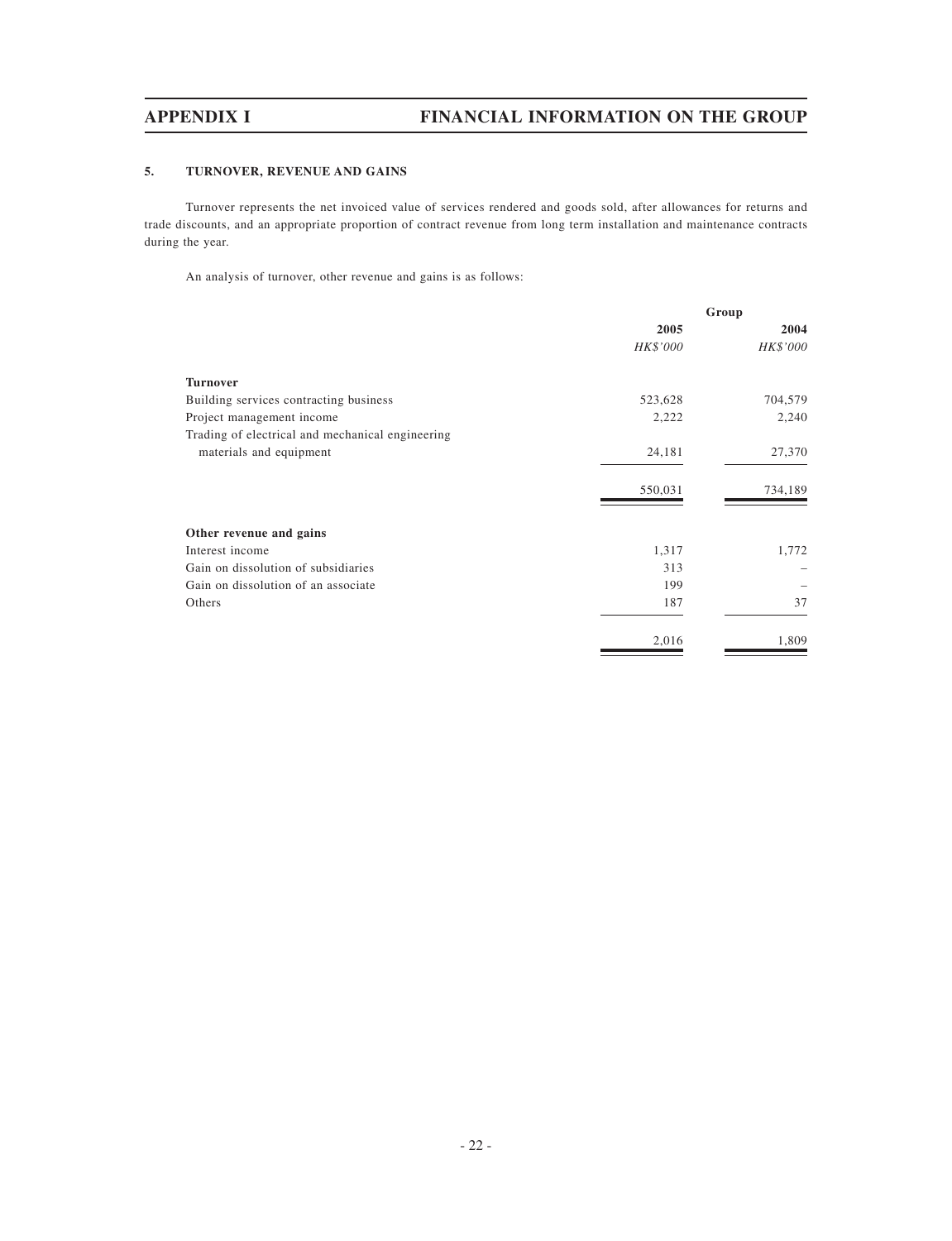# **5. TURNOVER, REVENUE AND GAINS**

Turnover represents the net invoiced value of services rendered and goods sold, after allowances for returns and trade discounts, and an appropriate proportion of contract revenue from long term installation and maintenance contracts during the year.

An analysis of turnover, other revenue and gains is as follows:

|                                                  | Group    |          |
|--------------------------------------------------|----------|----------|
|                                                  | 2005     | 2004     |
|                                                  | HK\$'000 | HK\$'000 |
| <b>Turnover</b>                                  |          |          |
| Building services contracting business           | 523,628  | 704,579  |
| Project management income                        | 2,222    | 2,240    |
| Trading of electrical and mechanical engineering |          |          |
| materials and equipment                          | 24,181   | 27,370   |
|                                                  | 550,031  | 734,189  |
| Other revenue and gains                          |          |          |
| Interest income                                  | 1,317    | 1,772    |
| Gain on dissolution of subsidiaries              | 313      |          |
| Gain on dissolution of an associate              | 199      |          |
| Others                                           | 187      | 37       |
|                                                  | 2,016    | 1,809    |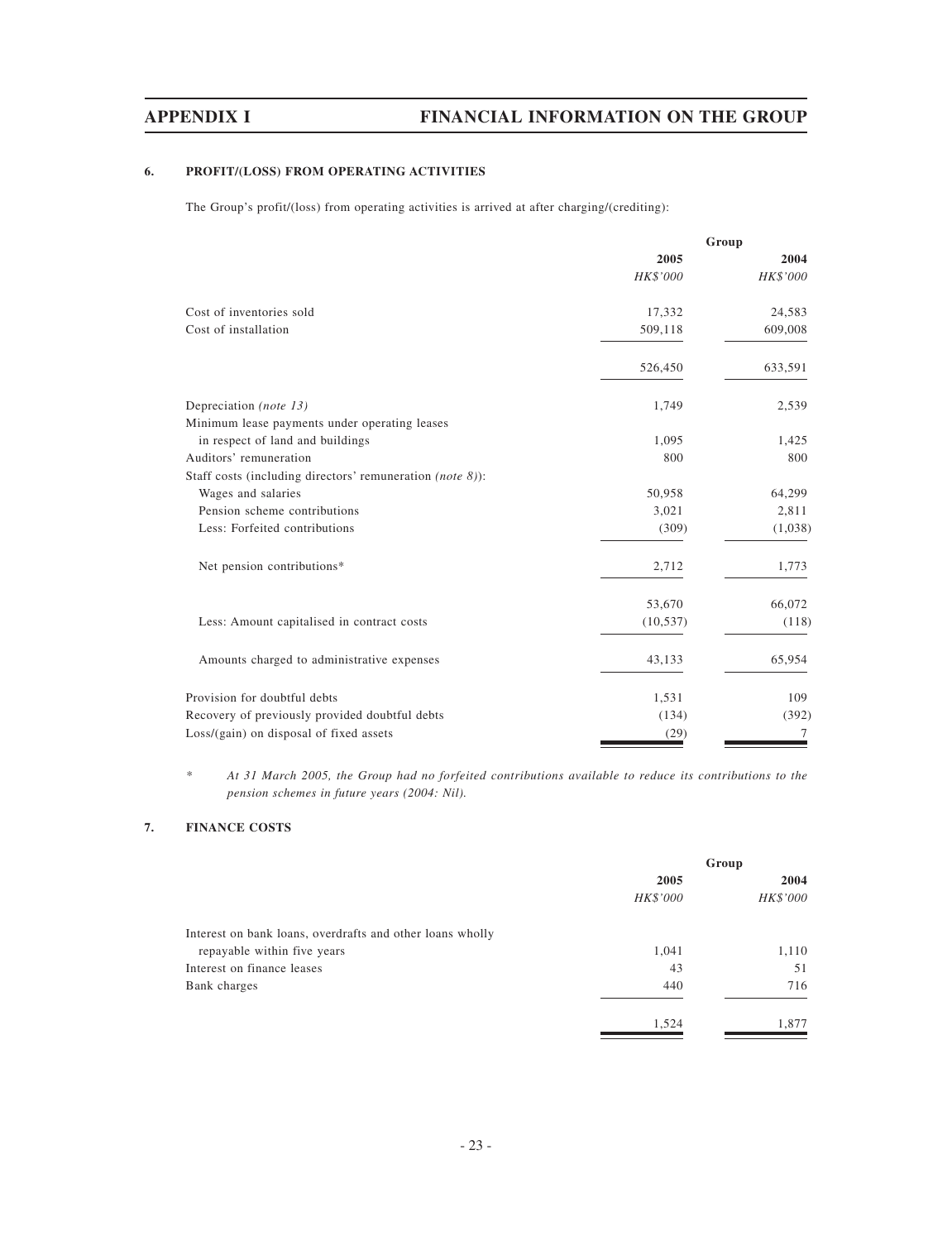# **6. PROFIT/(LOSS) FROM OPERATING ACTIVITIES**

The Group's profit/(loss) from operating activities is arrived at after charging/(crediting):

| 2005<br>HK\$'000<br>Cost of inventories sold<br>17,332<br>Cost of installation<br>509,118<br>526,450<br>Depreciation (note 13)<br>1,749<br>Minimum lease payments under operating leases<br>in respect of land and buildings<br>1,095<br>Auditors' remuneration<br>800<br>Staff costs (including directors' remuneration <i>(note 8)</i> ):<br>Wages and salaries<br>50,958<br>Pension scheme contributions<br>3,021<br>Less: Forfeited contributions<br>(309)<br>Net pension contributions*<br>2,712<br>53,670<br>Less: Amount capitalised in contract costs<br>(10, 537)<br>Amounts charged to administrative expenses<br>43,133<br>Provision for doubtful debts<br>1,531<br>Recovery of previously provided doubtful debts<br>(134) |  | Group    |
|----------------------------------------------------------------------------------------------------------------------------------------------------------------------------------------------------------------------------------------------------------------------------------------------------------------------------------------------------------------------------------------------------------------------------------------------------------------------------------------------------------------------------------------------------------------------------------------------------------------------------------------------------------------------------------------------------------------------------------------|--|----------|
|                                                                                                                                                                                                                                                                                                                                                                                                                                                                                                                                                                                                                                                                                                                                        |  | 2004     |
|                                                                                                                                                                                                                                                                                                                                                                                                                                                                                                                                                                                                                                                                                                                                        |  | HK\$'000 |
|                                                                                                                                                                                                                                                                                                                                                                                                                                                                                                                                                                                                                                                                                                                                        |  | 24,583   |
|                                                                                                                                                                                                                                                                                                                                                                                                                                                                                                                                                                                                                                                                                                                                        |  | 609,008  |
|                                                                                                                                                                                                                                                                                                                                                                                                                                                                                                                                                                                                                                                                                                                                        |  | 633,591  |
|                                                                                                                                                                                                                                                                                                                                                                                                                                                                                                                                                                                                                                                                                                                                        |  | 2,539    |
|                                                                                                                                                                                                                                                                                                                                                                                                                                                                                                                                                                                                                                                                                                                                        |  |          |
|                                                                                                                                                                                                                                                                                                                                                                                                                                                                                                                                                                                                                                                                                                                                        |  | 1,425    |
|                                                                                                                                                                                                                                                                                                                                                                                                                                                                                                                                                                                                                                                                                                                                        |  | 800      |
|                                                                                                                                                                                                                                                                                                                                                                                                                                                                                                                                                                                                                                                                                                                                        |  |          |
|                                                                                                                                                                                                                                                                                                                                                                                                                                                                                                                                                                                                                                                                                                                                        |  | 64,299   |
|                                                                                                                                                                                                                                                                                                                                                                                                                                                                                                                                                                                                                                                                                                                                        |  | 2,811    |
|                                                                                                                                                                                                                                                                                                                                                                                                                                                                                                                                                                                                                                                                                                                                        |  | (1,038)  |
|                                                                                                                                                                                                                                                                                                                                                                                                                                                                                                                                                                                                                                                                                                                                        |  | 1,773    |
|                                                                                                                                                                                                                                                                                                                                                                                                                                                                                                                                                                                                                                                                                                                                        |  | 66,072   |
|                                                                                                                                                                                                                                                                                                                                                                                                                                                                                                                                                                                                                                                                                                                                        |  | (118)    |
|                                                                                                                                                                                                                                                                                                                                                                                                                                                                                                                                                                                                                                                                                                                                        |  | 65,954   |
|                                                                                                                                                                                                                                                                                                                                                                                                                                                                                                                                                                                                                                                                                                                                        |  | 109      |
|                                                                                                                                                                                                                                                                                                                                                                                                                                                                                                                                                                                                                                                                                                                                        |  | (392)    |
| Loss/(gain) on disposal of fixed assets<br>(29)                                                                                                                                                                                                                                                                                                                                                                                                                                                                                                                                                                                                                                                                                        |  | 7        |

*\* At 31 March 2005, the Group had no forfeited contributions available to reduce its contributions to the pension schemes in future years (2004: Nil).*

# **7. FINANCE COSTS**

|                                                           |          | Group    |
|-----------------------------------------------------------|----------|----------|
|                                                           | 2005     | 2004     |
|                                                           | HK\$'000 | HK\$'000 |
| Interest on bank loans, overdrafts and other loans wholly |          |          |
| repayable within five years                               | 1,041    | 1,110    |
| Interest on finance leases                                | 43       | 51       |
| Bank charges                                              | 440      | 716      |
|                                                           | 1,524    | 1,877    |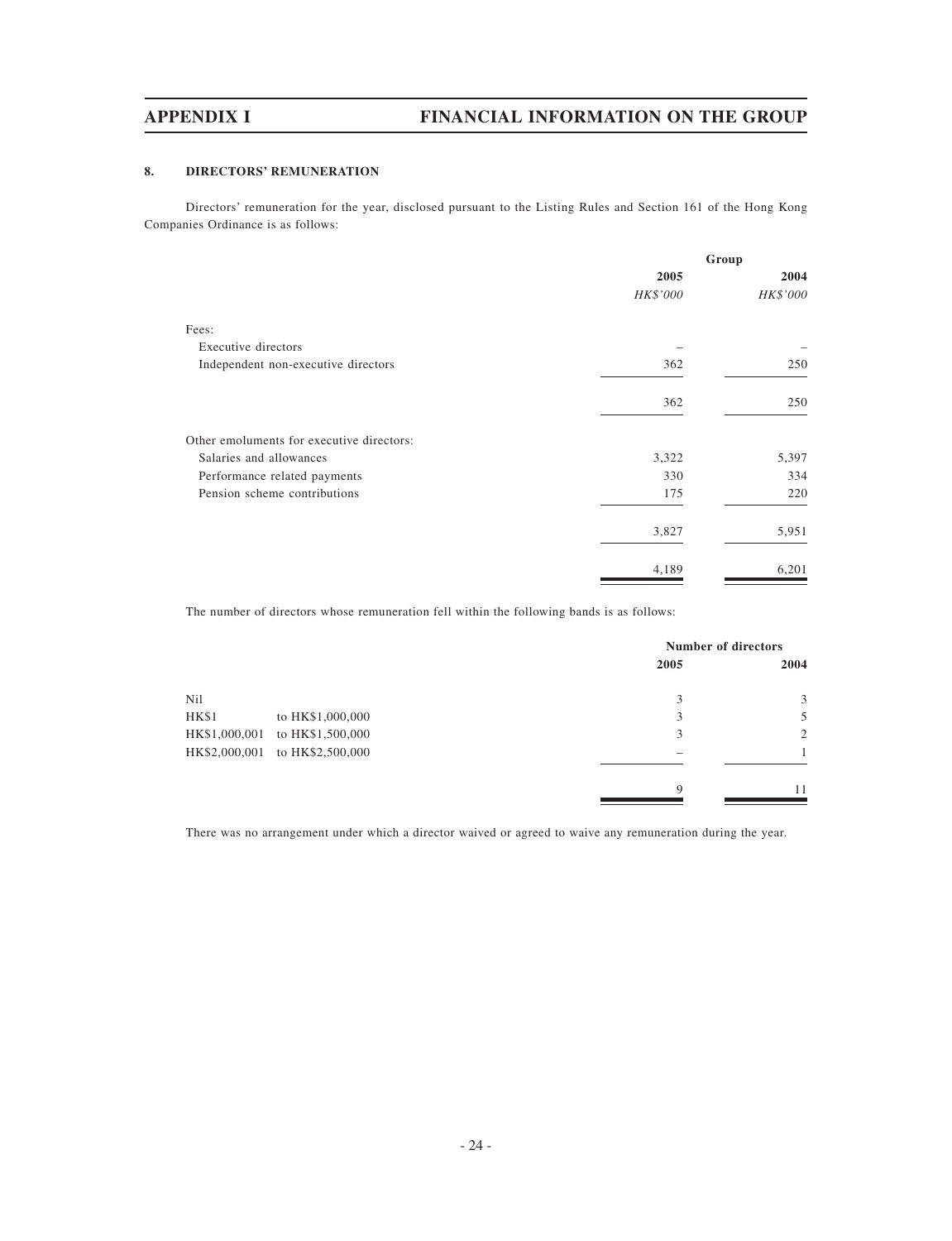# **8. DIRECTORS' REMUNERATION**

Directors' remuneration for the year, disclosed pursuant to the Listing Rules and Section 161 of the Hong Kong Companies Ordinance is as follows:

|                                           |          | Group    |
|-------------------------------------------|----------|----------|
|                                           | 2005     | 2004     |
|                                           | HK\$'000 | HK\$'000 |
| Fees:                                     |          |          |
| Executive directors                       |          |          |
| Independent non-executive directors       | 362      | 250      |
|                                           | 362      | 250      |
| Other emoluments for executive directors: |          |          |
| Salaries and allowances                   | 3,322    | 5,397    |
| Performance related payments              | 330      | 334      |
| Pension scheme contributions              | 175      | 220      |
|                                           | 3,827    | 5,951    |
|                                           | 4,189    | 6,201    |

The number of directors whose remuneration fell within the following bands is as follows:

|               |                                | <b>Number of directors</b> |      |
|---------------|--------------------------------|----------------------------|------|
|               |                                | 2005                       | 2004 |
| Nil           |                                | 3                          | 3    |
| <b>HK\$1</b>  | to HK\$1,000,000               | 3                          | 5    |
| HK\$1,000,001 | to HK\$1,500,000               | 3                          | 2    |
|               | HK\$2,000,001 to HK\$2,500,000 |                            |      |
|               |                                | $\mathbf Q$                | 11   |

There was no arrangement under which a director waived or agreed to waive any remuneration during the year.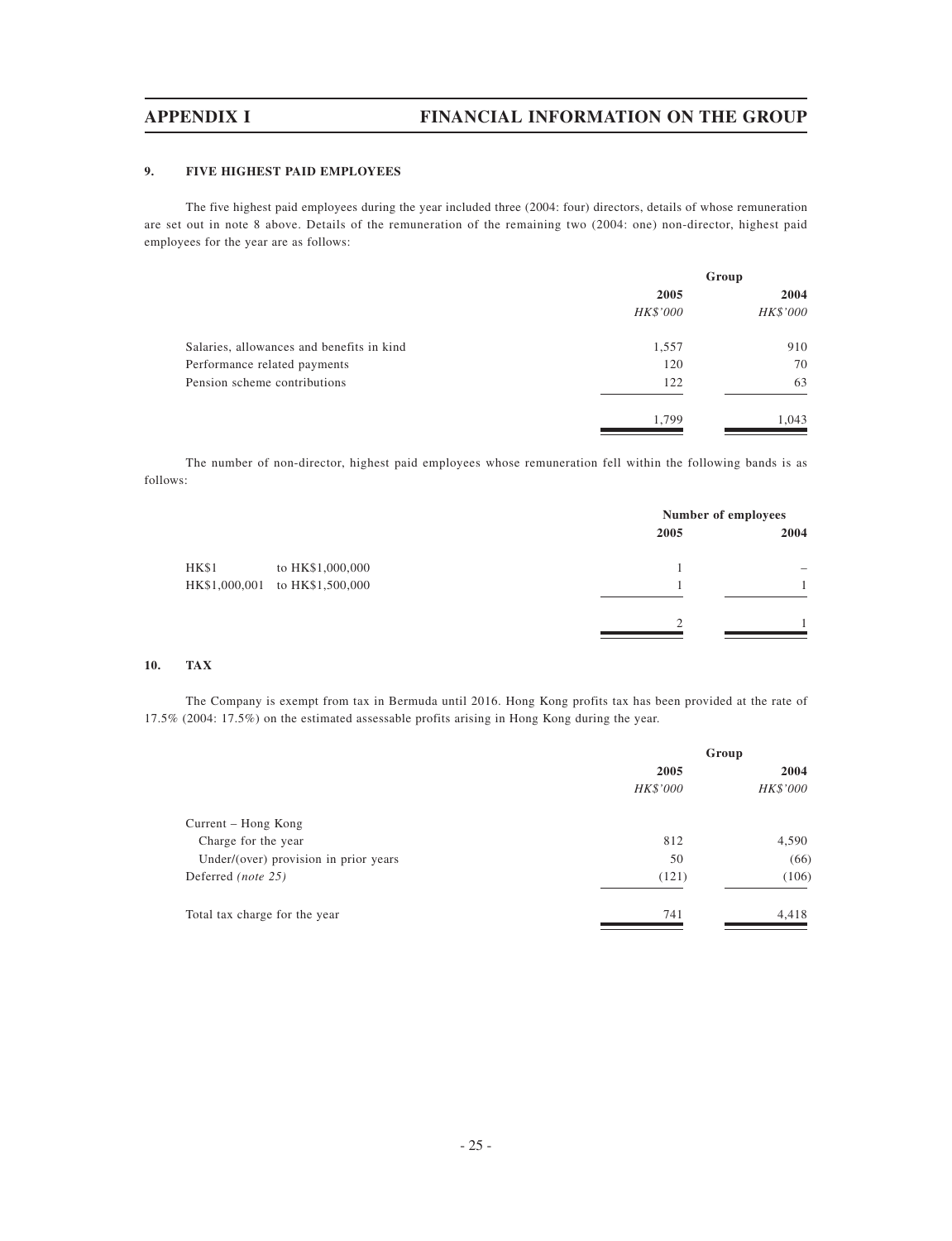### **9. FIVE HIGHEST PAID EMPLOYEES**

The five highest paid employees during the year included three (2004: four) directors, details of whose remuneration are set out in note 8 above. Details of the remuneration of the remaining two (2004: one) non-director, highest paid employees for the year are as follows:

|                                           | Group    |          |
|-------------------------------------------|----------|----------|
|                                           | 2005     | 2004     |
|                                           | HK\$'000 | HK\$'000 |
| Salaries, allowances and benefits in kind | 1,557    | 910      |
| Performance related payments              | 120      | 70       |
| Pension scheme contributions              | 122      | 63       |
|                                           | 1,799    | 1,043    |

The number of non-director, highest paid employees whose remuneration fell within the following bands is as follows:

| 2005 | 2004                |
|------|---------------------|
|      | -                   |
|      |                     |
| ◠    |                     |
|      | Number of employees |

### **10. TAX**

The Company is exempt from tax in Bermuda until 2016. Hong Kong profits tax has been provided at the rate of 17.5% (2004: 17.5%) on the estimated assessable profits arising in Hong Kong during the year.

| Group    |          |
|----------|----------|
| 2005     | 2004     |
| HK\$'000 | HK\$'000 |
|          |          |
| 812      | 4,590    |
| 50       | (66)     |
| (121)    | (106)    |
| 741      | 4,418    |
|          |          |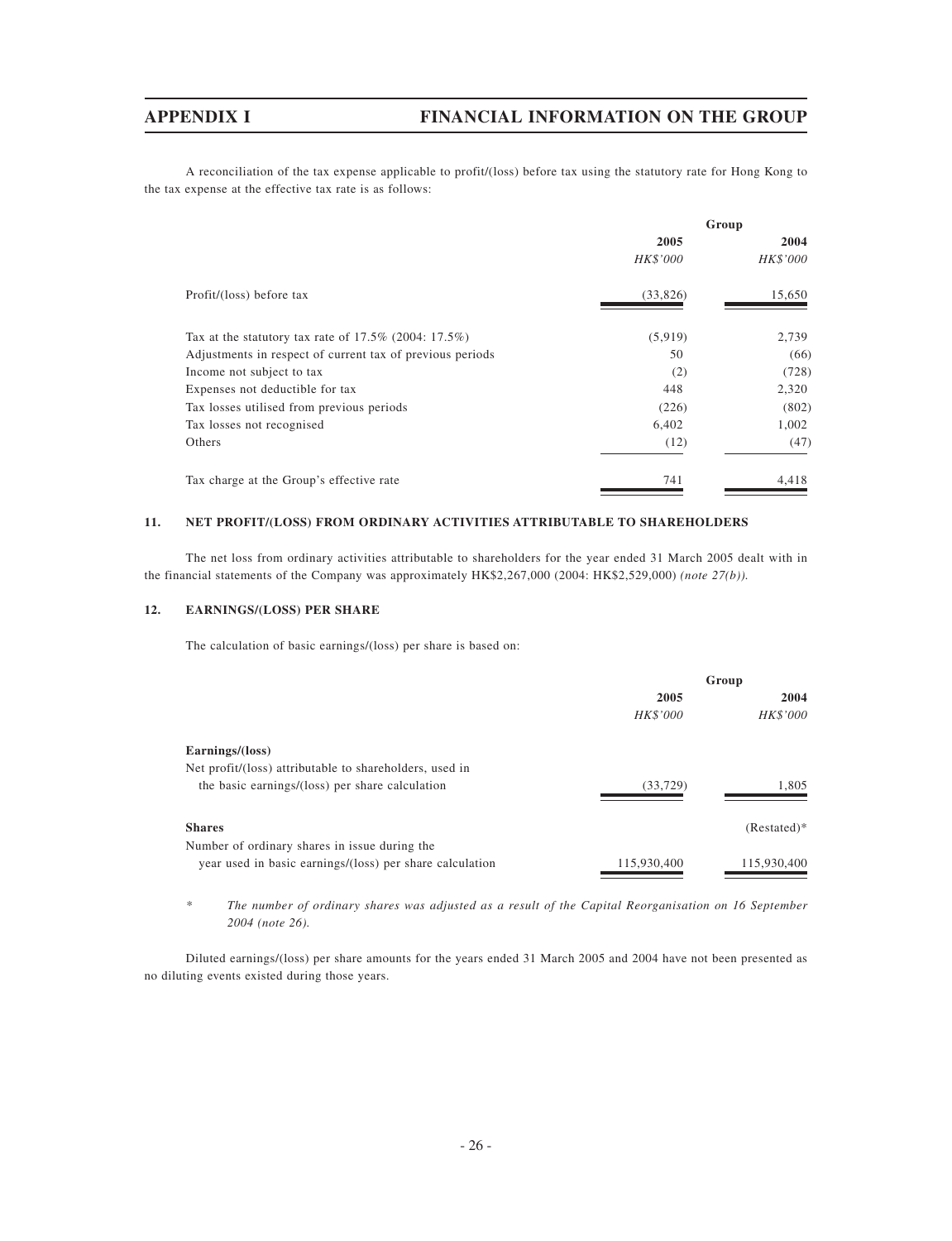A reconciliation of the tax expense applicable to profit/(loss) before tax using the statutory rate for Hong Kong to the tax expense at the effective tax rate is as follows:

|                                                           |          | Group    |
|-----------------------------------------------------------|----------|----------|
|                                                           | 2005     | 2004     |
|                                                           | HK\$'000 | HK\$'000 |
| Profit/(loss) before tax                                  | (33,826) | 15,650   |
| Tax at the statutory tax rate of $17.5\%$ (2004: 17.5%)   | (5,919)  | 2,739    |
| Adjustments in respect of current tax of previous periods | 50       | (66)     |
| Income not subject to tax                                 | (2)      | (728)    |
| Expenses not deductible for tax                           | 448      | 2,320    |
| Tax losses utilised from previous periods                 | (226)    | (802)    |
| Tax losses not recognised                                 | 6,402    | 1,002    |
| Others                                                    | (12)     | (47)     |
| Tax charge at the Group's effective rate                  | 741      | 4,418    |

## **11. NET PROFIT/(LOSS) FROM ORDINARY ACTIVITIES ATTRIBUTABLE TO SHAREHOLDERS**

The net loss from ordinary activities attributable to shareholders for the year ended 31 March 2005 dealt with in the financial statements of the Company was approximately HK\$2,267,000 (2004: HK\$2,529,000) *(note 27(b)).*

### **12. EARNINGS/(LOSS) PER SHARE**

The calculation of basic earnings/(loss) per share is based on:

|                                                          |                 | Group         |
|----------------------------------------------------------|-----------------|---------------|
|                                                          | 2005            | 2004          |
|                                                          | <b>HK\$'000</b> | HK\$'000      |
| Earnings/(loss)                                          |                 |               |
| Net profit/(loss) attributable to shareholders, used in  |                 |               |
| the basic earnings/(loss) per share calculation          | (33, 729)       | 1.805         |
| <b>Shares</b>                                            |                 | $(Restated)*$ |
| Number of ordinary shares in issue during the            |                 |               |
| year used in basic earnings/(loss) per share calculation | 115,930,400     | 115,930,400   |

*\* The number of ordinary shares was adjusted as a result of the Capital Reorganisation on 16 September 2004 (note 26).*

Diluted earnings/(loss) per share amounts for the years ended 31 March 2005 and 2004 have not been presented as no diluting events existed during those years.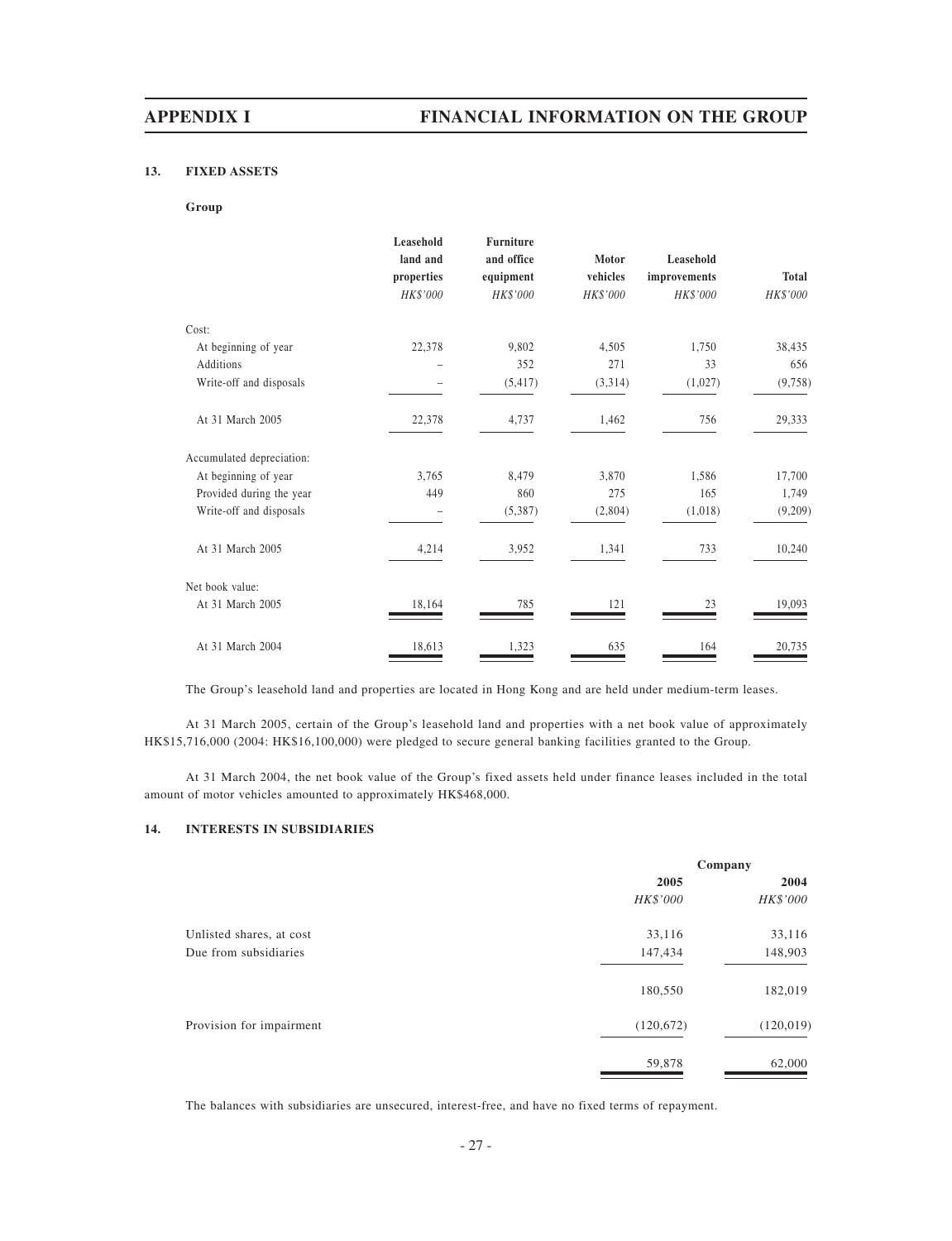### **13. FIXED ASSETS**

### **Group**

|                           | Leasehold<br>land and<br>properties | <b>Furniture</b><br>and office<br>equipment | Motor<br>vehicles | Leasehold<br>improvements | <b>Total</b> |
|---------------------------|-------------------------------------|---------------------------------------------|-------------------|---------------------------|--------------|
|                           | HK\$'000                            | HK\$'000                                    | HK\$'000          | HK\$'000                  | HK\$'000     |
| Cost:                     |                                     |                                             |                   |                           |              |
| At beginning of year      | 22,378                              | 9,802                                       | 4,505             | 1,750                     | 38,435       |
| Additions                 |                                     | 352                                         | 271               | 33                        | 656          |
| Write-off and disposals   |                                     | (5, 417)                                    | (3,314)           | (1,027)                   | (9,758)      |
| At 31 March 2005          | 22,378                              | 4,737                                       | 1,462             | 756                       | 29,333       |
| Accumulated depreciation: |                                     |                                             |                   |                           |              |
| At beginning of year      | 3,765                               | 8,479                                       | 3,870             | 1,586                     | 17,700       |
| Provided during the year  | 449                                 | 860                                         | 275               | 165                       | 1,749        |
| Write-off and disposals   |                                     | (5,387)                                     | (2,804)           | (1,018)                   | (9,209)      |
| At 31 March 2005          | 4,214                               | 3,952                                       | 1,341             | 733                       | 10,240       |
| Net book value:           |                                     |                                             |                   |                           |              |
| At 31 March 2005          | 18,164                              | 785                                         | 121               | 23                        | 19,093       |
| At 31 March 2004          | 18,613                              | 1,323                                       | 635               | 164                       | 20,735       |

The Group's leasehold land and properties are located in Hong Kong and are held under medium-term leases.

At 31 March 2005, certain of the Group's leasehold land and properties with a net book value of approximately HK\$15,716,000 (2004: HK\$16,100,000) were pledged to secure general banking facilities granted to the Group.

At 31 March 2004, the net book value of the Group's fixed assets held under finance leases included in the total amount of motor vehicles amounted to approximately HK\$468,000.

### **14. INTERESTS IN SUBSIDIARIES**

|                          | Company    |            |  |
|--------------------------|------------|------------|--|
|                          | 2005       | 2004       |  |
|                          | HK\$'000   | HK\$'000   |  |
| Unlisted shares, at cost | 33,116     | 33,116     |  |
| Due from subsidiaries    | 147,434    | 148,903    |  |
|                          | 180,550    | 182,019    |  |
| Provision for impairment | (120, 672) | (120, 019) |  |
|                          | 59,878     | 62,000     |  |

The balances with subsidiaries are unsecured, interest-free, and have no fixed terms of repayment.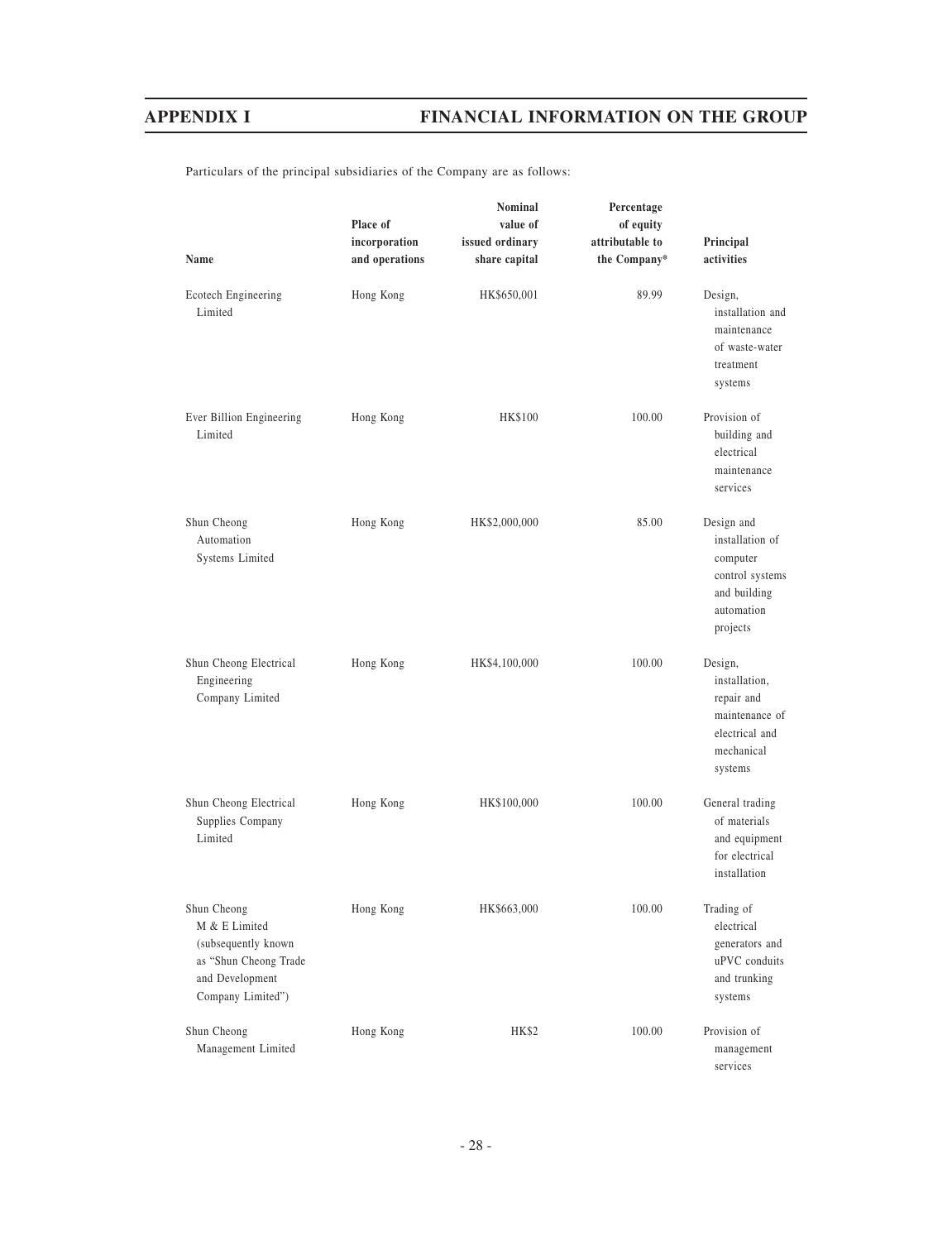Particulars of the principal subsidiaries of the Company are as follows:

|                                                                                                                      | Place of<br>incorporation | <b>Nominal</b><br>value of<br>issued ordinary | Percentage<br>of equity<br>attributable to | Principal                                                                                              |
|----------------------------------------------------------------------------------------------------------------------|---------------------------|-----------------------------------------------|--------------------------------------------|--------------------------------------------------------------------------------------------------------|
| Name                                                                                                                 | and operations            | share capital                                 | the Company*                               | activities                                                                                             |
| Ecotech Engineering<br>Limited                                                                                       | Hong Kong                 | HK\$650,001                                   | 89.99                                      | Design,<br>installation and<br>maintenance<br>of waste-water<br>treatment<br>systems                   |
| Ever Billion Engineering<br>Limited                                                                                  | Hong Kong                 | <b>HK\$100</b>                                | 100.00                                     | Provision of<br>building and<br>electrical<br>maintenance<br>services                                  |
| Shun Cheong<br>Automation<br>Systems Limited                                                                         | Hong Kong                 | HK\$2,000,000                                 | 85.00                                      | Design and<br>installation of<br>computer<br>control systems<br>and building<br>automation<br>projects |
| Shun Cheong Electrical<br>Engineering<br>Company Limited                                                             | Hong Kong                 | HK\$4,100,000                                 | 100.00                                     | Design,<br>installation,<br>repair and<br>maintenance of<br>electrical and<br>mechanical<br>systems    |
| Shun Cheong Electrical<br>Supplies Company<br>Limited                                                                | Hong Kong                 | HK\$100,000                                   | 100.00                                     | General trading<br>of materials<br>and equipment<br>for electrical<br>installation                     |
| Shun Cheong<br>M & E Limited<br>(subsequently known<br>as "Shun Cheong Trade<br>and Development<br>Company Limited") | Hong Kong                 | HK\$663,000                                   | 100.00                                     | Trading of<br>electrical<br>generators and<br>uPVC conduits<br>and trunking<br>systems                 |
| Shun Cheong<br>Management Limited                                                                                    | Hong Kong                 | <b>HK\$2</b>                                  | 100.00                                     | Provision of<br>management<br>services                                                                 |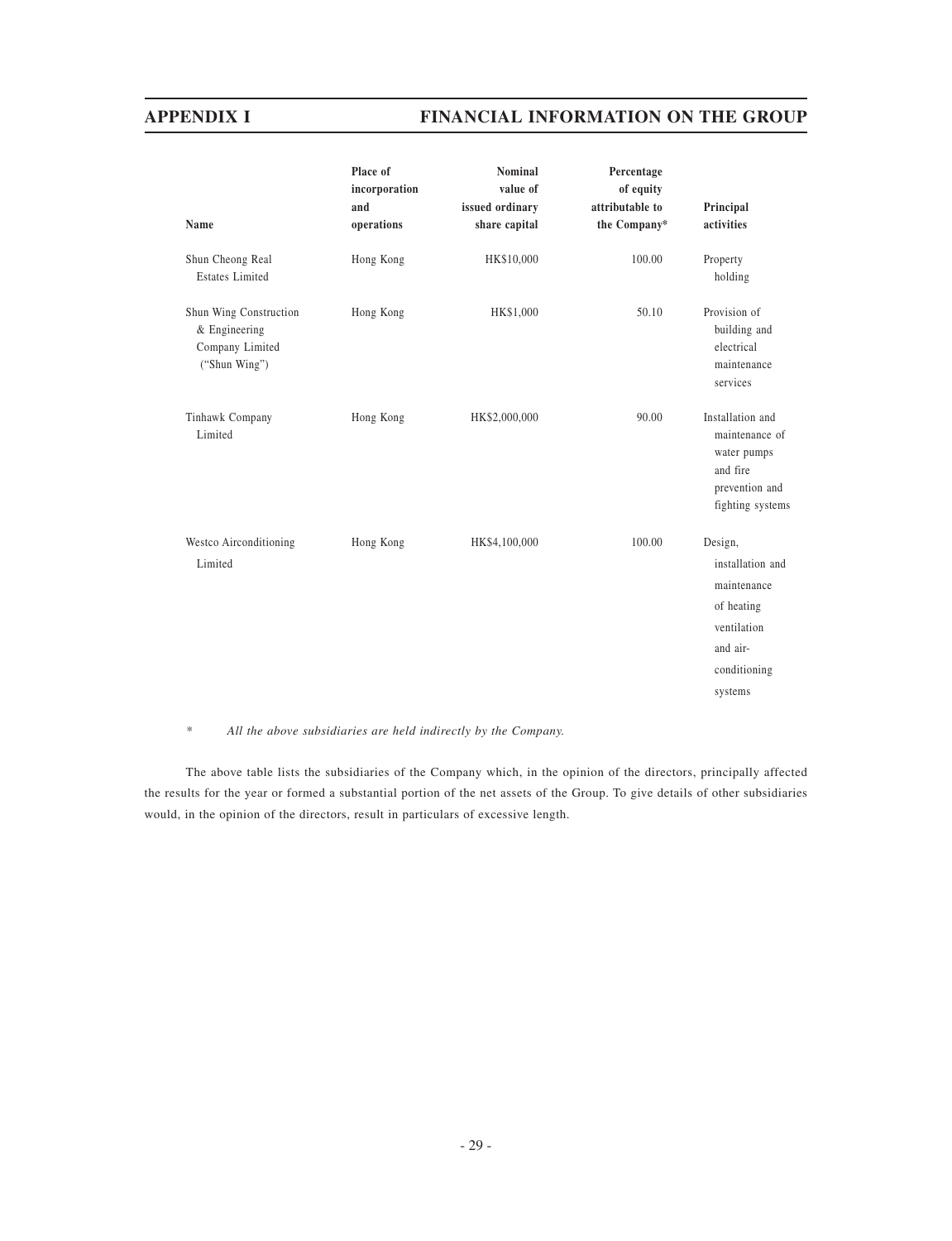| Name                                                                        | Place of<br>incorporation<br>and<br>operations | <b>Nominal</b><br>value of<br>issued ordinary<br>share capital | Percentage<br>of equity<br>attributable to<br>the Company* | Principal<br>activities                                                                                        |
|-----------------------------------------------------------------------------|------------------------------------------------|----------------------------------------------------------------|------------------------------------------------------------|----------------------------------------------------------------------------------------------------------------|
| Shun Cheong Real<br><b>Estates Limited</b>                                  | Hong Kong                                      | HK\$10,000                                                     | 100.00                                                     | Property<br>holding                                                                                            |
| Shun Wing Construction<br>& Engineering<br>Company Limited<br>("Shun Wing") | Hong Kong                                      | HK\$1,000                                                      | 50.10                                                      | Provision of<br>building and<br>electrical<br>maintenance<br>services                                          |
| Tinhawk Company<br>Limited                                                  | Hong Kong                                      | HK\$2,000,000                                                  | 90.00                                                      | Installation and<br>maintenance of<br>water pumps<br>and fire<br>prevention and<br>fighting systems            |
| Westco Airconditioning<br>Limited                                           | Hong Kong                                      | HK\$4,100,000                                                  | 100.00                                                     | Design,<br>installation and<br>maintenance<br>of heating<br>ventilation<br>and air-<br>conditioning<br>systems |

### *\* All the above subsidiaries are held indirectly by the Company.*

The above table lists the subsidiaries of the Company which, in the opinion of the directors, principally affected the results for the year or formed a substantial portion of the net assets of the Group. To give details of other subsidiaries would, in the opinion of the directors, result in particulars of excessive length.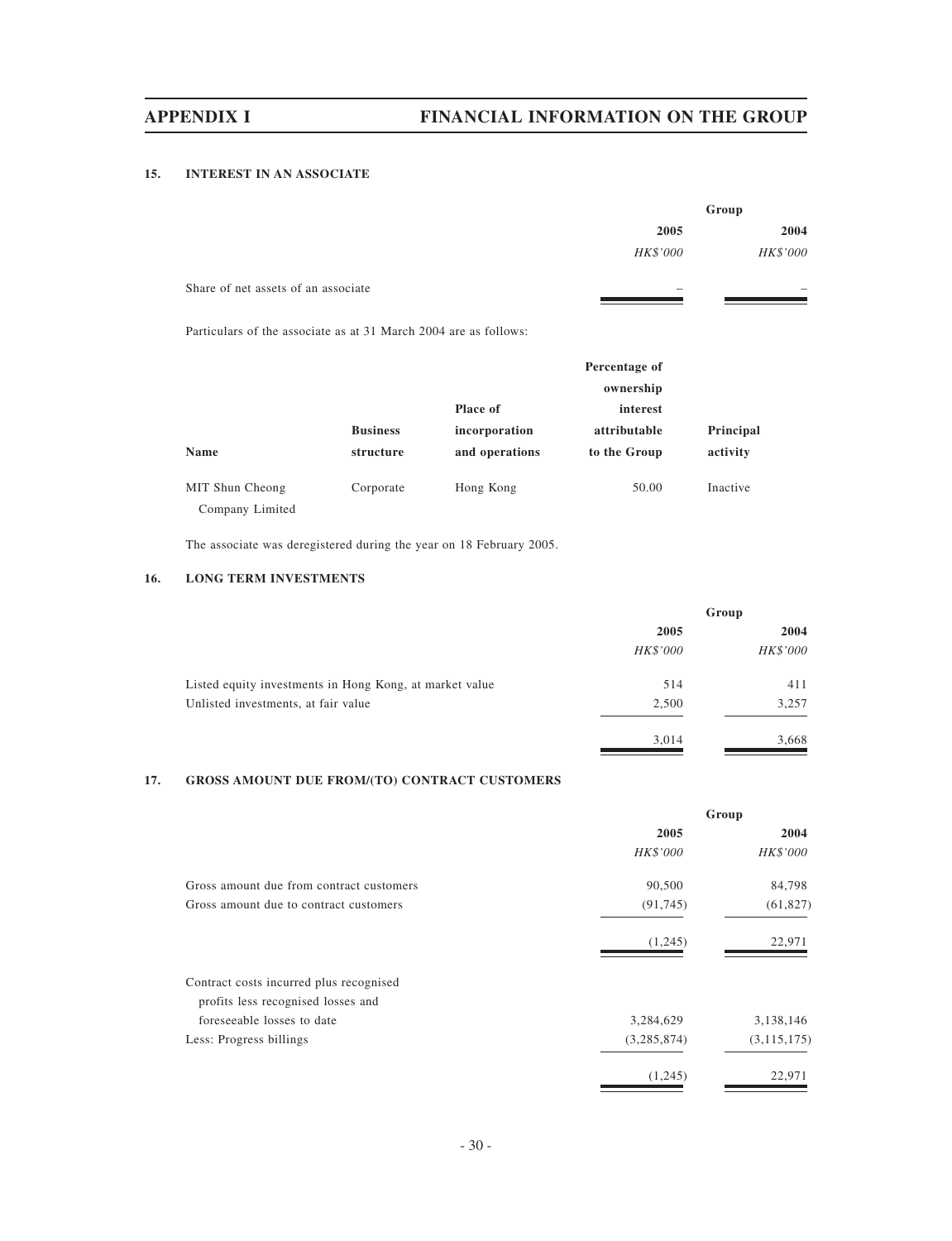## **15. INTEREST IN AN ASSOCIATE**

|                                                                 | Group           |  |
|-----------------------------------------------------------------|-----------------|--|
| 2005                                                            | 2004            |  |
| HK\$'000                                                        | <b>HK\$'000</b> |  |
| Share of net assets of an associate<br>$\overline{\phantom{a}}$ | -               |  |

Particulars of the associate as at 31 March 2004 are as follows:

|                 |                 |                 | Percentage of |           |
|-----------------|-----------------|-----------------|---------------|-----------|
|                 |                 |                 | ownership     |           |
|                 |                 | <b>Place of</b> | interest      |           |
|                 | <b>Business</b> | incorporation   | attributable  | Principal |
| <b>Name</b>     | structure       | and operations  | to the Group  | activity  |
| MIT Shun Cheong | Corporate       | Hong Kong       | 50.00         | Inactive  |
| Company Limited |                 |                 |               |           |

The associate was deregistered during the year on 18 February 2005.

# **16. LONG TERM INVESTMENTS**

|                                                         |          | Group    |
|---------------------------------------------------------|----------|----------|
|                                                         | 2005     |          |
|                                                         | HK\$'000 | HK\$'000 |
| Listed equity investments in Hong Kong, at market value | 514      | 411      |
| Unlisted investments, at fair value                     | 2,500    | 3,257    |
|                                                         | 3,014    | 3,668    |

# **17. GROSS AMOUNT DUE FROM/(TO) CONTRACT CUSTOMERS**

|                                          |             | Group         |
|------------------------------------------|-------------|---------------|
|                                          | 2005        | 2004          |
|                                          | HK\$'000    | HK\$'000      |
| Gross amount due from contract customers | 90,500      | 84,798        |
| Gross amount due to contract customers   | (91, 745)   | (61, 827)     |
|                                          | (1,245)     | 22,971        |
| Contract costs incurred plus recognised  |             |               |
| profits less recognised losses and       |             |               |
| foreseeable losses to date               | 3,284,629   | 3,138,146     |
| Less: Progress billings                  | (3,285,874) | (3, 115, 175) |
|                                          | (1,245)     | 22,971        |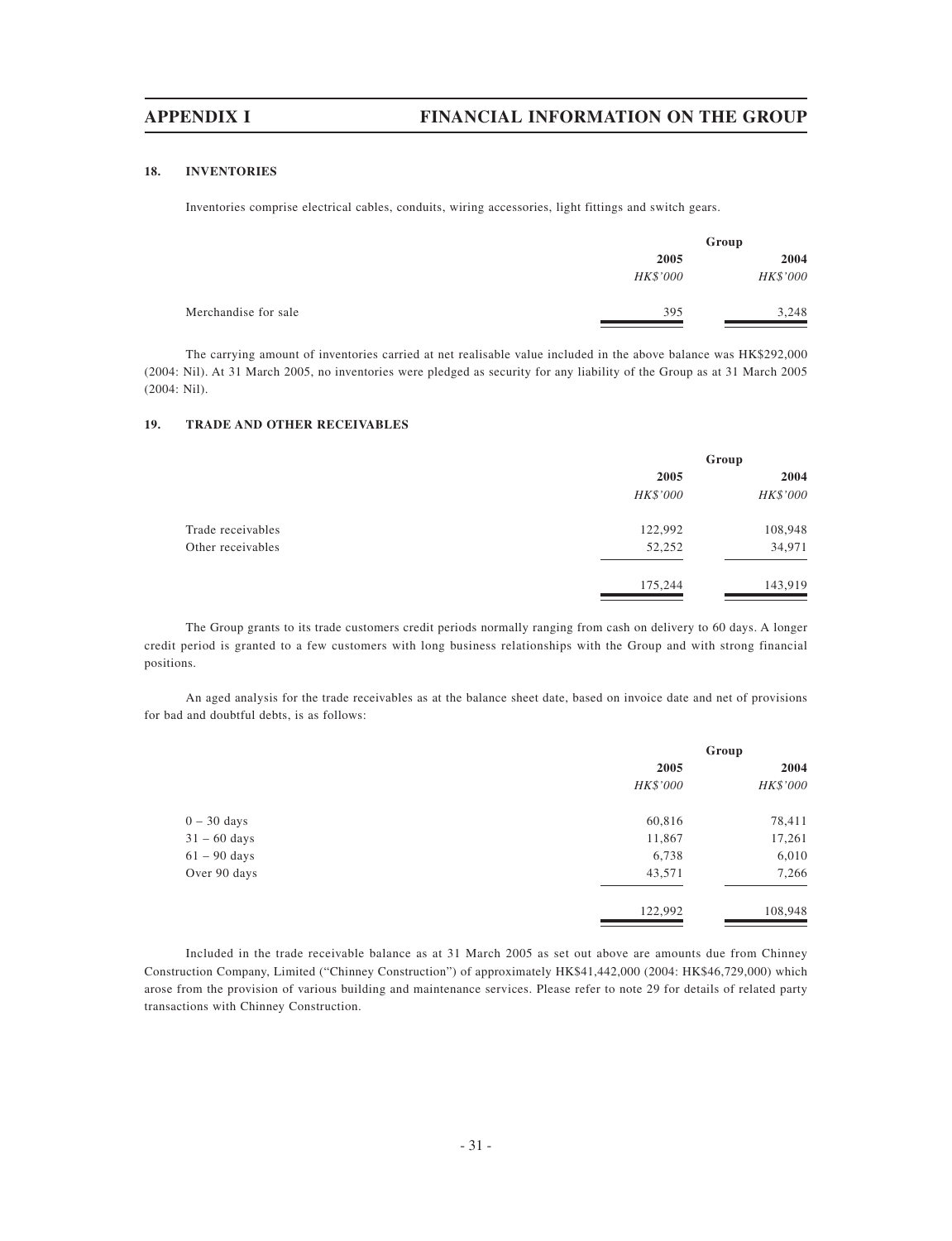### **18. INVENTORIES**

Inventories comprise electrical cables, conduits, wiring accessories, light fittings and switch gears.

|                      | Group    |                 |  |
|----------------------|----------|-----------------|--|
|                      | 2005     | 2004            |  |
|                      | HK\$'000 | <b>HK\$'000</b> |  |
| Merchandise for sale | 395      | 3,248           |  |

The carrying amount of inventories carried at net realisable value included in the above balance was HK\$292,000 (2004: Nil). At 31 March 2005, no inventories were pledged as security for any liability of the Group as at 31 March 2005 (2004: Nil).

### **19. TRADE AND OTHER RECEIVABLES**

|                   | Group    |                 |
|-------------------|----------|-----------------|
|                   | 2005     |                 |
|                   | HK\$'000 | <b>HK\$'000</b> |
| Trade receivables | 122,992  | 108,948         |
| Other receivables | 52,252   | 34,971          |
|                   | 175,244  | 143,919         |

The Group grants to its trade customers credit periods normally ranging from cash on delivery to 60 days. A longer credit period is granted to a few customers with long business relationships with the Group and with strong financial positions.

An aged analysis for the trade receivables as at the balance sheet date, based on invoice date and net of provisions for bad and doubtful debts, is as follows:

|                |          | Group    |  |
|----------------|----------|----------|--|
|                | 2005     | 2004     |  |
|                | HK\$'000 | HK\$'000 |  |
| $0 - 30$ days  | 60,816   | 78,411   |  |
| $31 - 60$ days | 11,867   | 17,261   |  |
| $61 - 90$ days | 6,738    | 6,010    |  |
| Over 90 days   | 43,571   | 7,266    |  |
|                | 122,992  | 108,948  |  |

Included in the trade receivable balance as at 31 March 2005 as set out above are amounts due from Chinney Construction Company, Limited ("Chinney Construction") of approximately HK\$41,442,000 (2004: HK\$46,729,000) which arose from the provision of various building and maintenance services. Please refer to note 29 for details of related party transactions with Chinney Construction.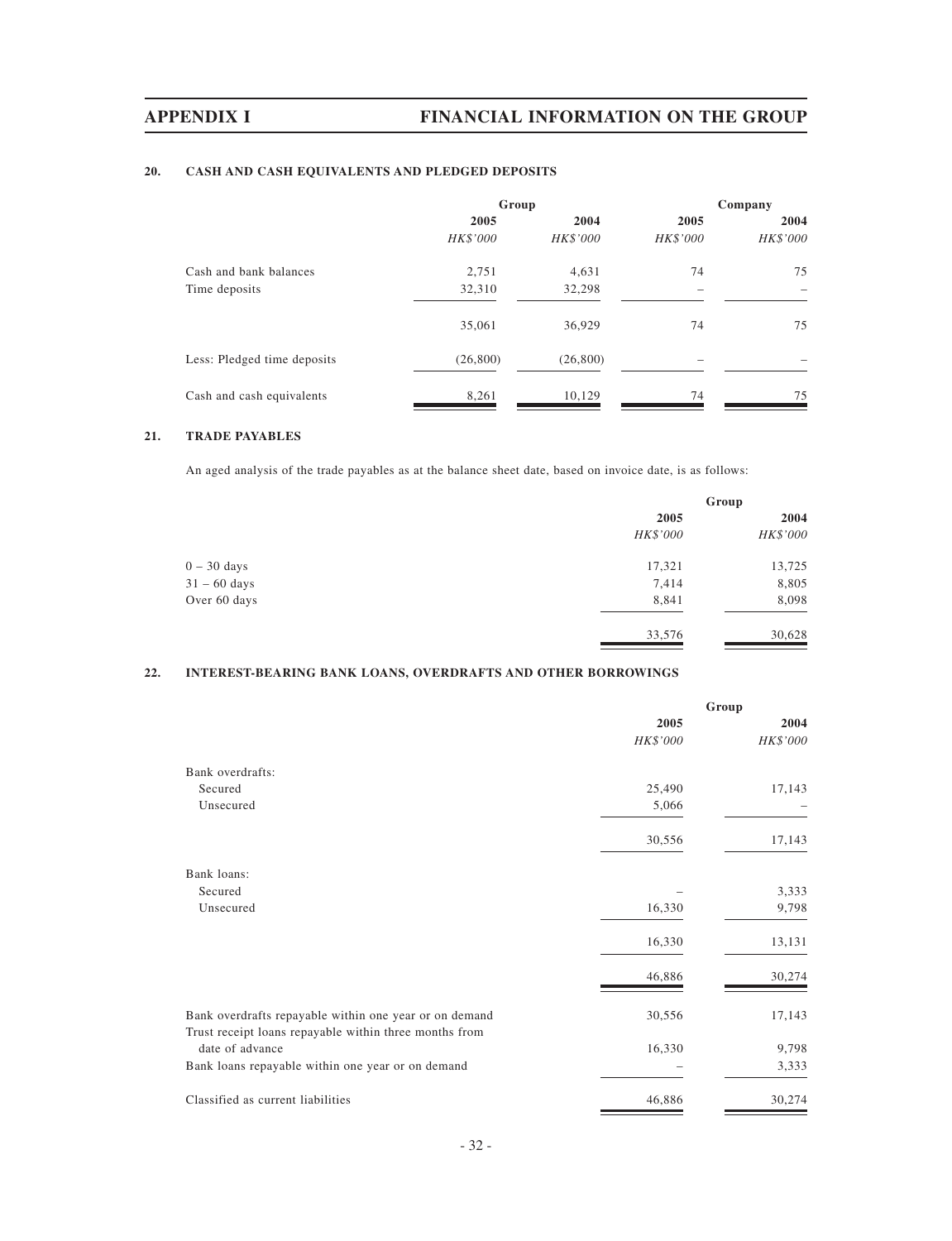# **20. CASH AND CASH EQUIVALENTS AND PLEDGED DEPOSITS**

|                             | Group    |           | Company  |          |
|-----------------------------|----------|-----------|----------|----------|
|                             | 2005     | 2004      | 2005     | 2004     |
|                             | HK\$'000 | HK\$'000  | HK\$'000 | HK\$'000 |
| Cash and bank balances      | 2,751    | 4,631     | 74       | 75       |
| Time deposits               | 32,310   | 32,298    |          |          |
|                             | 35,061   | 36,929    | 74       | 75       |
| Less: Pledged time deposits | (26,800) | (26, 800) |          |          |
| Cash and cash equivalents   | 8,261    | 10,129    | 74       | 75       |

## **21. TRADE PAYABLES**

An aged analysis of the trade payables as at the balance sheet date, based on invoice date, is as follows:

|                | Group    |          |
|----------------|----------|----------|
|                | 2005     | 2004     |
|                | HK\$'000 | HK\$'000 |
| $0 - 30$ days  | 17,321   | 13,725   |
| $31 - 60$ days | 7,414    | 8,805    |
| Over 60 days   | 8,841    | 8,098    |
|                | 33,576   | 30,628   |

## **22. INTEREST-BEARING BANK LOANS, OVERDRAFTS AND OTHER BORROWINGS**

|                                                                                                                  | Group    |          |
|------------------------------------------------------------------------------------------------------------------|----------|----------|
|                                                                                                                  | 2005     | 2004     |
|                                                                                                                  | HK\$'000 | HK\$'000 |
| Bank overdrafts:                                                                                                 |          |          |
| Secured                                                                                                          | 25,490   | 17,143   |
| Unsecured                                                                                                        | 5,066    |          |
|                                                                                                                  | 30,556   | 17,143   |
| Bank loans:                                                                                                      |          |          |
| Secured                                                                                                          |          | 3,333    |
| Unsecured                                                                                                        | 16,330   | 9,798    |
|                                                                                                                  | 16,330   | 13,131   |
|                                                                                                                  | 46,886   | 30,274   |
| Bank overdrafts repayable within one year or on demand<br>Trust receipt loans repayable within three months from | 30,556   | 17,143   |
| date of advance                                                                                                  | 16,330   | 9,798    |
| Bank loans repayable within one year or on demand                                                                |          | 3,333    |
| Classified as current liabilities                                                                                | 46,886   | 30,274   |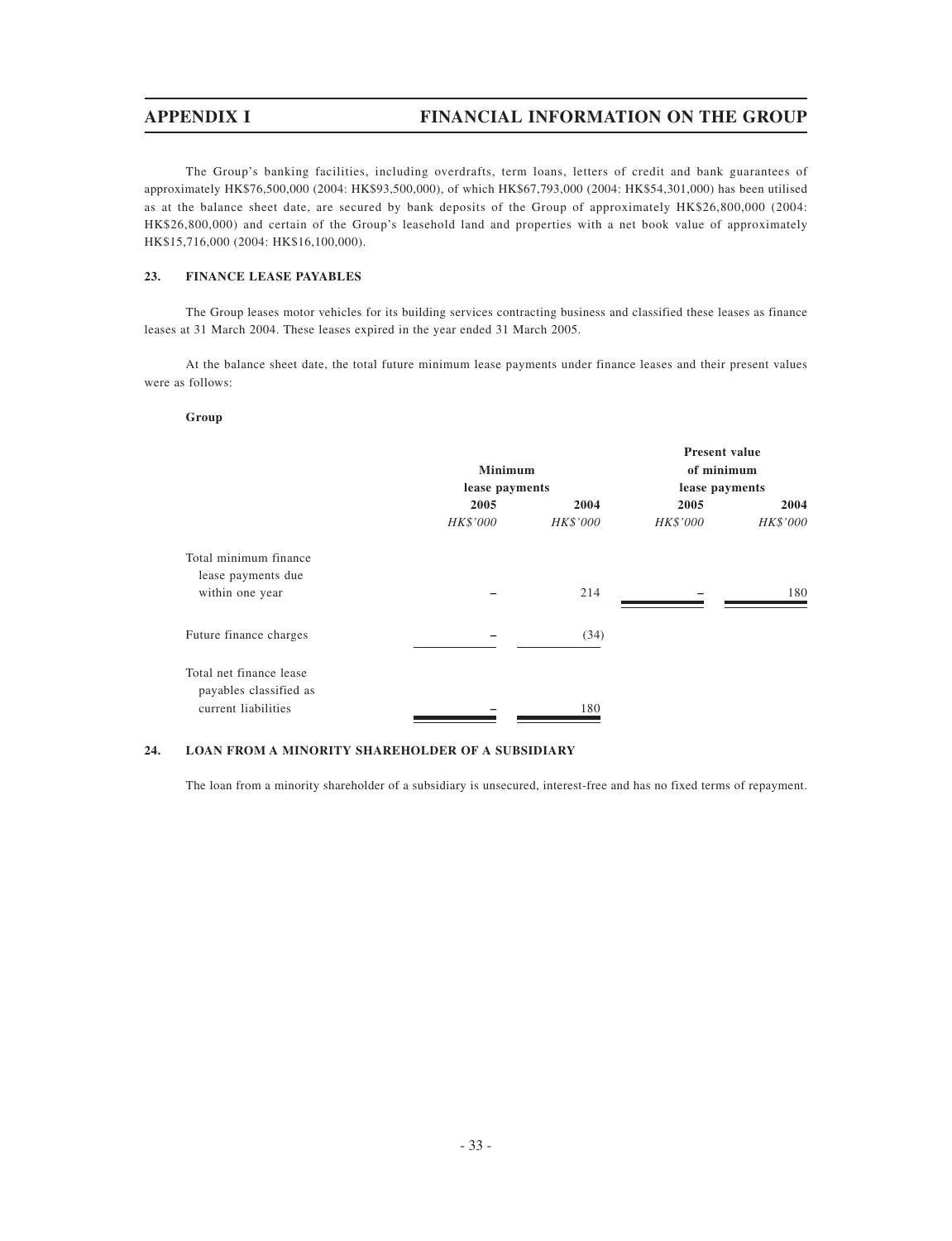The Group's banking facilities, including overdrafts, term loans, letters of credit and bank guarantees of approximately HK\$76,500,000 (2004: HK\$93,500,000), of which HK\$67,793,000 (2004: HK\$54,301,000) has been utilised as at the balance sheet date, are secured by bank deposits of the Group of approximately HK\$26,800,000 (2004: HK\$26,800,000) and certain of the Group's leasehold land and properties with a net book value of approximately HK\$15,716,000 (2004: HK\$16,100,000).

### **23. FINANCE LEASE PAYABLES**

The Group leases motor vehicles for its building services contracting business and classified these leases as finance leases at 31 March 2004. These leases expired in the year ended 31 March 2005.

At the balance sheet date, the total future minimum lease payments under finance leases and their present values were as follows:

### **Group**

|                         |                |          | <b>Present value</b> |          |
|-------------------------|----------------|----------|----------------------|----------|
|                         | <b>Minimum</b> |          | of minimum           |          |
|                         | lease payments |          | lease payments       |          |
|                         | 2005           | 2004     | 2005                 | 2004     |
|                         | HK\$'000       | HK\$'000 | HK\$'000             | HK\$'000 |
| Total minimum finance   |                |          |                      |          |
| lease payments due      |                |          |                      |          |
| within one year         |                | 214      |                      | 180      |
| Future finance charges  |                | (34)     |                      |          |
|                         |                |          |                      |          |
| Total net finance lease |                |          |                      |          |
| payables classified as  |                |          |                      |          |
| current liabilities     |                | 180      |                      |          |

### **24. LOAN FROM A MINORITY SHAREHOLDER OF A SUBSIDIARY**

The loan from a minority shareholder of a subsidiary is unsecured, interest-free and has no fixed terms of repayment.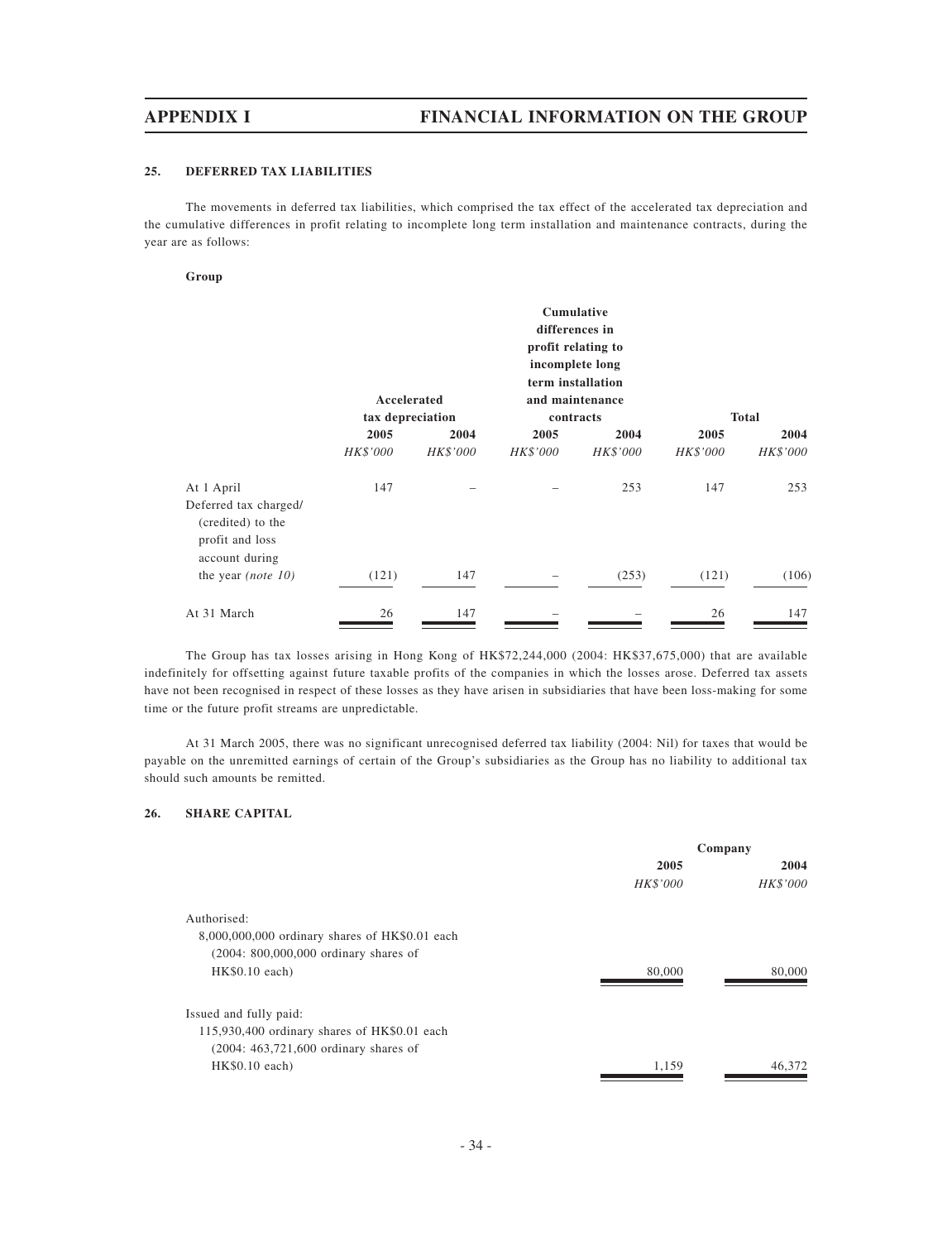## **25. DEFERRED TAX LIABILITIES**

The movements in deferred tax liabilities, which comprised the tax effect of the accelerated tax depreciation and the cumulative differences in profit relating to incomplete long term installation and maintenance contracts, during the year are as follows:

### **Group**

|                                                        | <b>Cumulative</b><br>differences in<br>profit relating to<br>incomplete long<br>term installation<br>Accelerated<br>and maintenance |          |          |           |          |              |
|--------------------------------------------------------|-------------------------------------------------------------------------------------------------------------------------------------|----------|----------|-----------|----------|--------------|
|                                                        | tax depreciation                                                                                                                    |          |          | contracts |          | <b>Total</b> |
|                                                        | 2005                                                                                                                                | 2004     | 2005     | 2004      | 2005     | 2004         |
|                                                        | HK\$'000                                                                                                                            | HK\$'000 | HK\$'000 | HK\$'000  | HK\$'000 | HK\$'000     |
| At 1 April<br>Deferred tax charged/                    | 147                                                                                                                                 |          |          | 253       | 147      | 253          |
| (credited) to the<br>profit and loss<br>account during |                                                                                                                                     |          |          |           |          |              |
| the year <i>(note 10)</i>                              | (121)                                                                                                                               | 147      |          | (253)     | (121)    | (106)        |
| At 31 March                                            | 26                                                                                                                                  | 147      |          |           | 26       | 147          |

The Group has tax losses arising in Hong Kong of HK\$72,244,000 (2004: HK\$37,675,000) that are available indefinitely for offsetting against future taxable profits of the companies in which the losses arose. Deferred tax assets have not been recognised in respect of these losses as they have arisen in subsidiaries that have been loss-making for some time or the future profit streams are unpredictable.

At 31 March 2005, there was no significant unrecognised deferred tax liability (2004: Nil) for taxes that would be payable on the unremitted earnings of certain of the Group's subsidiaries as the Group has no liability to additional tax should such amounts be remitted.

# **26. SHARE CAPITAL**

|                                                | Company         |                 |
|------------------------------------------------|-----------------|-----------------|
|                                                | 2005            | 2004            |
|                                                | <b>HK\$'000</b> | <b>HK\$'000</b> |
| Authorised:                                    |                 |                 |
| 8,000,000,000 ordinary shares of HK\$0.01 each |                 |                 |
| $(2004: 800,000,000)$ ordinary shares of       |                 |                 |
| $HK$0.10$ each)                                | 80,000          | 80,000          |
| Issued and fully paid:                         |                 |                 |
| 115,930,400 ordinary shares of HK\$0.01 each   |                 |                 |
| $(2004: 463, 721, 600)$ ordinary shares of     |                 |                 |
| $HK$0.10$ each)                                | 1.159           | 46,372          |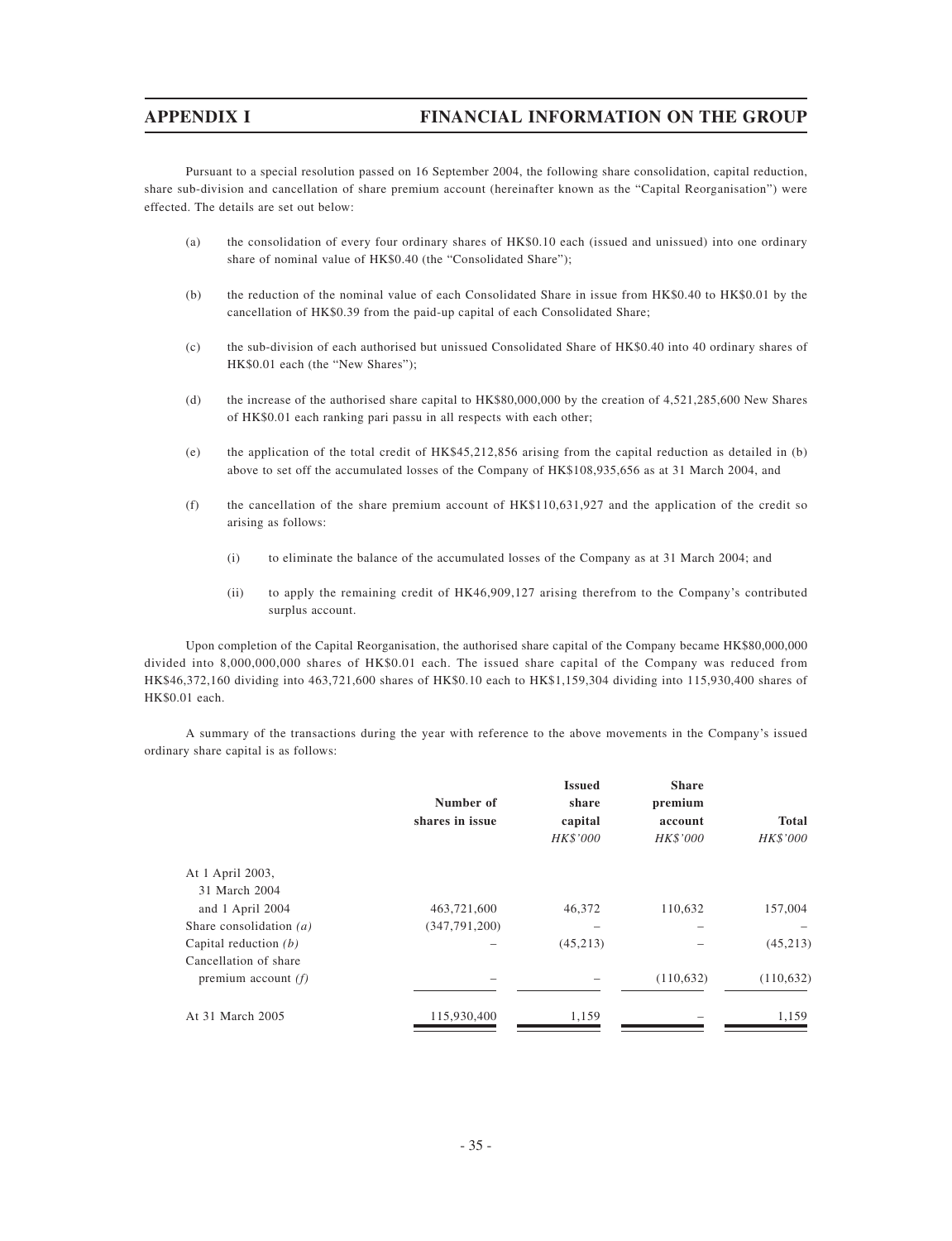Pursuant to a special resolution passed on 16 September 2004, the following share consolidation, capital reduction, share sub-division and cancellation of share premium account (hereinafter known as the "Capital Reorganisation") were effected. The details are set out below:

- (a) the consolidation of every four ordinary shares of HK\$0.10 each (issued and unissued) into one ordinary share of nominal value of HK\$0.40 (the "Consolidated Share");
- (b) the reduction of the nominal value of each Consolidated Share in issue from HK\$0.40 to HK\$0.01 by the cancellation of HK\$0.39 from the paid-up capital of each Consolidated Share;
- (c) the sub-division of each authorised but unissued Consolidated Share of HK\$0.40 into 40 ordinary shares of HK\$0.01 each (the "New Shares");
- (d) the increase of the authorised share capital to HK\$80,000,000 by the creation of 4,521,285,600 New Shares of HK\$0.01 each ranking pari passu in all respects with each other;
- (e) the application of the total credit of HK\$45,212,856 arising from the capital reduction as detailed in (b) above to set off the accumulated losses of the Company of HK\$108,935,656 as at 31 March 2004, and
- (f) the cancellation of the share premium account of HK\$110,631,927 and the application of the credit so arising as follows:
	- (i) to eliminate the balance of the accumulated losses of the Company as at 31 March 2004; and
	- (ii) to apply the remaining credit of HK46,909,127 arising therefrom to the Company's contributed surplus account.

Upon completion of the Capital Reorganisation, the authorised share capital of the Company became HK\$80,000,000 divided into 8,000,000,000 shares of HK\$0.01 each. The issued share capital of the Company was reduced from HK\$46,372,160 dividing into 463,721,600 shares of HK\$0.10 each to HK\$1,159,304 dividing into 115,930,400 shares of HK\$0.01 each.

A summary of the transactions during the year with reference to the above movements in the Company's issued ordinary share capital is as follows:

|                           | Number of<br>shares in issue | <b>Issued</b><br>share<br>capital<br>HK\$'000 | <b>Share</b><br>premium<br>account<br>HK\$'000 | <b>Total</b><br>HK\$'000 |
|---------------------------|------------------------------|-----------------------------------------------|------------------------------------------------|--------------------------|
| At 1 April 2003,          |                              |                                               |                                                |                          |
| 31 March 2004             |                              |                                               |                                                |                          |
| and 1 April 2004          | 463,721,600                  | 46,372                                        | 110,632                                        | 157,004                  |
| Share consolidation $(a)$ | (347,791,200)                |                                               |                                                |                          |
| Capital reduction $(b)$   |                              | (45,213)                                      |                                                | (45, 213)                |
| Cancellation of share     |                              |                                               |                                                |                          |
| premium account $(f)$     |                              |                                               | (110, 632)                                     | (110, 632)               |
| At 31 March 2005          | 115,930,400                  | 1,159                                         |                                                | 1,159                    |
|                           |                              |                                               |                                                |                          |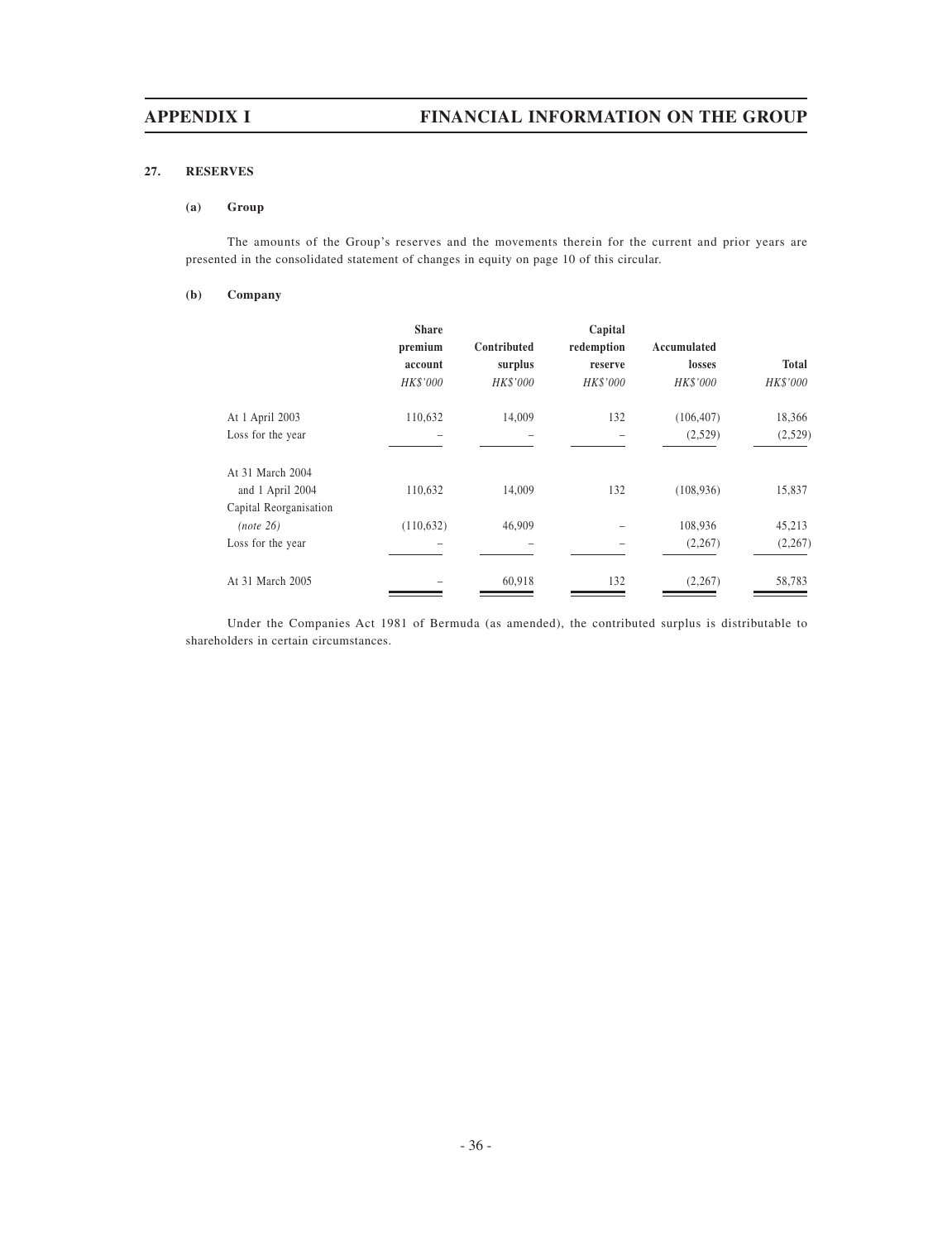# **27. RESERVES**

### **(a) Group**

The amounts of the Group's reserves and the movements therein for the current and prior years are presented in the consolidated statement of changes in equity on page 10 of this circular.

### **(b) Company**

|                        | <b>Share</b><br>premium<br>account<br>HK\$'000 | Contributed<br>surplus<br>HK\$'000 | Capital<br>redemption<br>reserve<br><b>HK\$'000</b> | Accumulated<br>losses<br>HK\$'000 | Total<br>HK\$'000 |
|------------------------|------------------------------------------------|------------------------------------|-----------------------------------------------------|-----------------------------------|-------------------|
| At 1 April 2003        | 110,632                                        | 14,009                             | 132                                                 | (106, 407)                        | 18,366            |
| Loss for the year      |                                                |                                    |                                                     | (2,529)                           | (2,529)           |
| At 31 March 2004       |                                                |                                    |                                                     |                                   |                   |
| and 1 April 2004       | 110,632                                        | 14,009                             | 132                                                 | (108, 936)                        | 15,837            |
| Capital Reorganisation |                                                |                                    |                                                     |                                   |                   |
| (note 26)              | (110, 632)                                     | 46,909                             |                                                     | 108,936                           | 45,213            |
| Loss for the year      |                                                |                                    |                                                     | (2,267)                           | (2, 267)          |
| At 31 March 2005       |                                                | 60,918                             | 132                                                 | (2, 267)                          | 58,783            |

Under the Companies Act 1981 of Bermuda (as amended), the contributed surplus is distributable to shareholders in certain circumstances.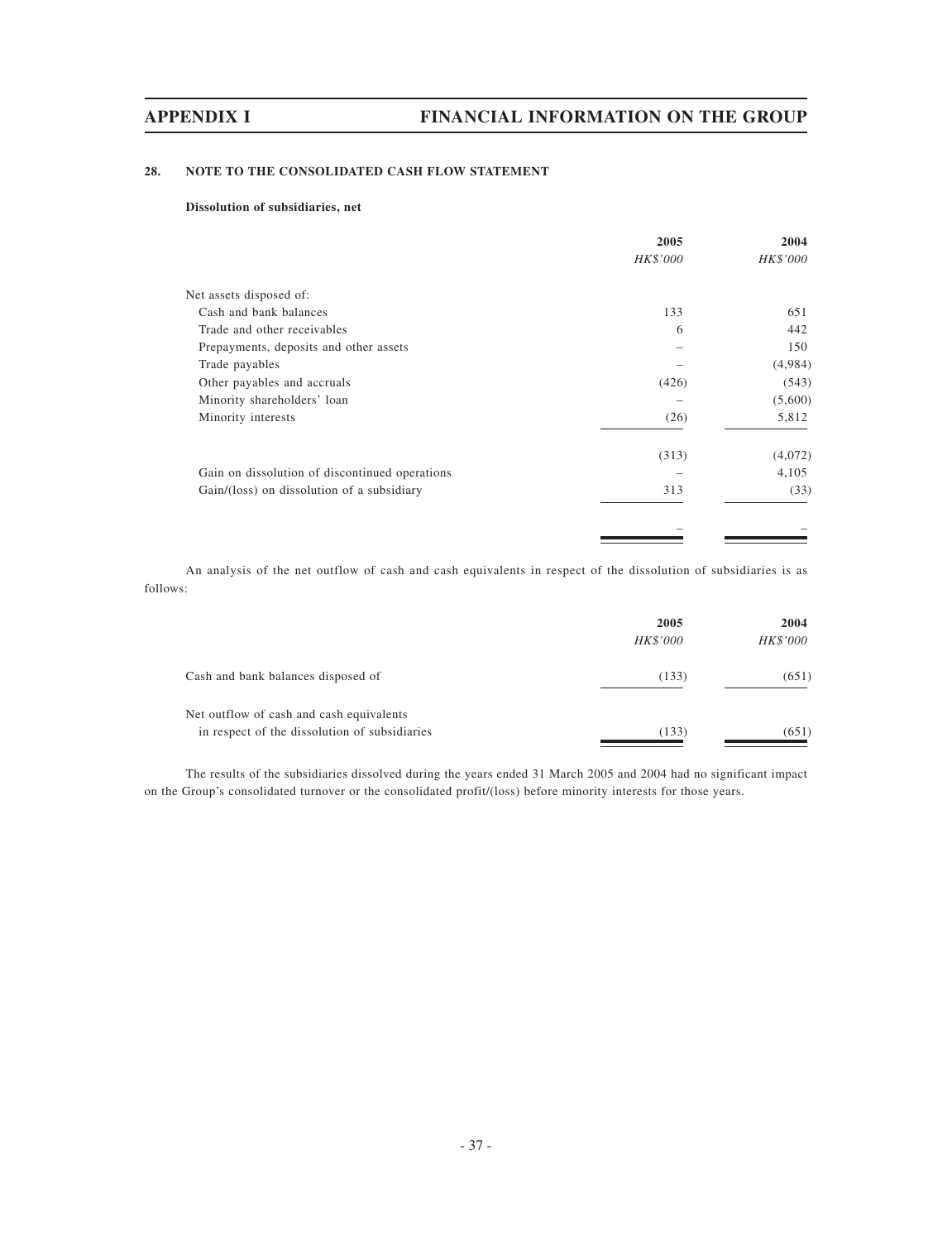# **28. NOTE TO THE CONSOLIDATED CASH FLOW STATEMENT**

### **Dissolution of subsidiaries, net**

|                                                | 2005     | 2004     |
|------------------------------------------------|----------|----------|
|                                                | HK\$'000 | HK\$'000 |
| Net assets disposed of:                        |          |          |
| Cash and bank balances                         | 133      | 651      |
| Trade and other receivables                    | 6        | 442      |
| Prepayments, deposits and other assets         |          | 150      |
| Trade payables                                 |          | (4,984)  |
| Other payables and accruals                    | (426)    | (543)    |
| Minority shareholders' loan                    |          | (5,600)  |
| Minority interests                             | (26)     | 5,812    |
|                                                | (313)    | (4,072)  |
| Gain on dissolution of discontinued operations |          | 4,105    |
| Gain/(loss) on dissolution of a subsidiary     | 313      | (33)     |
|                                                |          |          |
|                                                |          |          |

An analysis of the net outflow of cash and cash equivalents in respect of the dissolution of subsidiaries is as follows:

|                                               | 2005     | 2004     |
|-----------------------------------------------|----------|----------|
|                                               | HK\$'000 | HK\$'000 |
| Cash and bank balances disposed of            | (133)    | (651)    |
| Net outflow of cash and cash equivalents      |          |          |
| in respect of the dissolution of subsidiaries | (133)    | (651)    |

The results of the subsidiaries dissolved during the years ended 31 March 2005 and 2004 had no significant impact on the Group's consolidated turnover or the consolidated profit/(loss) before minority interests for those years.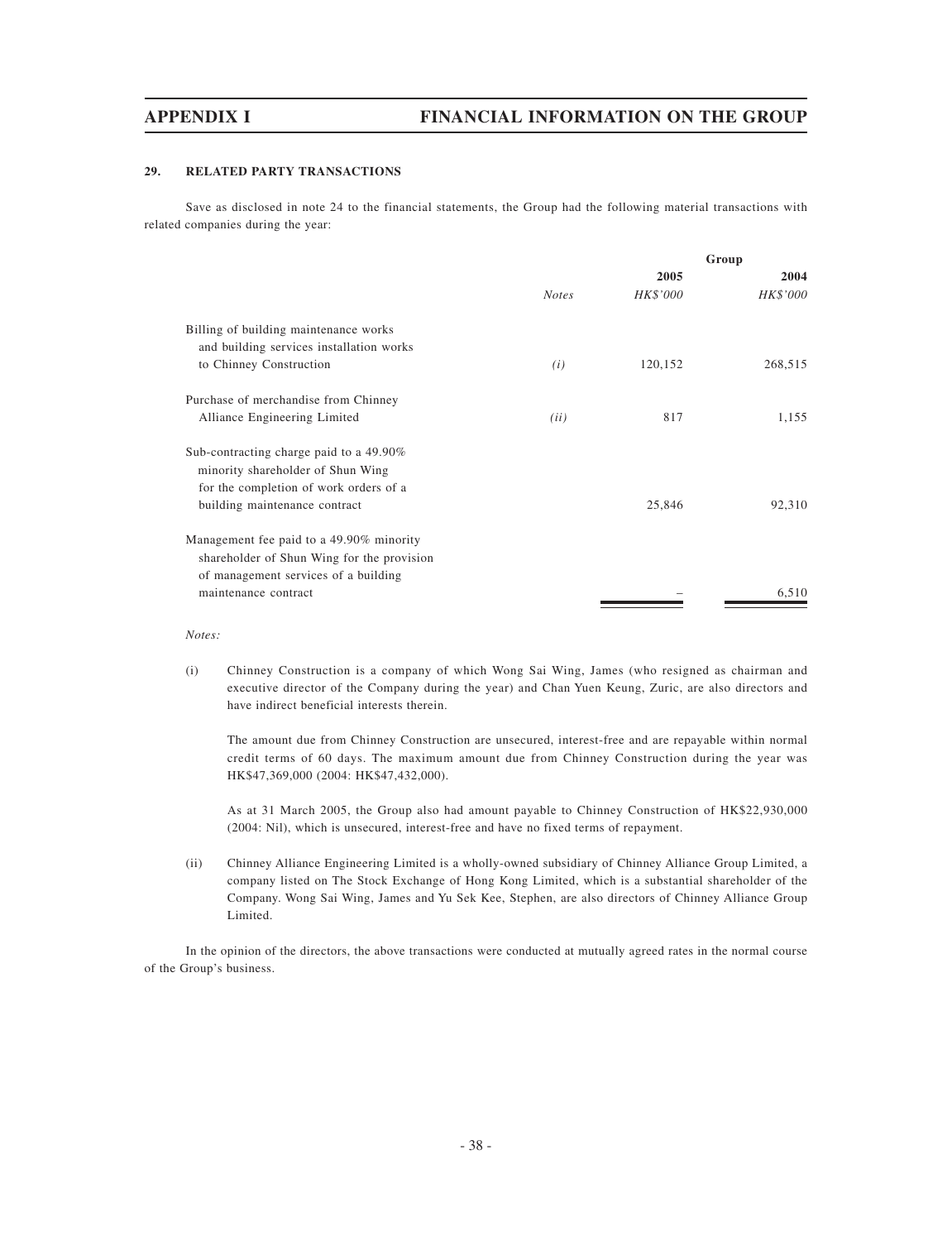### **29. RELATED PARTY TRANSACTIONS**

Save as disclosed in note 24 to the financial statements, the Group had the following material transactions with related companies during the year:

|                                            | Group        |          |          |
|--------------------------------------------|--------------|----------|----------|
|                                            |              | 2005     | 2004     |
|                                            | <b>Notes</b> | HK\$'000 | HK\$'000 |
| Billing of building maintenance works      |              |          |          |
| and building services installation works   |              |          |          |
| to Chinney Construction                    | (i)          | 120,152  | 268,515  |
| Purchase of merchandise from Chinney       |              |          |          |
| Alliance Engineering Limited               | (ii)         | 817      | 1,155    |
| Sub-contracting charge paid to a 49.90%    |              |          |          |
| minority shareholder of Shun Wing          |              |          |          |
| for the completion of work orders of a     |              |          |          |
| building maintenance contract              |              | 25,846   | 92,310   |
| Management fee paid to a 49.90% minority   |              |          |          |
| shareholder of Shun Wing for the provision |              |          |          |
| of management services of a building       |              |          |          |
| maintenance contract                       |              |          | 6,510    |
|                                            |              |          |          |

### *Notes:*

(i) Chinney Construction is a company of which Wong Sai Wing, James (who resigned as chairman and executive director of the Company during the year) and Chan Yuen Keung, Zuric, are also directors and have indirect beneficial interests therein.

The amount due from Chinney Construction are unsecured, interest-free and are repayable within normal credit terms of 60 days. The maximum amount due from Chinney Construction during the year was HK\$47,369,000 (2004: HK\$47,432,000).

As at 31 March 2005, the Group also had amount payable to Chinney Construction of HK\$22,930,000 (2004: Nil), which is unsecured, interest-free and have no fixed terms of repayment.

(ii) Chinney Alliance Engineering Limited is a wholly-owned subsidiary of Chinney Alliance Group Limited, a company listed on The Stock Exchange of Hong Kong Limited, which is a substantial shareholder of the Company. Wong Sai Wing, James and Yu Sek Kee, Stephen, are also directors of Chinney Alliance Group Limited.

In the opinion of the directors, the above transactions were conducted at mutually agreed rates in the normal course of the Group's business.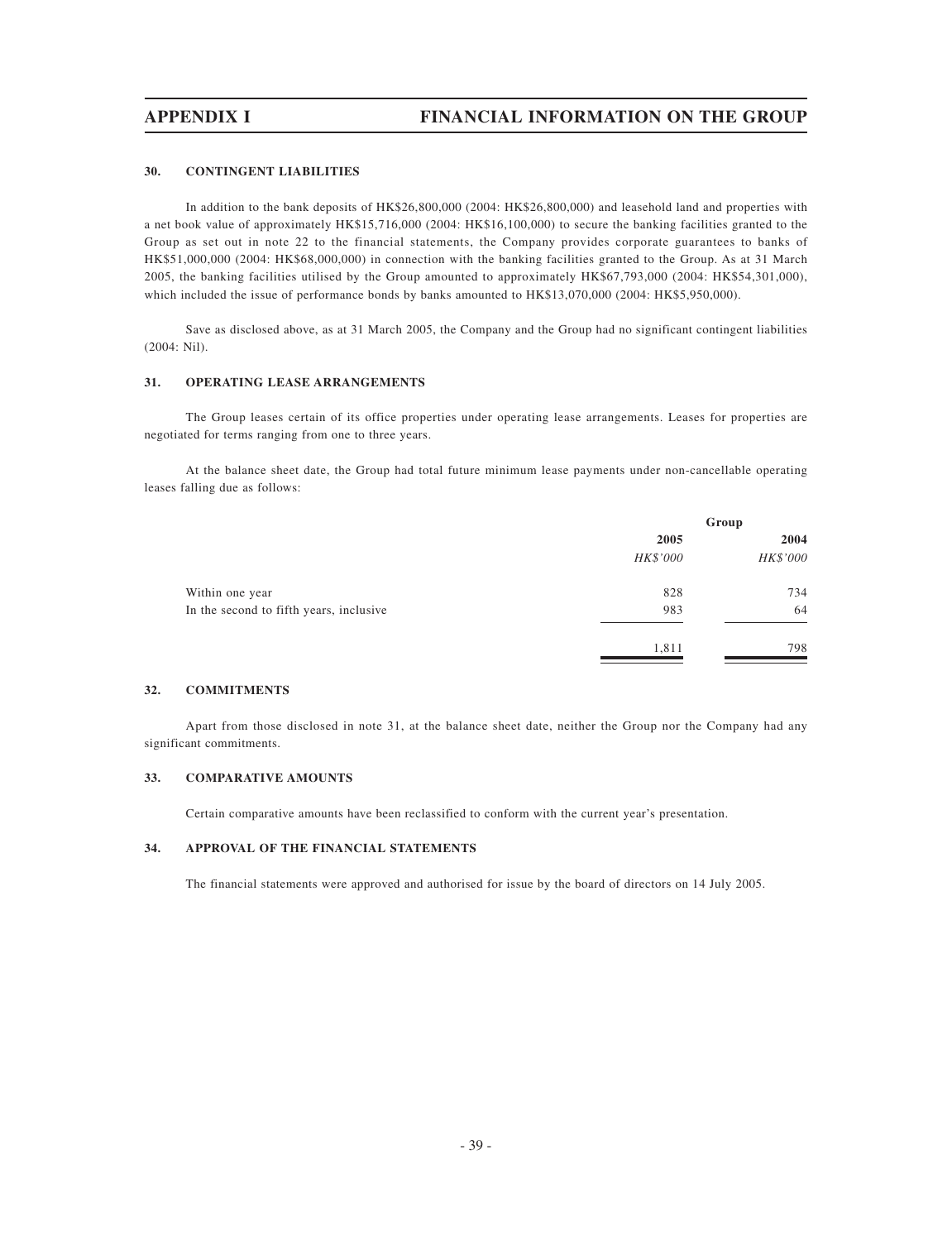### **30. CONTINGENT LIABILITIES**

In addition to the bank deposits of HK\$26,800,000 (2004: HK\$26,800,000) and leasehold land and properties with a net book value of approximately HK\$15,716,000 (2004: HK\$16,100,000) to secure the banking facilities granted to the Group as set out in note 22 to the financial statements, the Company provides corporate guarantees to banks of HK\$51,000,000 (2004: HK\$68,000,000) in connection with the banking facilities granted to the Group. As at 31 March 2005, the banking facilities utilised by the Group amounted to approximately HK\$67,793,000 (2004: HK\$54,301,000), which included the issue of performance bonds by banks amounted to HK\$13,070,000 (2004: HK\$5,950,000).

Save as disclosed above, as at 31 March 2005, the Company and the Group had no significant contingent liabilities (2004: Nil).

### **31. OPERATING LEASE ARRANGEMENTS**

The Group leases certain of its office properties under operating lease arrangements. Leases for properties are negotiated for terms ranging from one to three years.

At the balance sheet date, the Group had total future minimum lease payments under non-cancellable operating leases falling due as follows:

|                                         | Group    |          |
|-----------------------------------------|----------|----------|
|                                         | 2005     | 2004     |
|                                         | HK\$'000 | HK\$'000 |
| Within one year                         | 828      | 734      |
| In the second to fifth years, inclusive | 983      | 64       |
|                                         | 1,811    | 798      |

### **32. COMMITMENTS**

Apart from those disclosed in note 31, at the balance sheet date, neither the Group nor the Company had any significant commitments.

### **33. COMPARATIVE AMOUNTS**

Certain comparative amounts have been reclassified to conform with the current year's presentation.

### **34. APPROVAL OF THE FINANCIAL STATEMENTS**

The financial statements were approved and authorised for issue by the board of directors on 14 July 2005.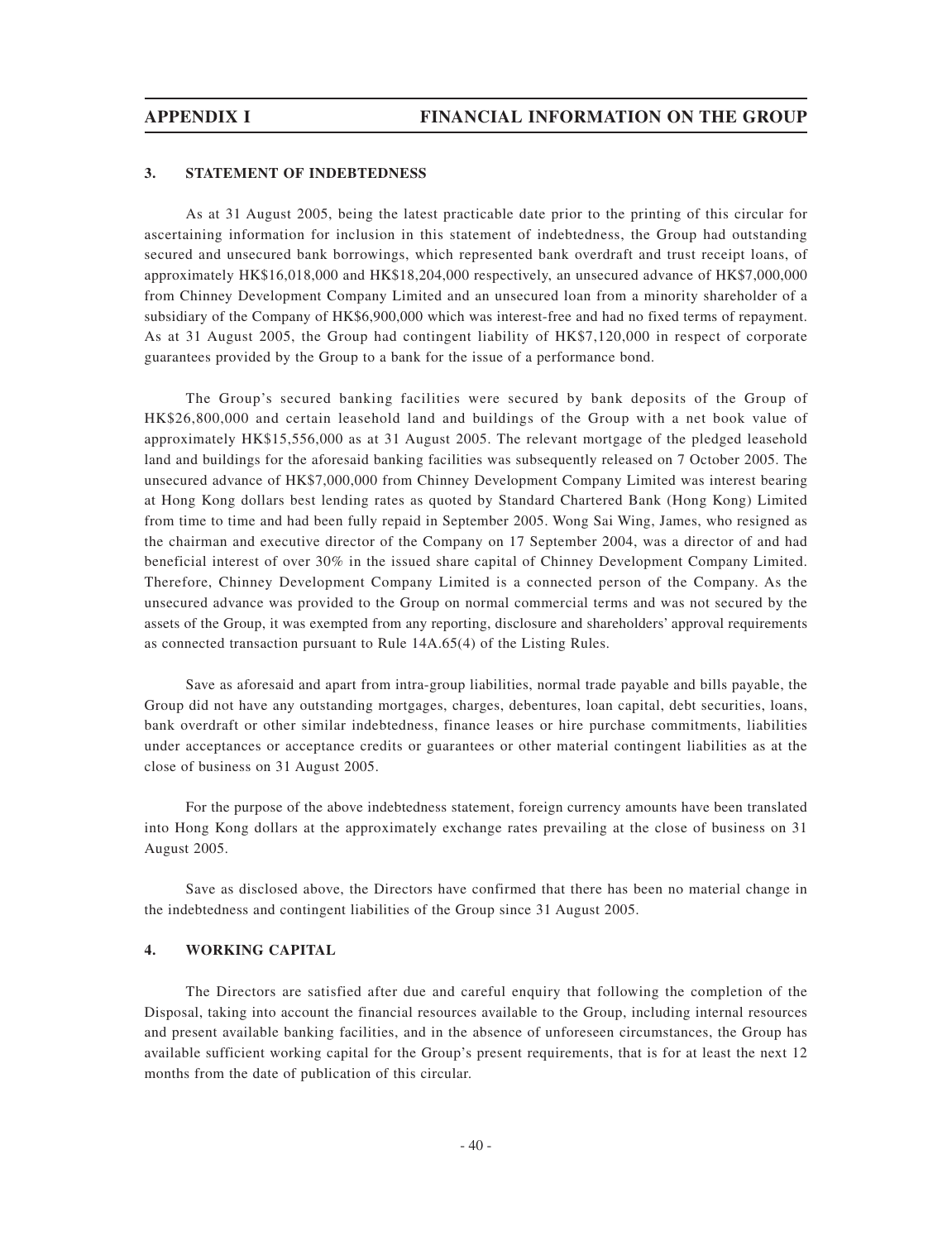## **3. STATEMENT OF INDEBTEDNESS**

As at 31 August 2005, being the latest practicable date prior to the printing of this circular for ascertaining information for inclusion in this statement of indebtedness, the Group had outstanding secured and unsecured bank borrowings, which represented bank overdraft and trust receipt loans, of approximately HK\$16,018,000 and HK\$18,204,000 respectively, an unsecured advance of HK\$7,000,000 from Chinney Development Company Limited and an unsecured loan from a minority shareholder of a subsidiary of the Company of HK\$6,900,000 which was interest-free and had no fixed terms of repayment. As at 31 August 2005, the Group had contingent liability of HK\$7,120,000 in respect of corporate guarantees provided by the Group to a bank for the issue of a performance bond.

The Group's secured banking facilities were secured by bank deposits of the Group of HK\$26,800,000 and certain leasehold land and buildings of the Group with a net book value of approximately HK\$15,556,000 as at 31 August 2005. The relevant mortgage of the pledged leasehold land and buildings for the aforesaid banking facilities was subsequently released on 7 October 2005. The unsecured advance of HK\$7,000,000 from Chinney Development Company Limited was interest bearing at Hong Kong dollars best lending rates as quoted by Standard Chartered Bank (Hong Kong) Limited from time to time and had been fully repaid in September 2005. Wong Sai Wing, James, who resigned as the chairman and executive director of the Company on 17 September 2004, was a director of and had beneficial interest of over 30% in the issued share capital of Chinney Development Company Limited. Therefore, Chinney Development Company Limited is a connected person of the Company. As the unsecured advance was provided to the Group on normal commercial terms and was not secured by the assets of the Group, it was exempted from any reporting, disclosure and shareholders' approval requirements as connected transaction pursuant to Rule 14A.65(4) of the Listing Rules.

Save as aforesaid and apart from intra-group liabilities, normal trade payable and bills payable, the Group did not have any outstanding mortgages, charges, debentures, loan capital, debt securities, loans, bank overdraft or other similar indebtedness, finance leases or hire purchase commitments, liabilities under acceptances or acceptance credits or guarantees or other material contingent liabilities as at the close of business on 31 August 2005.

For the purpose of the above indebtedness statement, foreign currency amounts have been translated into Hong Kong dollars at the approximately exchange rates prevailing at the close of business on 31 August 2005.

Save as disclosed above, the Directors have confirmed that there has been no material change in the indebtedness and contingent liabilities of the Group since 31 August 2005.

# **4. WORKING CAPITAL**

The Directors are satisfied after due and careful enquiry that following the completion of the Disposal, taking into account the financial resources available to the Group, including internal resources and present available banking facilities, and in the absence of unforeseen circumstances, the Group has available sufficient working capital for the Group's present requirements, that is for at least the next 12 months from the date of publication of this circular.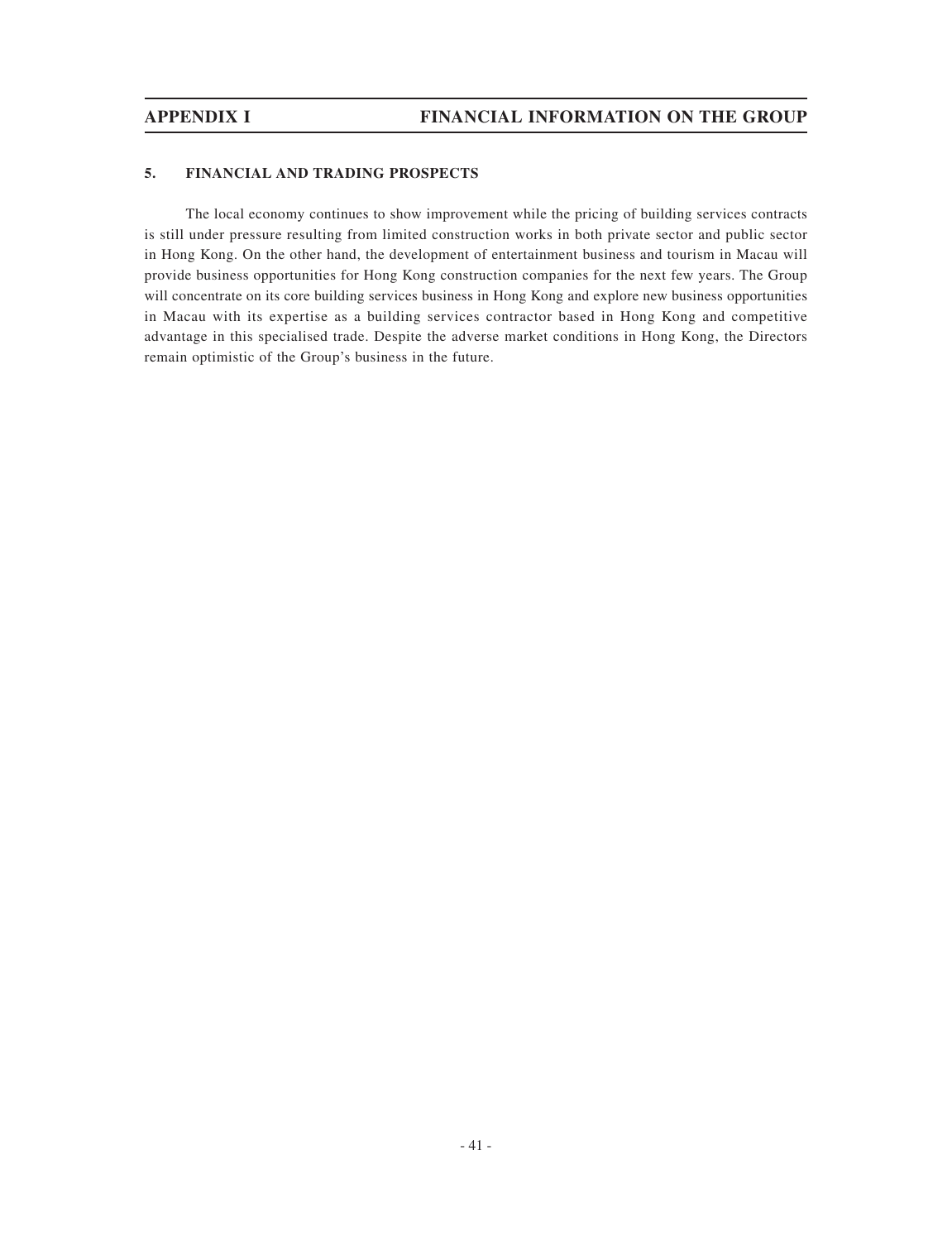# **5. FINANCIAL AND TRADING PROSPECTS**

The local economy continues to show improvement while the pricing of building services contracts is still under pressure resulting from limited construction works in both private sector and public sector in Hong Kong. On the other hand, the development of entertainment business and tourism in Macau will provide business opportunities for Hong Kong construction companies for the next few years. The Group will concentrate on its core building services business in Hong Kong and explore new business opportunities in Macau with its expertise as a building services contractor based in Hong Kong and competitive advantage in this specialised trade. Despite the adverse market conditions in Hong Kong, the Directors remain optimistic of the Group's business in the future.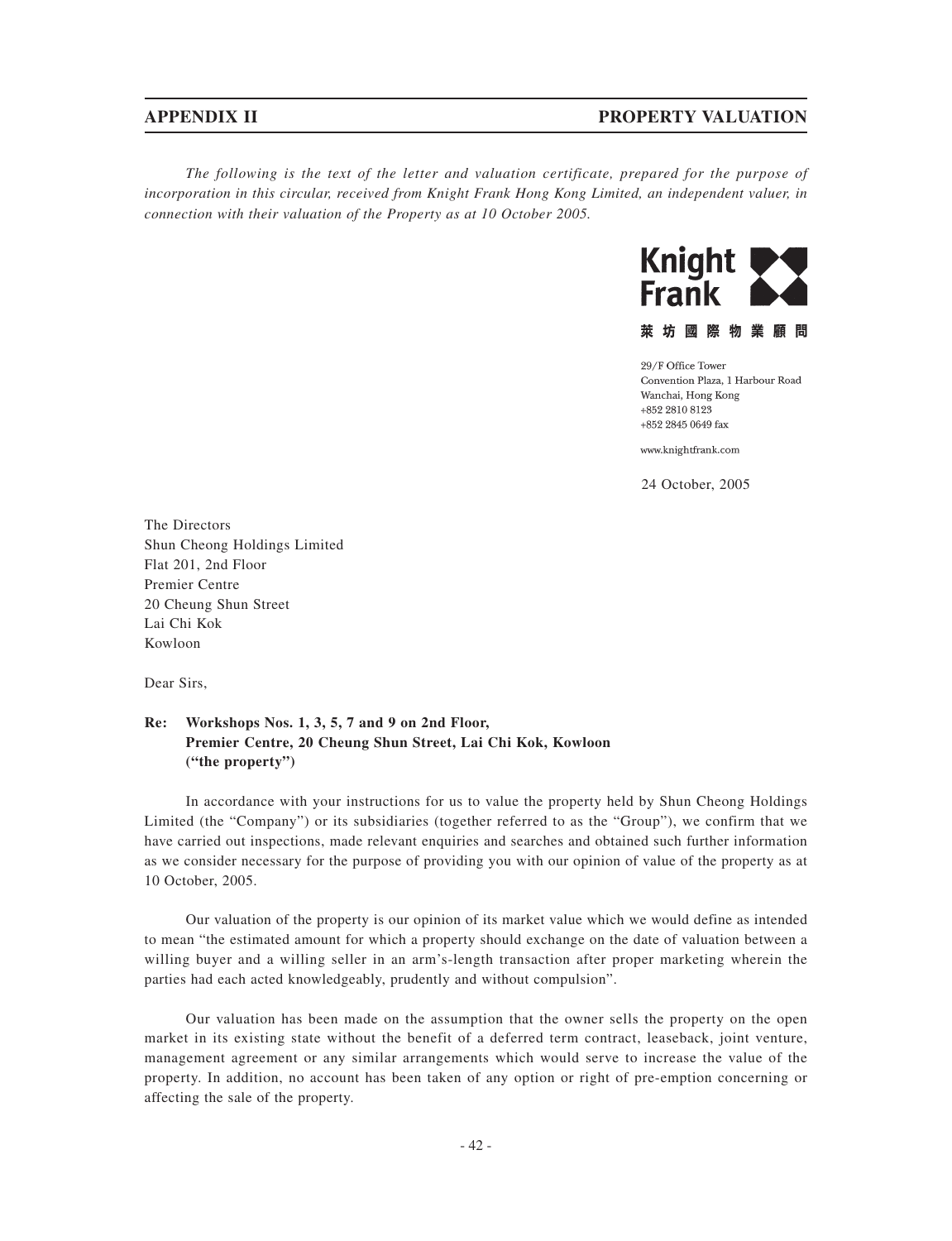# **APPENDIX II PROPERTY VALUATION**

*The following is the text of the letter and valuation certificate, prepared for the purpose of incorporation in this circular, received from Knight Frank Hong Kong Limited, an independent valuer, in connection with their valuation of the Property as at 10 October 2005.*



萊坊國際物業顧問

29/F Office Tower Convention Plaza, 1 Harbour Road Wanchai, Hong Kong +852 2810 8123 +852 2845 0649 fax

www.knightfrank.com

24 October, 2005

The Directors Shun Cheong Holdings Limited Flat 201, 2nd Floor Premier Centre 20 Cheung Shun Street Lai Chi Kok Kowloon

Dear Sirs,

# **Re: Workshops Nos. 1, 3, 5, 7 and 9 on 2nd Floor, Premier Centre, 20 Cheung Shun Street, Lai Chi Kok, Kowloon ("the property")**

In accordance with your instructions for us to value the property held by Shun Cheong Holdings Limited (the "Company") or its subsidiaries (together referred to as the "Group"), we confirm that we have carried out inspections, made relevant enquiries and searches and obtained such further information as we consider necessary for the purpose of providing you with our opinion of value of the property as at 10 October, 2005.

Our valuation of the property is our opinion of its market value which we would define as intended to mean "the estimated amount for which a property should exchange on the date of valuation between a willing buyer and a willing seller in an arm's-length transaction after proper marketing wherein the parties had each acted knowledgeably, prudently and without compulsion".

Our valuation has been made on the assumption that the owner sells the property on the open market in its existing state without the benefit of a deferred term contract, leaseback, joint venture, management agreement or any similar arrangements which would serve to increase the value of the property. In addition, no account has been taken of any option or right of pre-emption concerning or affecting the sale of the property.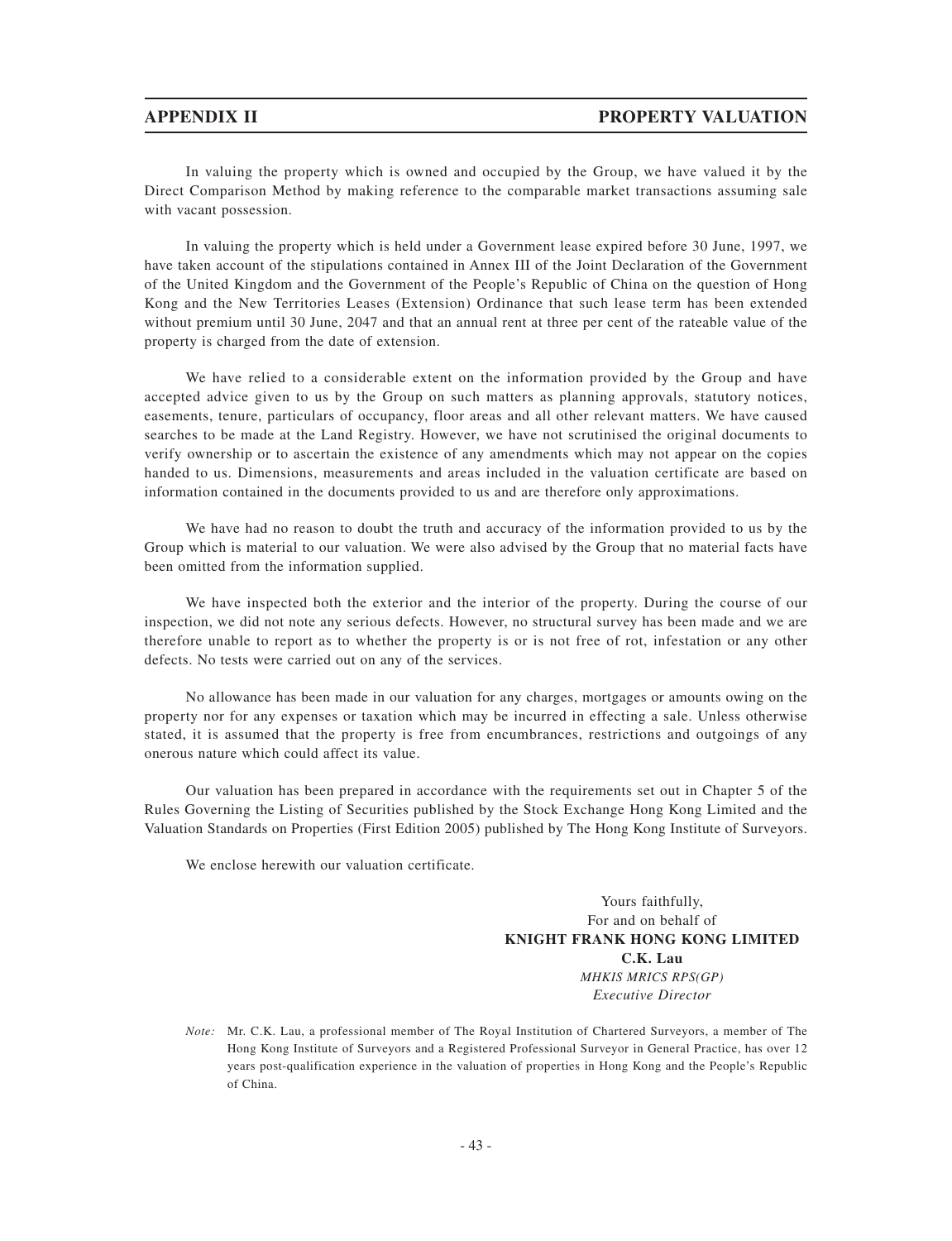In valuing the property which is owned and occupied by the Group, we have valued it by the Direct Comparison Method by making reference to the comparable market transactions assuming sale with vacant possession.

In valuing the property which is held under a Government lease expired before 30 June, 1997, we have taken account of the stipulations contained in Annex III of the Joint Declaration of the Government of the United Kingdom and the Government of the People's Republic of China on the question of Hong Kong and the New Territories Leases (Extension) Ordinance that such lease term has been extended without premium until 30 June, 2047 and that an annual rent at three per cent of the rateable value of the property is charged from the date of extension.

We have relied to a considerable extent on the information provided by the Group and have accepted advice given to us by the Group on such matters as planning approvals, statutory notices, easements, tenure, particulars of occupancy, floor areas and all other relevant matters. We have caused searches to be made at the Land Registry. However, we have not scrutinised the original documents to verify ownership or to ascertain the existence of any amendments which may not appear on the copies handed to us. Dimensions, measurements and areas included in the valuation certificate are based on information contained in the documents provided to us and are therefore only approximations.

We have had no reason to doubt the truth and accuracy of the information provided to us by the Group which is material to our valuation. We were also advised by the Group that no material facts have been omitted from the information supplied.

We have inspected both the exterior and the interior of the property. During the course of our inspection, we did not note any serious defects. However, no structural survey has been made and we are therefore unable to report as to whether the property is or is not free of rot, infestation or any other defects. No tests were carried out on any of the services.

No allowance has been made in our valuation for any charges, mortgages or amounts owing on the property nor for any expenses or taxation which may be incurred in effecting a sale. Unless otherwise stated, it is assumed that the property is free from encumbrances, restrictions and outgoings of any onerous nature which could affect its value.

Our valuation has been prepared in accordance with the requirements set out in Chapter 5 of the Rules Governing the Listing of Securities published by the Stock Exchange Hong Kong Limited and the Valuation Standards on Properties (First Edition 2005) published by The Hong Kong Institute of Surveyors.

We enclose herewith our valuation certificate.

Yours faithfully, For and on behalf of **KNIGHT FRANK HONG KONG LIMITED C.K. Lau** *MHKIS MRICS RPS(GP) Executive Director*

*Note:* Mr. C.K. Lau, a professional member of The Royal Institution of Chartered Surveyors, a member of The Hong Kong Institute of Surveyors and a Registered Professional Surveyor in General Practice, has over 12 years post-qualification experience in the valuation of properties in Hong Kong and the People's Republic of China.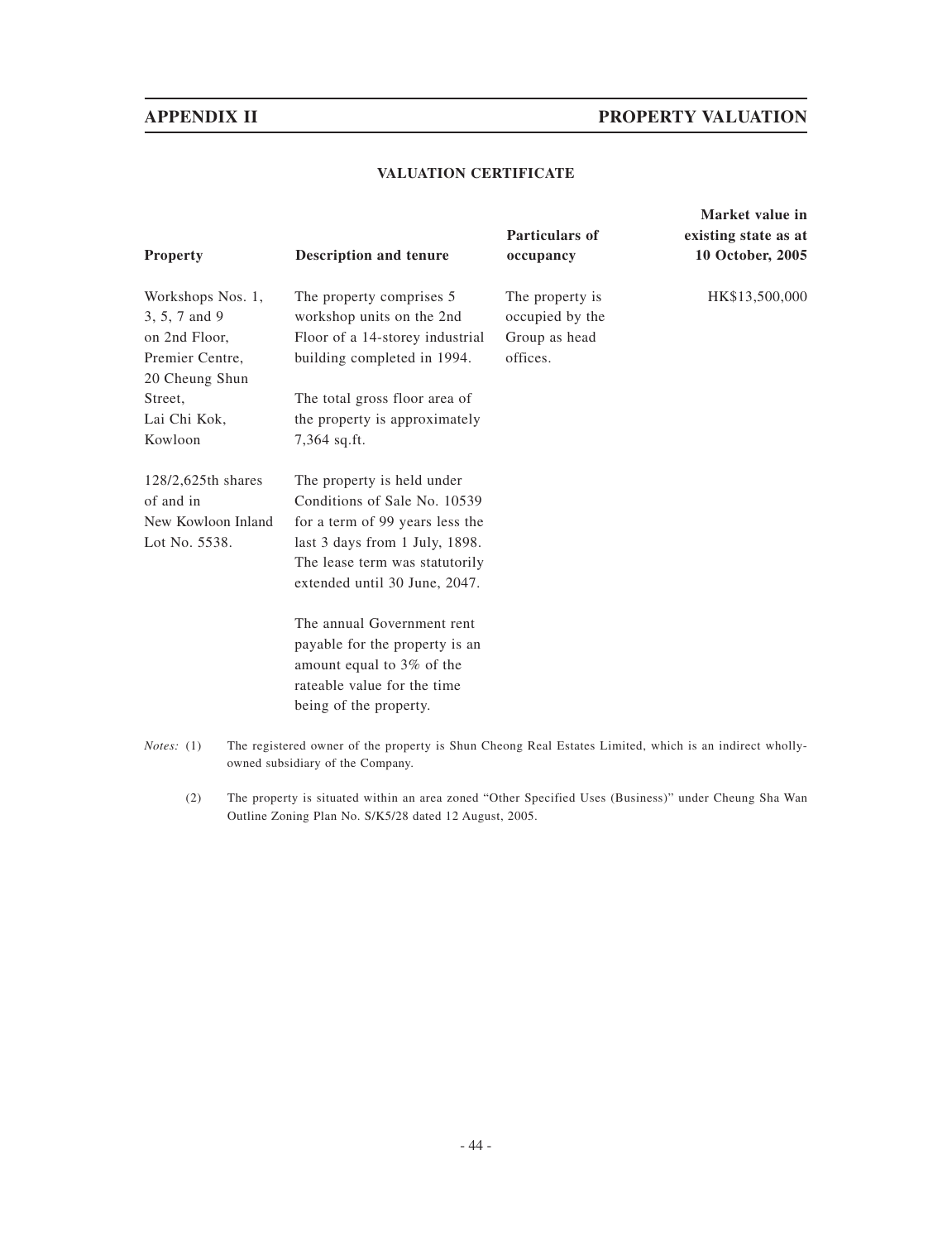# **APPENDIX II PROPERTY VALUATION**

**Market value in**

# **VALUATION CERTIFICATE**

| <b>Property</b>                                                                          | <b>Description and tenure</b>                                                                                           | Particulars of<br>occupancy                                     | existing state as at<br>10 October, 2005 |
|------------------------------------------------------------------------------------------|-------------------------------------------------------------------------------------------------------------------------|-----------------------------------------------------------------|------------------------------------------|
| Workshops Nos. 1,<br>3, 5, 7 and 9<br>on 2nd Floor,<br>Premier Centre,<br>20 Cheung Shun | The property comprises 5<br>workshop units on the 2nd<br>Floor of a 14-storey industrial<br>building completed in 1994. | The property is<br>occupied by the<br>Group as head<br>offices. | HK\$13,500,000                           |
| Street,                                                                                  | The total gross floor area of                                                                                           |                                                                 |                                          |
| Lai Chi Kok,<br>Kowloon                                                                  | the property is approximately<br>7,364 sq.ft.                                                                           |                                                                 |                                          |
| 128/2,625th shares<br>of and in                                                          | The property is held under<br>Conditions of Sale No. 10539                                                              |                                                                 |                                          |
| New Kowloon Inland                                                                       | for a term of 99 years less the                                                                                         |                                                                 |                                          |
| Lot No. 5538.                                                                            | last 3 days from 1 July, 1898.<br>The lease term was statutorily<br>extended until 30 June, 2047.                       |                                                                 |                                          |
|                                                                                          | The annual Government rent                                                                                              |                                                                 |                                          |
|                                                                                          | payable for the property is an                                                                                          |                                                                 |                                          |
|                                                                                          | amount equal to 3% of the                                                                                               |                                                                 |                                          |
|                                                                                          | rateable value for the time                                                                                             |                                                                 |                                          |
|                                                                                          | being of the property.                                                                                                  |                                                                 |                                          |
| <i>Notes</i> : $(1)$                                                                     | The registered owner of the property is Shun Cheong Real Estates Limited, which is an indirect wholly-                  |                                                                 |                                          |

- owned subsidiary of the Company.
	- (2) The property is situated within an area zoned "Other Specified Uses (Business)" under Cheung Sha Wan Outline Zoning Plan No. S/K5/28 dated 12 August, 2005.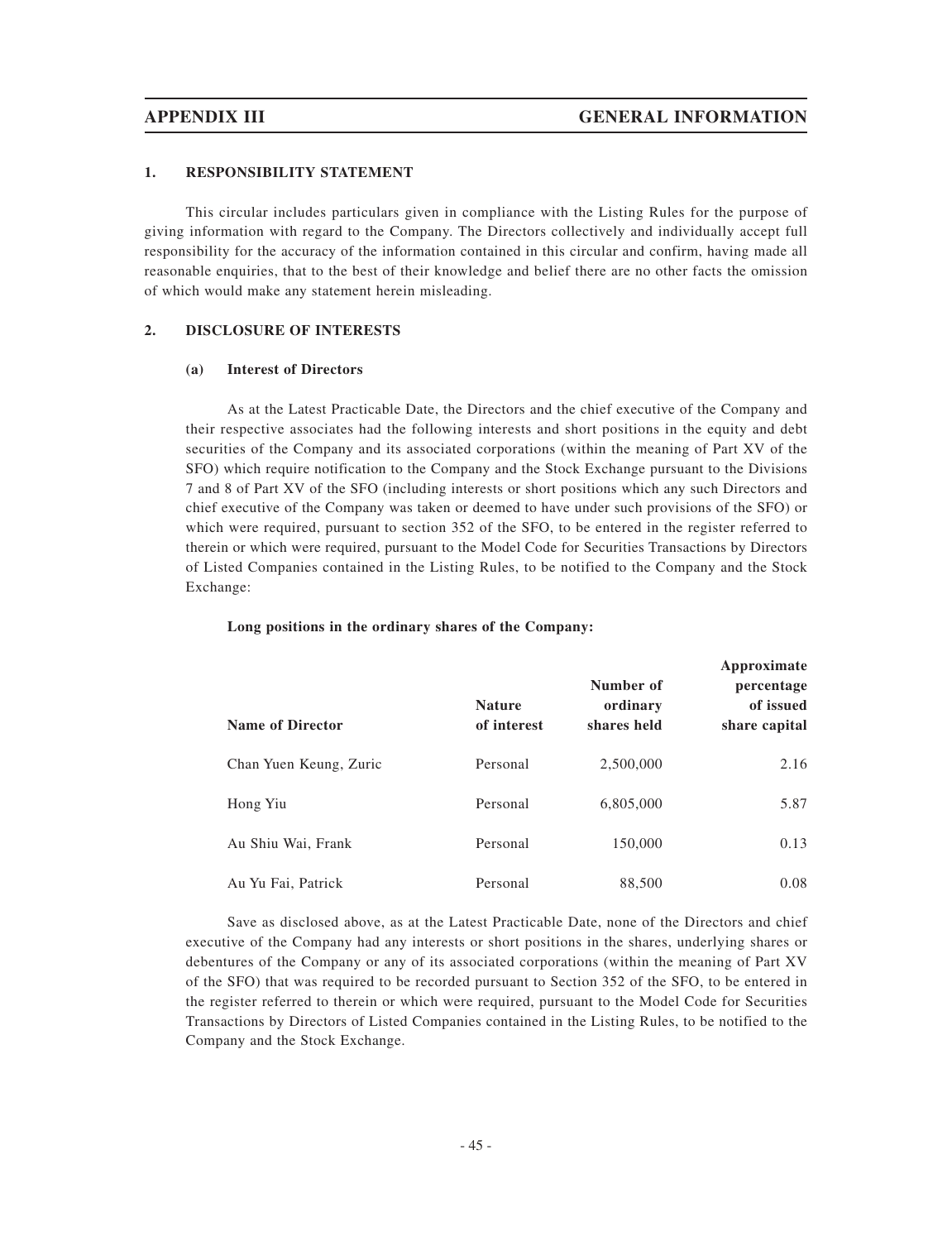## **1. RESPONSIBILITY STATEMENT**

This circular includes particulars given in compliance with the Listing Rules for the purpose of giving information with regard to the Company. The Directors collectively and individually accept full responsibility for the accuracy of the information contained in this circular and confirm, having made all reasonable enquiries, that to the best of their knowledge and belief there are no other facts the omission of which would make any statement herein misleading.

## **2. DISCLOSURE OF INTERESTS**

### **(a) Interest of Directors**

As at the Latest Practicable Date, the Directors and the chief executive of the Company and their respective associates had the following interests and short positions in the equity and debt securities of the Company and its associated corporations (within the meaning of Part XV of the SFO) which require notification to the Company and the Stock Exchange pursuant to the Divisions 7 and 8 of Part XV of the SFO (including interests or short positions which any such Directors and chief executive of the Company was taken or deemed to have under such provisions of the SFO) or which were required, pursuant to section 352 of the SFO, to be entered in the register referred to therein or which were required, pursuant to the Model Code for Securities Transactions by Directors of Listed Companies contained in the Listing Rules, to be notified to the Company and the Stock Exchange:

| <b>Name of Director</b> | <b>Nature</b><br>of interest | Number of<br>ordinary<br>shares held | Approximate<br>percentage<br>of issued<br>share capital |
|-------------------------|------------------------------|--------------------------------------|---------------------------------------------------------|
| Chan Yuen Keung, Zuric  | Personal                     | 2,500,000                            | 2.16                                                    |
| Hong Yiu                | Personal                     | 6,805,000                            | 5.87                                                    |
| Au Shiu Wai, Frank      | Personal                     | 150,000                              | 0.13                                                    |
| Au Yu Fai, Patrick      | Personal                     | 88,500                               | 0.08                                                    |

### **Long positions in the ordinary shares of the Company:**

Save as disclosed above, as at the Latest Practicable Date, none of the Directors and chief executive of the Company had any interests or short positions in the shares, underlying shares or debentures of the Company or any of its associated corporations (within the meaning of Part XV of the SFO) that was required to be recorded pursuant to Section 352 of the SFO, to be entered in the register referred to therein or which were required, pursuant to the Model Code for Securities Transactions by Directors of Listed Companies contained in the Listing Rules, to be notified to the Company and the Stock Exchange.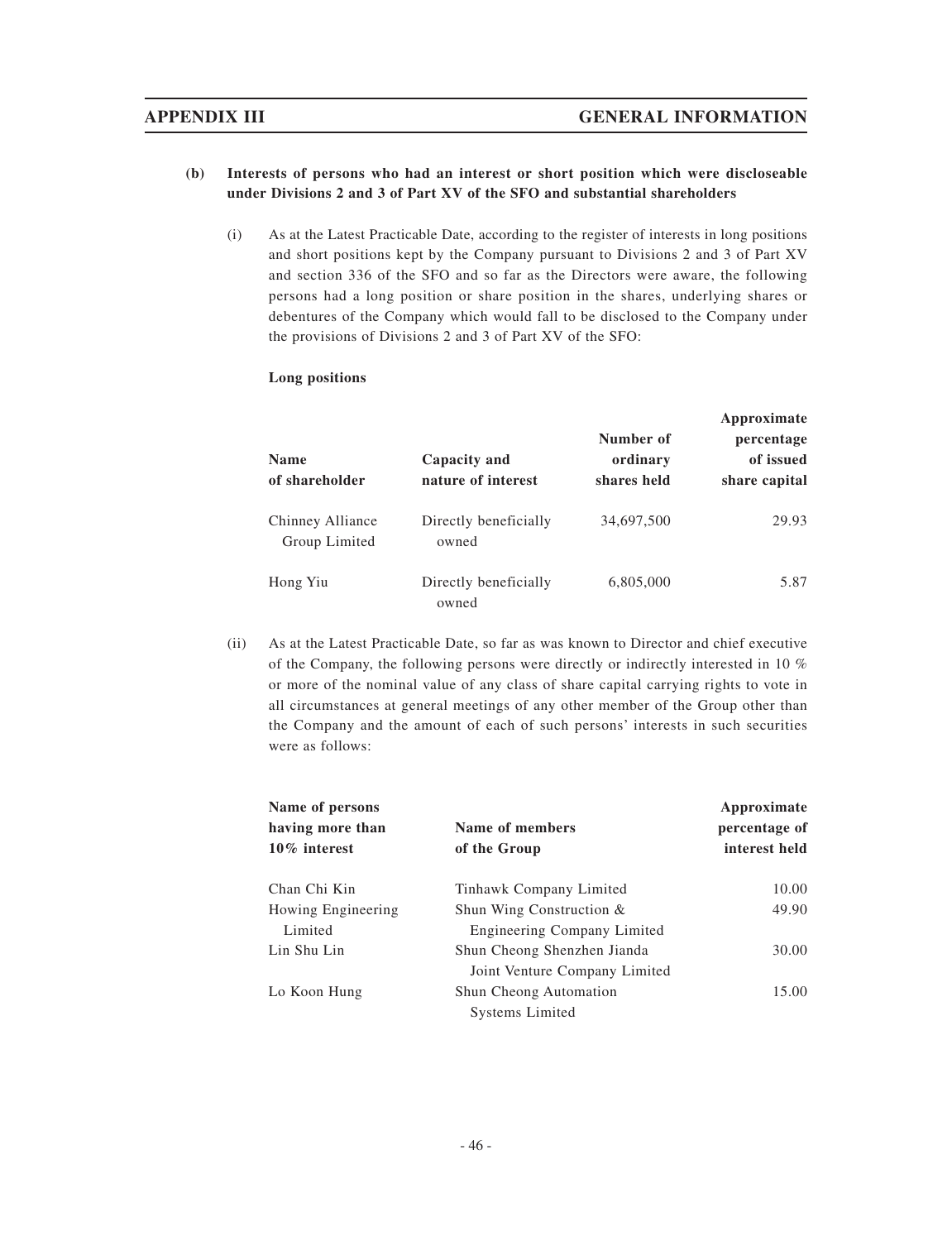# **APPENDIX III GENERAL INFORMATION**

# **(b) Interests of persons who had an interest or short position which were discloseable under Divisions 2 and 3 of Part XV of the SFO and substantial shareholders**

(i) As at the Latest Practicable Date, according to the register of interests in long positions and short positions kept by the Company pursuant to Divisions 2 and 3 of Part XV and section 336 of the SFO and so far as the Directors were aware, the following persons had a long position or share position in the shares, underlying shares or debentures of the Company which would fall to be disclosed to the Company under the provisions of Divisions 2 and 3 of Part XV of the SFO:

## **Long positions**

| <b>Name</b><br>of shareholder     | Capacity and<br>nature of interest | Number of<br>ordinary<br>shares held | Approximate<br>percentage<br>of issued<br>share capital |
|-----------------------------------|------------------------------------|--------------------------------------|---------------------------------------------------------|
| Chinney Alliance<br>Group Limited | Directly beneficially<br>owned     | 34,697,500                           | 29.93                                                   |
| Hong Yiu                          | Directly beneficially<br>owned     | 6,805,000                            | 5.87                                                    |

(ii) As at the Latest Practicable Date, so far as was known to Director and chief executive of the Company, the following persons were directly or indirectly interested in 10 % or more of the nominal value of any class of share capital carrying rights to vote in all circumstances at general meetings of any other member of the Group other than the Company and the amount of each of such persons' interests in such securities were as follows:

| Name of persons    |                               | Approximate   |
|--------------------|-------------------------------|---------------|
| having more than   | Name of members               | percentage of |
| $10\%$ interest    | of the Group                  | interest held |
| Chan Chi Kin       | Tinhawk Company Limited       | 10.00         |
| Howing Engineering | Shun Wing Construction &      | 49.90         |
| Limited            | Engineering Company Limited   |               |
| Lin Shu Lin        | Shun Cheong Shenzhen Jianda   | 30.00         |
|                    | Joint Venture Company Limited |               |
| Lo Koon Hung       | Shun Cheong Automation        | 15.00         |
|                    | <b>Systems Limited</b>        |               |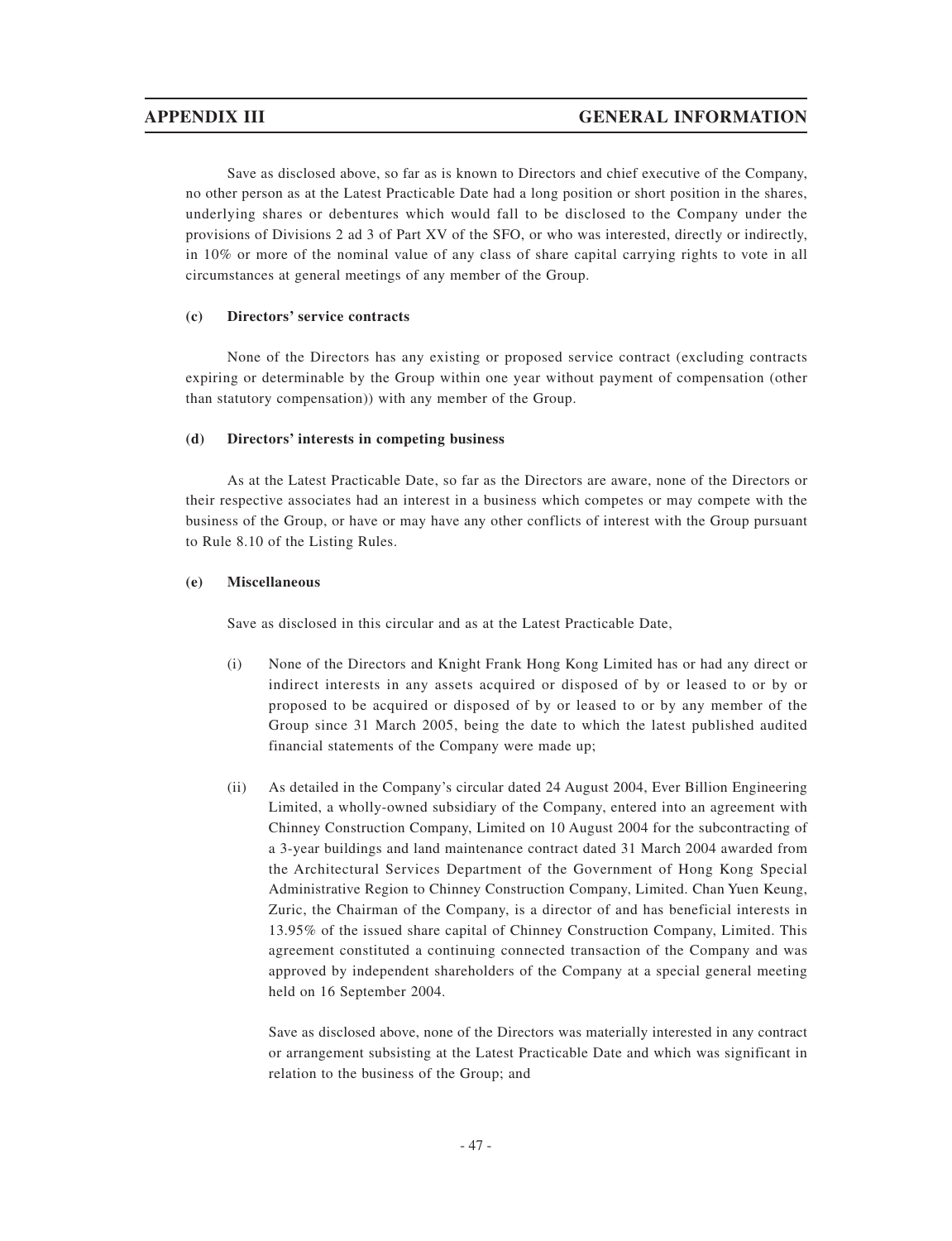Save as disclosed above, so far as is known to Directors and chief executive of the Company, no other person as at the Latest Practicable Date had a long position or short position in the shares, underlying shares or debentures which would fall to be disclosed to the Company under the provisions of Divisions 2 ad 3 of Part XV of the SFO, or who was interested, directly or indirectly, in 10% or more of the nominal value of any class of share capital carrying rights to vote in all circumstances at general meetings of any member of the Group.

# **(c) Directors' service contracts**

None of the Directors has any existing or proposed service contract (excluding contracts expiring or determinable by the Group within one year without payment of compensation (other than statutory compensation)) with any member of the Group.

# **(d) Directors' interests in competing business**

As at the Latest Practicable Date, so far as the Directors are aware, none of the Directors or their respective associates had an interest in a business which competes or may compete with the business of the Group, or have or may have any other conflicts of interest with the Group pursuant to Rule 8.10 of the Listing Rules.

# **(e) Miscellaneous**

Save as disclosed in this circular and as at the Latest Practicable Date,

- (i) None of the Directors and Knight Frank Hong Kong Limited has or had any direct or indirect interests in any assets acquired or disposed of by or leased to or by or proposed to be acquired or disposed of by or leased to or by any member of the Group since 31 March 2005, being the date to which the latest published audited financial statements of the Company were made up;
- (ii) As detailed in the Company's circular dated 24 August 2004, Ever Billion Engineering Limited, a wholly-owned subsidiary of the Company, entered into an agreement with Chinney Construction Company, Limited on 10 August 2004 for the subcontracting of a 3-year buildings and land maintenance contract dated 31 March 2004 awarded from the Architectural Services Department of the Government of Hong Kong Special Administrative Region to Chinney Construction Company, Limited. Chan Yuen Keung, Zuric, the Chairman of the Company, is a director of and has beneficial interests in 13.95% of the issued share capital of Chinney Construction Company, Limited. This agreement constituted a continuing connected transaction of the Company and was approved by independent shareholders of the Company at a special general meeting held on 16 September 2004.

Save as disclosed above, none of the Directors was materially interested in any contract or arrangement subsisting at the Latest Practicable Date and which was significant in relation to the business of the Group; and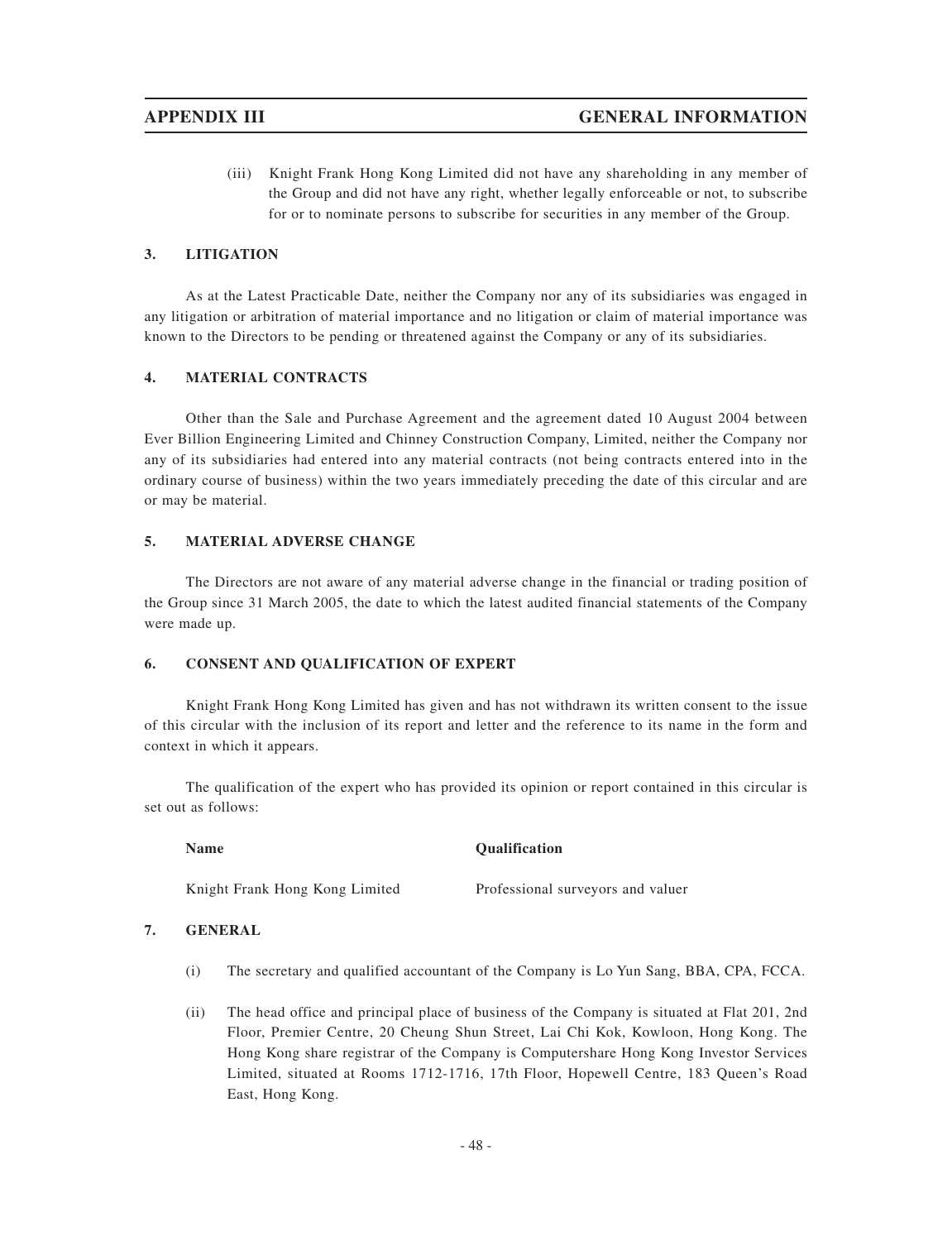(iii) Knight Frank Hong Kong Limited did not have any shareholding in any member of the Group and did not have any right, whether legally enforceable or not, to subscribe for or to nominate persons to subscribe for securities in any member of the Group.

## **3. LITIGATION**

As at the Latest Practicable Date, neither the Company nor any of its subsidiaries was engaged in any litigation or arbitration of material importance and no litigation or claim of material importance was known to the Directors to be pending or threatened against the Company or any of its subsidiaries.

## **4. MATERIAL CONTRACTS**

Other than the Sale and Purchase Agreement and the agreement dated 10 August 2004 between Ever Billion Engineering Limited and Chinney Construction Company, Limited, neither the Company nor any of its subsidiaries had entered into any material contracts (not being contracts entered into in the ordinary course of business) within the two years immediately preceding the date of this circular and are or may be material.

## **5. MATERIAL ADVERSE CHANGE**

The Directors are not aware of any material adverse change in the financial or trading position of the Group since 31 March 2005, the date to which the latest audited financial statements of the Company were made up.

## **6. CONSENT AND QUALIFICATION OF EXPERT**

Knight Frank Hong Kong Limited has given and has not withdrawn its written consent to the issue of this circular with the inclusion of its report and letter and the reference to its name in the form and context in which it appears.

The qualification of the expert who has provided its opinion or report contained in this circular is set out as follows:

| <b>Name</b> | <b>Qualification</b> |
|-------------|----------------------|
|             |                      |

Knight Frank Hong Kong Limited Professional surveyors and valuer

## **7. GENERAL**

- (i) The secretary and qualified accountant of the Company is Lo Yun Sang, BBA, CPA, FCCA.
- (ii) The head office and principal place of business of the Company is situated at Flat 201, 2nd Floor, Premier Centre, 20 Cheung Shun Street, Lai Chi Kok, Kowloon, Hong Kong. The Hong Kong share registrar of the Company is Computershare Hong Kong Investor Services Limited, situated at Rooms 1712-1716, 17th Floor, Hopewell Centre, 183 Queen's Road East, Hong Kong.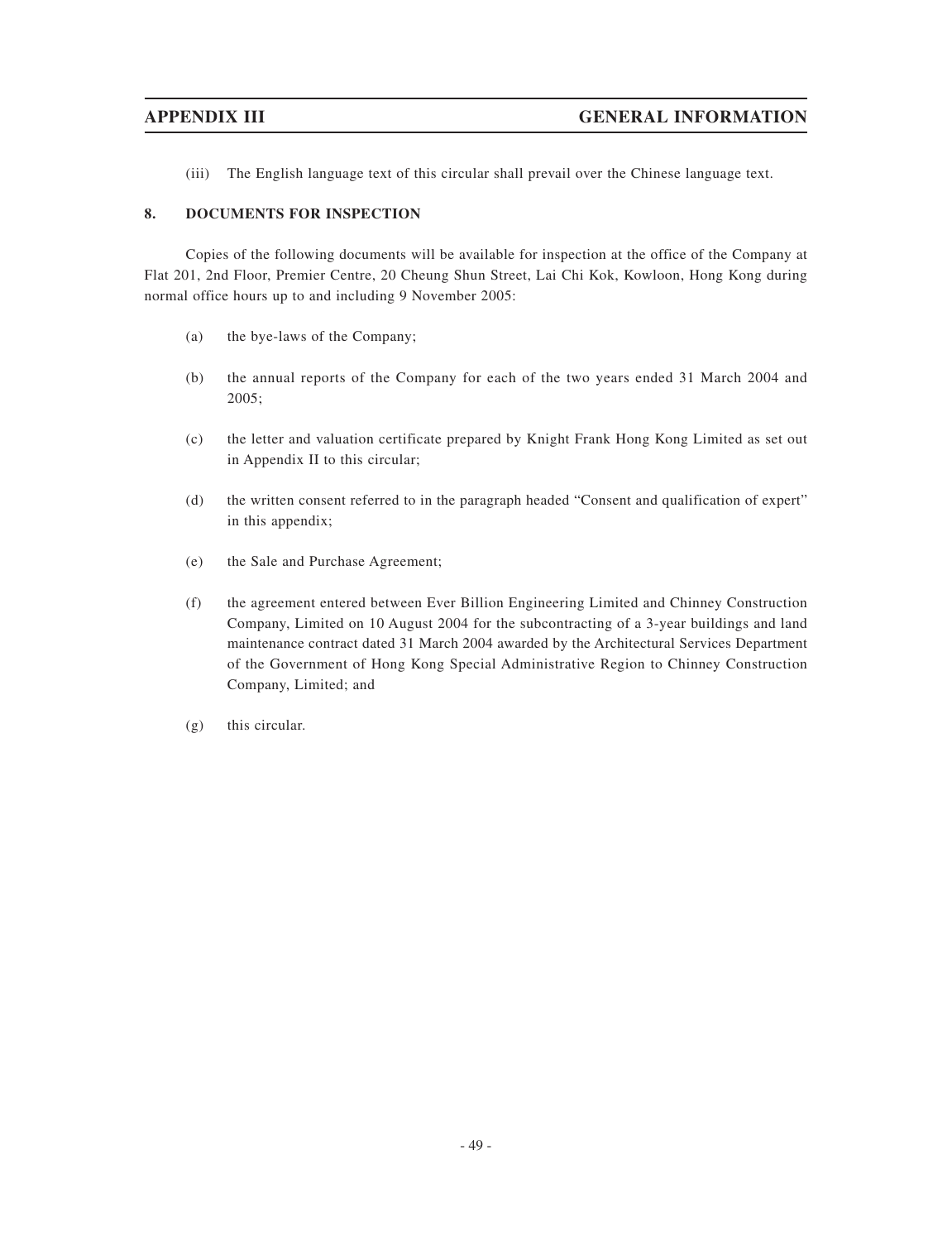(iii) The English language text of this circular shall prevail over the Chinese language text.

# **8. DOCUMENTS FOR INSPECTION**

Copies of the following documents will be available for inspection at the office of the Company at Flat 201, 2nd Floor, Premier Centre, 20 Cheung Shun Street, Lai Chi Kok, Kowloon, Hong Kong during normal office hours up to and including 9 November 2005:

- (a) the bye-laws of the Company;
- (b) the annual reports of the Company for each of the two years ended 31 March 2004 and 2005;
- (c) the letter and valuation certificate prepared by Knight Frank Hong Kong Limited as set out in Appendix II to this circular;
- (d) the written consent referred to in the paragraph headed "Consent and qualification of expert" in this appendix;
- (e) the Sale and Purchase Agreement;
- (f) the agreement entered between Ever Billion Engineering Limited and Chinney Construction Company, Limited on 10 August 2004 for the subcontracting of a 3-year buildings and land maintenance contract dated 31 March 2004 awarded by the Architectural Services Department of the Government of Hong Kong Special Administrative Region to Chinney Construction Company, Limited; and
- (g) this circular.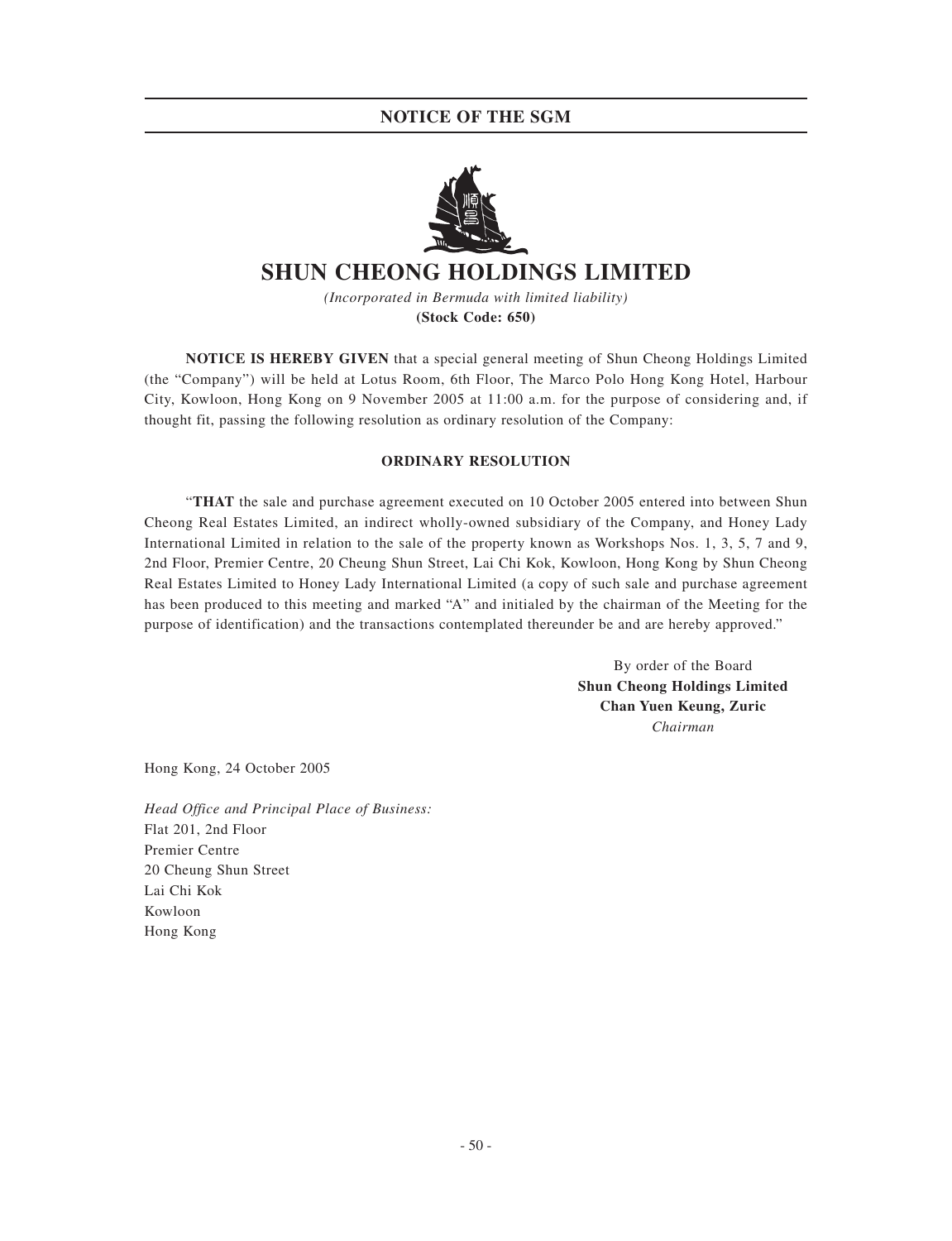# **NOTICE OF THE SGM**



# **SHUN CHEONG HOLDINGS LIMITED**

*(Incorporated in Bermuda with limited liability)* **(Stock Code: 650)**

**NOTICE IS HEREBY GIVEN** that a special general meeting of Shun Cheong Holdings Limited (the "Company") will be held at Lotus Room, 6th Floor, The Marco Polo Hong Kong Hotel, Harbour City, Kowloon, Hong Kong on 9 November 2005 at 11:00 a.m. for the purpose of considering and, if thought fit, passing the following resolution as ordinary resolution of the Company:

# **ORDINARY RESOLUTION**

"**THAT** the sale and purchase agreement executed on 10 October 2005 entered into between Shun Cheong Real Estates Limited, an indirect wholly-owned subsidiary of the Company, and Honey Lady International Limited in relation to the sale of the property known as Workshops Nos. 1, 3, 5, 7 and 9, 2nd Floor, Premier Centre, 20 Cheung Shun Street, Lai Chi Kok, Kowloon, Hong Kong by Shun Cheong Real Estates Limited to Honey Lady International Limited (a copy of such sale and purchase agreement has been produced to this meeting and marked "A" and initialed by the chairman of the Meeting for the purpose of identification) and the transactions contemplated thereunder be and are hereby approved."

> By order of the Board **Shun Cheong Holdings Limited Chan Yuen Keung, Zuric** *Chairman*

Hong Kong, 24 October 2005

*Head Office and Principal Place of Business:* Flat 201, 2nd Floor Premier Centre 20 Cheung Shun Street Lai Chi Kok Kowloon Hong Kong